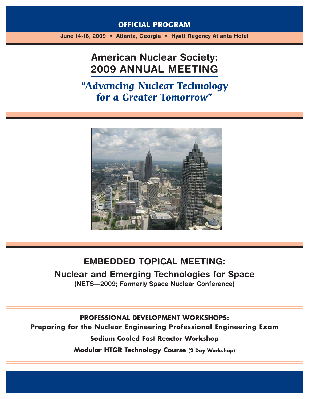### **OFFICIAL PROGRAM**

**June 14-18, 2009 • Atlanta, Georgia • Hyatt Regency Atlanta Hotel**

# **American Nuclear Society: 2009 ANNUAL MEETING**

**"Advancing Nuclear Technology for a Greater Tomorrow"**



### **EMBEDDED TOPICAL MEETING:**

**Nuclear and Emerging Technologies for Space (NETS—2009; Formerly Space Nuclear Conference)**

**PROFESSIONAL DEVELOPMENT WORKSHOPS:**

**Preparing for the Nuclear Engineering Professional Engineering Exam**

**Sodium Cooled Fast Reactor Workshop**

**Modular HTGR Technology Course (2 Day Workshop)**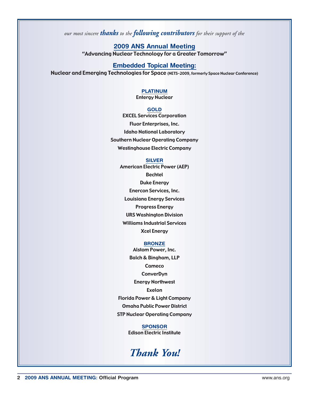*our most sincere thanks to the following contributors for their support of the*

**2009 ANS Annual Meeting** "Advancing Nuclear Technology for a Greater Tomorrow"

#### **Embedded Topical Meeting:**

Nuclear and Emerging Technologies for Space (NETS–2009, formerly Space Nuclear Conference)

### **PLATINUM**

Entergy Nuclear

#### **GOLD**

EXCEL Services Corporation Fluor Enterprises, Inc. Idaho National Laboratory Southern Nuclear Operating Company Westinghouse Electric Company

#### **SILVER**

American Electric Power (AEP) Bechtel Duke Energy Enercon Services, Inc. Louisiana Energy Services Progress Energy URS Washington Division Williams Industrial Services Xcel Energy

#### **BRONZE**

Alstom Power, Inc. Balch & Bingham, LLP **Cameco ConverDyn** Energy Northwest Exelon Florida Power & Light Company Omaha Public Power District STP Nuclear Operating Company

### **SPONSOR**

Edison Electric Institute

## *Thank You!*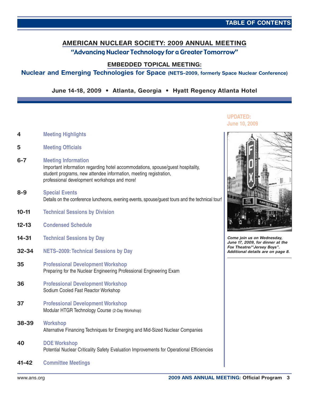### **AMERICAN NUCLEAR SOCIETY: 2009 ANNUAL MEETING** "Advancing Nuclear Technology for a Greater Tomorrow"

**EMBEDDED TOPICAL MEETING:**

### **Nuclear and Emerging Technologies for Space (NETS–2009, formerly Space Nuclear Conference)**

**June 14-18, 2009 • Atlanta, Georgia • Hyatt Regency Atlanta Hotel**

- **4 [Meeting Highlights](#page-3-0)**
- **5 [Meeting Officials](#page-4-0)**
- **6-7 Meeting Information** [Important information regarding hotel accommodations, spouse/guest hospitality,](#page-5-0) student programs, new attendee information, meeting registration, professional development workshops and more!
- **8-9 Special Events** [Details on the conference luncheons, evening events, spouse/guest tours and the technical tour!](#page-7-0)
- **10-11 [Technical Sessions by Division](#page-9-0)**
- **12-13 [Condensed Schedule](#page-11-0)**
- **14-31 [Technical Sessions by Day](#page-13-0)**
- **32-34 [NETS–2009:Technical Sessions by Day](#page-31-0)**
- **35 Professional Development Workshop** [Preparing for the Nuclear Engineering Professional Engineering Exam](#page-34-0)
- **36 [Professional Development Workshop](#page-35-0)** Sodium Cooled Fast Reactor Workshop
- **37 Professional Development Workshop** [Modular HTGR Technology Course \(2-Day Workshop\)](#page-36-0)
- **38-39 Workshop** [Alternative Financing Techniques for Emerging and Mid-Sized Nuclear Companies](#page-37-0)
- **40 DOE Workshop** [Potential Nuclear Criticality Safety Evaluation Improvements for Operational Efficiencies](#page-39-0)
- **41-42 [Committee Meetings](#page-40-0)**



**UPDATED: June 10, 2009**

**Come join us on Wednesday, June 17, 2009, for dinner at the Fox Theatre/"Jersey Boys". Additional details are on page 8.**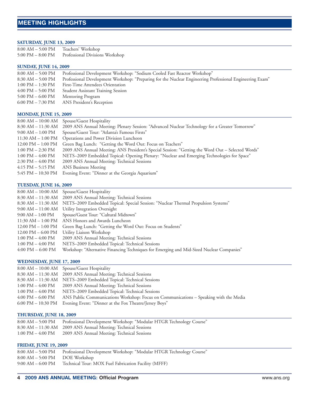#### <span id="page-3-0"></span>**SATURDAY, JUNE 13, 2009**

| $8:00 AM - 5:00 PM$ | Teachers' Workshop              |
|---------------------|---------------------------------|
| 5:00 PM $-$ 8:00 PM | Professional Divisions Workshop |

#### **SUNDAY, JUNE 14, 2009**

| 8:00 AM – 5:00 PM                   | Professional Development Workshop: "Sodium Cooled Fast Reactor Workshop"                                 |
|-------------------------------------|----------------------------------------------------------------------------------------------------------|
| $8:30$ AM $-5:00$ PM                | Professional Development Workshop: "Preparing for the Nuclear Engineering Professional Engineering Exam" |
| $1:00 \text{ PM} - 1:30 \text{ PM}$ | First-Time Attendees Orientation                                                                         |
| 4:00 PM – 5:00 PM                   | <b>Student Assistant Training Session</b>                                                                |
| 5:00 PM $-$ 6:00 PM                 | Mentoring Program                                                                                        |
| 6:00 PM – 7:30 PM                   | ANS President's Reception                                                                                |
|                                     |                                                                                                          |

#### **MONDAY, JUNE 15, 2009**

| Spouse/Guest Hospitality<br>$8:00~\mathrm{AM} - 10:00~\mathrm{AM}$                                                |
|-------------------------------------------------------------------------------------------------------------------|
| 8:30 AM - 11:30 AM 2009 ANS Annual Meeting: Plenary Session: "Advanced Nuclear Technology for a Greater Tomorrow" |
| Spouse/Guest Tour: "Atlanta's Famous Firsts"                                                                      |
| Operations and Power Division Luncheon                                                                            |
| Green Bag Lunch: "Getting the Word Out: Focus on Teachers"                                                        |
| 2009 ANS Annual Meeting: ANS President's Special Session: "Getting the Word Out – Selected Words"                 |
| NETS-2009 Embedded Topical: Opening Plenary: "Nuclear and Emerging Technologies for Space"                        |
| 2009 ANS Annual Meeting: Technical Sessions                                                                       |
| ANS Business Meeting                                                                                              |
| Evening Event: "Dinner at the Georgia Aquarium"                                                                   |
|                                                                                                                   |

#### **TUESDAY, JUNE 16, 2009**

|                                      | 8:00 AM - 10:00 AM Spouse/Guest Hospitality                                               |
|--------------------------------------|-------------------------------------------------------------------------------------------|
|                                      | 8:30 AM - 11:30 AM 2009 ANS Annual Meeting: Technical Sessions                            |
| 8:30 AM – 11:30 AM                   | NETS-2009 Embedded Topical: Special Session: "Nuclear Thermal Propulsion Systems"         |
|                                      | 9:00 AM - 11:00 AM Utility Integration Oversight                                          |
| $9:00$ AM $-1:00$ PM                 | Spouse/Guest Tour: "Cultural Midtown"                                                     |
| 11:30 AM – 1:00 PM                   | ANS Honors and Awards Luncheon                                                            |
| $12:00 \text{ PM} - 1:00 \text{ PM}$ | Green Bag Lunch: "Getting the Word Out: Focus on Students"                                |
| $12:00 \text{ PM} - 6:00 \text{ PM}$ | Utility Liaison Workshop                                                                  |
| $1:00 \text{ PM} - 4:00 \text{ PM}$  | 2009 ANS Annual Meeting: Technical Sessions                                               |
| $1:00 \text{ PM} - 4:00 \text{ PM}$  | NETS-2009 Embedded Topical: Technical Sessions                                            |
| $4:00 \text{ PM} - 6:00 \text{ PM}$  | Workshop: "Alternative Financing Techniques for Emerging and Mid-Sized Nuclear Companies" |

#### **WEDNESDAY, JUNE 17, 2009**

|                                     | 8:00 AM – 10:00 AM Spouse/Guest Hospitality                                           |
|-------------------------------------|---------------------------------------------------------------------------------------|
|                                     | 8:30 AM - 11:30 AM 2009 ANS Annual Meeting: Technical Sessions                        |
|                                     | 8:30 AM - 11:30 AM NETS-2009 Embedded Topical: Technical Sessions                     |
| 1:00 PM – 4:00 PM                   | 2009 ANS Annual Meeting: Technical Sessions                                           |
| $1:00 \text{ PM} - 4:00 \text{ PM}$ | NETS-2009 Embedded Topical: Technical Sessions                                        |
| $4:00 \text{ PM} - 6:00 \text{ PM}$ | ANS Public Communications Workshop: Focus on Communications - Speaking with the Media |
|                                     | 6:00 PM – 10:30 PM Evening Event: "Dinner at the Fox Theatre/Jersey Boys"             |

#### **THURSDAY, JUNE 18, 2009**

|                                     | 8:00 AM - 5:00 PM Professional Development Workshop: "Modular HTGR Technology Course" |
|-------------------------------------|---------------------------------------------------------------------------------------|
|                                     | 8:30 AM – 11:30 AM – 2009 ANS Annual Meeting: Technical Sessions                      |
| $1:00 \text{ PM} - 4:00 \text{ PM}$ | 2009 ANS Annual Meeting: Technical Sessions                                           |
|                                     |                                                                                       |

#### **FRIDAY, JUNE 19, 2009**

|                                  | 8:00 AM - 5:00 PM Professional Development Workshop: "Modular HTGR Technology Course" |
|----------------------------------|---------------------------------------------------------------------------------------|
| $8:00 AM - 5:00 PM$ DOE Workshop |                                                                                       |
|                                  | 9:00 AM – 6:00 PM – Technical Tour: MOX Fuel Fabrication Facility (MFFF)              |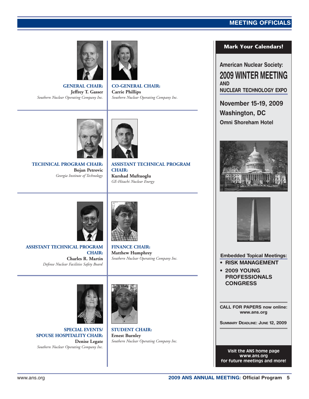### **MEETING OFFICIALS**

<span id="page-4-0"></span>

**GENERAL CHAIR: Jeffrey T. Gasser** *Southern Nuclear Operating Company Inc.*



**CO-GENERAL CHAIR: Carrie Phillips** *Southern Nuclear Operating Company Inc.*



**TECHNICAL PROGRAM CHAIR: Bojan Petrovic** *Georgia Institute of Technology*



**ASSISTANT TECHNICAL PROGRAM CHAIR: Kurshad Muftuoglu** *GE-Hitachi Nuclear Energy*



**ASSISTANT TECHNICAL PROGRAM CHAIR: Charles R. Martin** *Defense Nuclear Facilities Safety Board*



**FINANCE CHAIR: Matthew Humphrey** *Southern Nuclear Operating Company Inc.*



**SPECIAL EVENTS/ SPOUSE HOSPITALITY CHAIR: Denise Legate** *Southern Nuclear Operating Company Inc.*



**Ernest Burnley** *Southern Nuclear Operating Company Inc.*

### **Mark Your Calendars!**

**American Nuclear Society: 2009 WINTER MEETING AND NUCLEAR TECHNOLOGY EXPO**

**November 15-19, 2009 Washington, DC Omni Shoreham Hotel**





**Embedded Topical Meetings:**

- **RISK MANAGEMENT**
- **2009 YOUNG PROFESSIONALS CONGRESS**

**CALL FOR PAPERS now online: www.ans.org**

**SUMMARY DEADLINE: JUNE 12, 2009**

**Visit the ANS home page www.ans.org for future meetings and more!**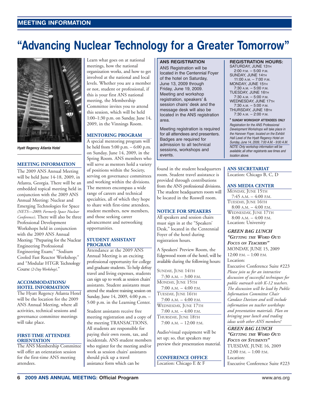# <span id="page-5-0"></span>**"Advancing Nuclear Technology for a Greater Tomorrow"**



**Hyatt Regency Atlanta Hotel**

#### **MEETING INFORMATION**

The 2009 ANS Annual Meeting will be held June 14-18, 2009, in Atlanta, Georgia. There will be an embedded topical meeting held in conjunction with the 2009 ANS Annual Meeting: Nuclear and Emerging Technologies for Space *(NETS—2009; Formerly Space Nuclear Conference)*. There will also be three Professional Development Workshops held in conjunction with the 2009 ANS Annual Meeting: "Preparing for the Nuclear Engineering Professional Engineering Exam;" "Sodium Cooled Fast Reactor Workshop;" and "Modular HTGR Technology Course *(2-Day Workshop)*."

#### **ACCOMMODATIONS/ HOTEL INFORMATION**

The Hyatt Regency Atlanta Hotel will be the location for the 2009 ANS Annual Meeting, where all activities, technical sessions and governance committee meetings will take place.

#### **FIRST-TIME ATTENDEE ORIENTATION**

The ANS Membership Committee will offer an orientation session for the first-time ANS meeting attendees.

Learn what goes on at national meetings, how the national organization works, and how to get involved at the national and local levels. Whether you are a member or not, student or professional, if this is your first ANS national meeting, the Membership Committee invites you to attend this session, which will be held 1:00–1:30 p.m. on Sunday, June 14, 2009, in the Vinnings Room.

#### **MENTORING PROGRAM**

A special mentoring program will be held from 5:00 p.m. – 6:00 p.m. on Sunday, June 14, 2009, in the Spring Room. ANS members who will serve as mentors hold a variety of positions within the Society, serving on governance committees and working within the divisions. The mentors encompass a wide range of careers and technical specialties, all of which they hope to share with first-time attendees, student members, new members, and those seeking career advancement and networking opportunities.

#### **STUDENT ASSISTANT PROGRAM**

Attendance at the 2009 ANS Annual Meeting is an exciting professional opportunity for college and graduate students. To help defray travel and living expenses, students can sign up to work as session chairs' assistants. Student assistants must attend the student training session on Sunday, June 14, 2009, 4:00 p.m. – 5:00 p.m. in the Learning Center.

Student assistants receive free meeting registration and a copy of the meeting TRANSACTIONS. All students are responsible for paying their own room, tax, and incidentals. ANS student members who register for the meeting and/or work as session chairs' assistants should pick up a travel assistance form which can be

#### **ANS REGISTRATION**

ANS Registration will be located in the Centennial Foyer of the hotel on Saturday, June 13, 2009 through Friday, June 19, 2009. Meeting and workshop registration, speakers' & session chairs' desk and the message desk will also be located in the ANS registration area.

Meeting registration is required for all attendees and presenters. Badges are required for admission to all technical sessions, workshops and events.

found in the student headquarters room. Student travel assistance is provided through contributions from the ANS professional divisions. The student headquarters room will be located in the Roswell room.

#### **NOTICE FOR SPEAKERS**

All speakers and session chairs must sign in at the "Speakers' Desk," located in the Centennial Foyer of the hotel during registration hours.

A Speakers' Preview Room, the Edgewood room of the hotel, will be available during the following hours:

SUNDAY, JUNE 14TH 7:30 A.M. – 3:00 P.M. MONDAY, JUNE 15TH 7:00 A.M. – 4:00 P.M. TUESDAY, JUNE 16TH  $7:00$  A.M.  $-4:00$  P.M. WEDNESDAY, JUNE 17TH  $7:00$  A.M.  $-4:00$  P.M. THURSDAY, JUNE 18TH 7:00 A.M. – 12:00 P.M.

Audio/visual equipment will be set up; so, that speakers may preview their presentation material.

#### **CONFERENCE OFFICE**

Location: Chicago E & F

#### **REGISTRATION HOURS:**

SATURDAY, JUNE 13TH 2:00 P.M. – 5:00 P.M. SUNDAY, JUNE 14TH 11:00 A.M. – 7:00 P.M. MONDAY, JUNE 15TH 7:30 A.M. – 5:00 P.M. TUESDAY, JUNE 16TH 7:30 A.M. – 5:00 P.M. WEDNESDAY, JUNE 17TH  $7:30 A.M. - 5:00 P.M.$ THURSDAY, JUNE 18TH 7:30 A.M. – 2:00 P.M.

**\* SUNDAY WORKSHOP ATTENDEES ONLY** Registration for the ANS Professional Development Workshops will take place in the Hanover Foyer, located on the Exhibit Hall Level of the Hyatt Regency Hotel on Sunday, June 14, 2009, 7:00 A.M. - 9:00 A.M. NOTE: Only workshop information will be available; all other registrants see times and location above.

#### **ANS SECRETARIAT**

Location: Chicago B, C, D

#### **ANS MEDIA CENTER**

MONDAY, JUNE 15TH 7:45 A.M. – 4:00 P.M. TUESDAY, JUNE 16TH  $8:00$  A.M.  $-4:00$  P.M. WEDNESDAY, JUNE 17TH 8:00 A.M. – 4:00 P.M. Location: University

*GREEN BAG LUNCH "GETTING THE WORD OUT: FOCUS ON TEACHERS"* MONDAY, JUNE 15, 2009  $12:00 \text{ P.M.} - 1:00 \text{ P.M.}$ Location:

Executive Conference Suite #223 *Please join us for an interactive discussion of successful techniques for public outreach with K-12 teachers. The discussion will be lead by Public Information Committee Chair Candace Davison and will include information on teacher workshops and presentation materials. Plan on bringing your lunch and trading ideas with other ANS members!*

*GREEN BAG LUNCH "GETTING THE WORD OUT: FOCUS ON STUDENTS"* TUESDAY, JUNE 16, 2009 12:00 P.M. – 1:00 P.M. Location: Executive Conference Suite #223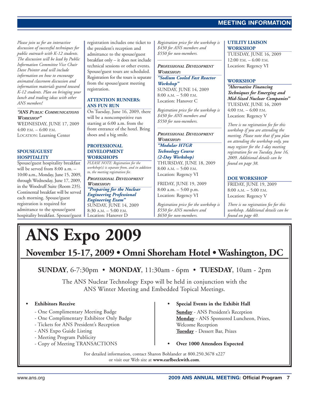### **MEETING INFORMATION**

*Please join us for an interactive discussion of successful techniques for public outreach with K-12 students. The discussion will be lead by Public Information Committee Vice Chair Dave Pointer and will include information on how to encourage animated classroom discussion and information materials geared toward K-12 students. Plan on bringing your lunch and trading ideas with other ANS members!*

#### *"ANS PUBLIC COMMUNICATIONS WORKSHOP"*

WEDNESDAY, JUNE 17, 2009 4:00 P.M. – 6:00 P.M. LOCATION: Learning Center

#### **SPOUSE/GUEST HOSPITALITY**

Spouse/guest hospitality breakfast will be served from 8:00 a.m. – 10:00 a.m., Monday, June 15, 2009, through Wednesday, June 17, 2009, in the Woodruff Suite (Room 235). Continental breakfast will be served each morning. Spouse/guest registration is required for admittance to the spouse/guest hospitality breakfast. Spouse/guest registration includes one ticket to the president's reception and admittance to the spouse/guest breakfast only – it does not include technical sessions or other events. Spouse/guest tours are scheduled. Registration for the tours is separate from the spouse/guest meeting registration.

#### **ATTENTION RUNNERS: ANS FUN RUN**

On Tuesday, June 16, 2009, there will be a noncompetitive run starting at 6:00 a.m. from the front entrance of the hotel. Bring shoes and a big smile.

#### **PROFESSIONAL DEVELOPMENT WORKSHOPS**

*PLEASE NOTE: Registration for the workshop(s) is separate from, and in addition to, the meeting registration fee.*

*PROFESSIONAL DEVELOPMENT WORKSHOP:*

*"Preparing for the Nuclear Engineering Professional Engineering Exam"*

SUNDAY, JUNE 14, 2009<br>8:30 a.m. – 5:00 p.m. Location: Hanover D.

*Registration price for the workshop is \$450 for ANS members and \$550 for non-members.*

#### *PROFESSIONAL DEVELOPMENT WORKSHOP: "Sodium Cooled Fast Reactor*

*Workshop"* SUNDAY, JUNE 14, 2009  $8:00$  A.M.  $-5:00$  P.M. Location: Hanover C

*Registration price for the workshop is \$450 for ANS members and \$550 for non-members.*

*PROFESSIONAL DEVELOPMENT WORKSHOP:*

*"Modular HTGR Technology Course (2-Day Workshop)* THURSDAY, JUNE 18, 2009 8:00 A.M. – 5:00 P.M. Location: Regency VI

FRIDAY, JUNE 19, 2009 8:00 a.m. – 5:00 p.m. Location: Regency VI

*Registration price for the workshop is \$550 for ANS members and \$650 for non-members.*

### **UTILITY LIAISON WORKSHOP**

TUESDAY, JUNE 16, 2009  $12:00$  P.M.  $-$  6:00 P.M. Location: Regency VI

### **WORKSHOP**

*"Alternative Financing Techniques for Emerging and Mid-Sized Nuclear Companies"* TUESDAY, JUNE 16, 2009 4:00 P.M. – 6:00 P.M. Location: Regency V

*There is no registration fee for this workshop if you are attending the meeting. Please note that if you plan on attending the workshop only, you may register for the 1-day meeting registration fee on Tuesday, June 16, 2009. Additional details can be found on page 38.*

### **DOE WORKSHOP**

FRIDAY, JUNE 19, 2009  $8:00$  A.M.  $-5:00$  P.M. Location: Regency V

*There is no registration fee for this workshop. Additional details can be found on page 40.*

# **ANS Expo 2009**

**November 15-17, 2009 • Omni Shoreham Hotel • Washington, DC**

**SUNDAY**, 6-7:30pm • **MONDAY**, 11:30am - 6pm • **TUESDAY**, 10am - 2pm

The ANS Nuclear Technology Expo will be held in conjunction with the ANS Winter Meeting and Embedded Topical Meetings.

### **• Exhibitors Receive**

- One Complimentary Meeting Badge
- One Complimentary Exhibitor Only Badge
- Tickets for ANS President's Reception
- ANS Expo Guide Listing
- Meeting Program Publicity
- Copy of Meeting TRANSACTIONS

**• Special Events in the Exhibit Hall Sunday** - ANS President's Reception **Monday** - ANS Sponsored Luncheon, Prizes, Welcome Reception

**Tuesday** - Dessert Bar, Prizes

**• Over 1000 Attendees Expected**

For detailed information, contact Sharon Bohlander at 800.250.3678 x227 or visit our Web site at **www.earlbeckwith.com**.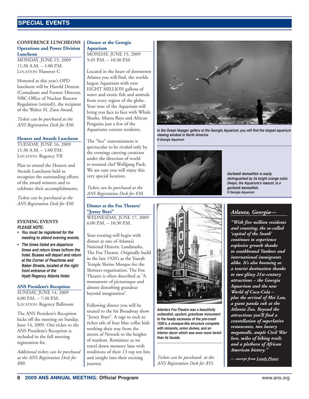### <span id="page-7-0"></span> $S$ **PECIAL EVENTS**

#### **CONFERENCE LUNCHEONS Operations and Power Division Luncheon**

MONDAY, JUNE 15, 2009  $11:30$  A.M.  $-1:00$  P.M. LOCATION: Hanover C

Honored at this year's OPD luncheon will be Harold Denton (Consultant and Former Director, NRC Office of Nuclear Reactor Regulation (retired)), the recipient of the Walter H. Zinn Award.

*Tickets can be purchased at the ANS Registration Desk for \$50.*

#### **Honors and Awards Luncheon**

TUESDAY, JUNE 16, 2009 11:30 A.M. – 1:00 P.M. LOCATION: Regency VII

Plan to attend the Honors and Awards Luncheon held to recognize the outstanding efforts of the award winners and to celebrate their accomplishments.

*Tickets can be purchased at the ANS Registration Desk for \$50.*

#### **EVENING EVENTS PLEASE NOTE:**

- **• You must be registered for the meeting to attend evening events.**
- **• The times listed are departure times and return times to/from the hotel. Busses will depart and return at the Corner of Peachtree and Baker Streets, located at the right front entrance of the Hyatt Regency Atlanta Hotel.**

#### **ANS President's Reception**

SUNDAY, JUNE 14, 2009 6:00 P.M. – 7:30 P.M. LOCATION: Regency Ballroom

The ANS President's Reception kicks off the meeting on Sunday, June 14, 2009. One ticket to the ANS President's Reception is included in the full meeting registration fee.

*Additional tickets can be purchased at the ANS Registration Desk for \$80.*

#### **Dinner at the Georgia Aquarium**

MONDAY, JUNE 15, 2009 5:45 P.M. – 10:30 P.M.

Located in the heart of downtown Atlanta you will find, the worlds largest Aquarium with over EIGHT MILLION gallons of water and exotic fish and animals from every region of the globe. Your tour of the Aquarium will bring you face to face with Whale Sharks, Manta Rays and African Penguins just a few of the Aquariums current residents.

The "live" entertainment is spectacular to be rivaled only by the evenings catering creations under the direction of world re-nouned chef Wolfgang Puck. We are sure you will enjoy this very special location.

*Tickets can be purchased at the ANS Registration Desk for \$50.*

**Dinner at the Fox Theatre/ "Jersey Boys"** WEDNESDAY, JUNE 17, 2009 6:00 P.M. – 10:30 P.M.

Your evening will begin with dinner at one of Atlanta's National Historic Landmarks, The Fox Theatre. Originally build in the late 1920's as the Yaarab Temple Shrine Mosque for the Shriners organization. The Fox Theatre is often described as "A monument of picturesque and almost disturbing grandeur beyond imagination".

Following dinner you will be treated to the hit Broadway show "Jersey Boys". A rags to rock to riches tale of four blue collar kids working their way from the streets of Newark to the heights of stardom. Reminisce as we travel down memory lane with renditions of their 13 top ten hits and insight into their exciting journey.



**In the Ocean Voyager gallery at the Georgia Aquarium, you will find the largest aquarium viewing window in North America. © Georgia Aquarium**



*Tickets can be purchased at the ANS Registration Desk for \$55.*

**than its facade.**

**Atlanta's Fox Theatre was a beautifully outlandish, opulent, grandiose monument to the heady excesses of the pre-crash 1920's, a mosque-like structure complete with minarets, onion domes, and an interior decor which was even more lavish**

**Garibaldi damselfish is easily distinguished by its bright orange color. Deepo, the Aquarium's mascot, is a garibaldi damselfish. © Georgia Aquarium**

### *Atlanta, Georgia—*

*"With five million residents and counting, the so-called 'capital of the South' continues to experience explosive growth thanks to southbound Yankees and international immigrants alike. It's also booming as a tourist destination thanks to two glitzy 21st-century attractions – the Georgia Aquarium and the new World of Coca-Cola – plus the arrival of Mei Lan, a giant panda cub at the Atlanta Zoo. Beyond the attractions you'll find a constellation of superlative restaurants, two luxury megamalls, ample Civil War lore, miles of hiking trails and a plethora of African American history."*

*— excerpt from Lonely Planet*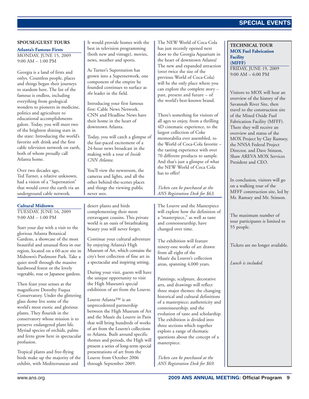#### **SPOUSE/GUEST TOURS**

**Atlanta's Famous Firsts**

MONDAY, JUNE 15, 2009 9:00 AM – 1:00 PM

Georgia is a land of firsts and onlys. Countless people, places and things began their journeys to stardom here. The list of the famous is endless, including everything from geological wonders to pioneers in medicine, politics and agriculture to educational accomplishments galore. Today, you will meet two of the brightest shining stars in the state: Introducing the world's favorite soft drink and the first cable television network on earth, both of whom proudly call Atlanta home.

Over two decades ago, Ted Turner, a relative unknown, had a vision of a "Superstation" that would cover the earth via an underground cable network.

#### **Cultural Midtown**

TUESDAY, JUNE 16, 2009 9:00 AM – 1:00 PM

Start your day with a visit to the glorious Atlanta Botanical Gardens, a showcase of the most beautiful and unusual flora in our region, located on a 60-acre site in Midtown's Piedmont Park. Take a quiet stroll through the massive hardwood forest or the lovely vegetable, rose or Japanese gardens.

Then feast your senses at the magnificent Dorothy Fuqua Conservatory. Under the glittering glass dome live some of the world's most exotic and glorious plants. They flourish in the conservatory whose mission is to preserve endangered plant life. Myriad species of orchids, palms and ferns grow here in spectacular profusion.

Tropical plants and free-flying birds make up the majority of the exhibit, with Mediterranean and

desert plants and birds complementing their more extravagant cousins. This private world is an oasis of breathtaking beauty you will never forget.

It would provide homes with the best in television programming (both new and vintage), movies, news, weather and sports.

As Turner's Superstation has grown into a Supernetwork, one component of the empire he founded continues to surface as

Introducing your first famous first: Cable News Network. CNN and Headline News have their home in the heart of downtown Atlanta.

Today, you will catch a glimpse of the fast-paced excitement of a 24-hour news broadcast in the making with a tour of *Inside*

You'll view the newsroom, the cameras and lights, and all the other behind-the-scenes places and things the viewing public

*the* leader in the field.

*CNN Atlanta*.

never sees.

Continue your cultural adventure by enjoying Atlanta's High Museum of Art, which contains the city's best collection of fine art in a spectacular and inspiring setting.

During your visit, guests will have the unique opportunity to visit the High Museum's special exhibition of art from the Louvre.

Louvre Atlanta™ is an unprecedented partnership between the High Museum of Art and the Musée du Louvre in Paris that will bring hundreds of works of art from the Louvre's collections to Atlanta. Built around specific themes and periods, the High will present a series of long-term special presentations of art from the Louvre from October 2006 through September 2009.

The NEW World of Coca Cola has just recently opened next door to the Georgia Aquarium in the heart of downtown Atlanta! The new and expanded attraction (over twice the size of the previous World of Coca-Cola) will be the only place where you can explore the complete story – past, present and future – of the world's best-known brand.

There's something for visitors of all ages to enjoy, from a thrilling 4D cinematic experience, to the largest collection of Coke memorabilia ever assembled, to the World of Coca-Cola favorite the tasting experience with over 70 different products to sample. And that's just a glimpse of what the NEW World of Coca Cola has to offer!

*Tickets can be purchased at the ANS Registration Desk for \$63.*

The Louvre and the Masterpiece will explore how the definition of a "masterpiece," as well as taste and connoisseurship, have changed over time.

The exhibition will feature ninety-one works of art drawn from all eight of the Musée du Louvre's collection areas, spanning 4,000 years.

Paintings, sculpture, decorative arts, and drawings will reflect three major themes: the changing historical and cultural definitions of a masterpiece; authenticity and connoisseurship; and the evolution of taste and scholarship. The exhibition is divided into three sections which together explore a range of thematic questions about the concept of a masterpiece.

*Tickets can be purchased at the ANS Registration Desk for \$69.* **TECHNICAL TOUR MOX Fuel Fabrication Facility (MFFF)**

FRIDAY, JUNE 19, 2009 9:00 AM – 6:00 PM

| ŗ<br>t | Visitors to MOX will hear an<br>overview of the history of the<br>Savannah River Site, then<br>travel to the construction site<br>of the Mixed Oxide Fuel<br>Fabrication Facility (MFFF).<br>There they will receive an<br>overview and status of the<br>MOX Project by Clay Ramsey,<br>the NNSA Federal Project<br>Director, and Dave Stinson,<br>Shaw AREVA MOX Services<br>President and CEO. |
|--------|--------------------------------------------------------------------------------------------------------------------------------------------------------------------------------------------------------------------------------------------------------------------------------------------------------------------------------------------------------------------------------------------------|
|        | In conclusion, visitors will go<br>on a walking tour of the<br>MFFF construction site, led by<br>Mr. Ramsey and Mr. Stinson.                                                                                                                                                                                                                                                                     |
| эf     | The maximum number of<br>tour participants is limited to<br>55 people.                                                                                                                                                                                                                                                                                                                           |
|        | Tickets are no longer available.                                                                                                                                                                                                                                                                                                                                                                 |
|        | Lunch is included.                                                                                                                                                                                                                                                                                                                                                                               |
|        |                                                                                                                                                                                                                                                                                                                                                                                                  |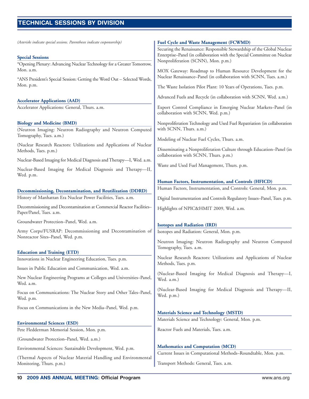### <span id="page-9-0"></span>**TECHNICAL SESSIONS SESSIONS BY DIVISION**

*(Asterisks indicate special sessions. Parentheses indicate cosponsorship)*

#### **Special Sessions**

\*Opening Plenary: Advancing Nuclear Technology for a Greater Tomorrow, Mon. a.m.

\*ANS President's Special Session: Getting the Word Out – Selected Words, Mon. p.m.

#### **Accelerator Applications (AAD)**

Accelerator Applications: General, Thurs. a.m.

#### **Biology and Medicine (BMD)**

(Neutron Imaging: Neutron Radiography and Neutron Computed Tomography, Tues. a.m.)

(Nuclear Research Reactors: Utilizations and Applications of Nuclear Methods, Tues. p.m.)

Nuclear-Based Imaging for Medical Diagnosis and Therapy—I, Wed. a.m.

Nuclear-Based Imaging for Medical Diagnosis and Therapy—II, Wed. p.m.

#### **Decommissioning, Decontamination, and Reutilization (DDRD)**

History of Manhattan Era Nuclear Power Facilities, Tues. a.m.

Decommissioning and Decontamination at Commercial Reactor Facilities– Paper/Panel, Tues. a.m.

Groundwater Protection–Panel, Wed. a.m.

Army Corps/FUSRAP: Decommissioning and Decontamination of Nonreactor Sites–Panel, Wed. p.m.

#### **Education and Training (ETD)**

Innovations in Nuclear Engineering Education, Tues. p.m.

Issues in Public Education and Communication, Wed. a.m.

New Nuclear Engineering Programs at Colleges and Universities–Panel, Wed. a.m.

Focus on Communications: The Nuclear Story and Other Tales–Panel, Wed. p.m.

Focus on Communications in the New Media–Panel, Wed. p.m.

#### **Environmental Sciences (ESD)**

Pete Fledderman Memorial Session, Mon. p.m.

(Groundwater Protection–Panel, Wed. a.m.)

Environmental Sciences: Sustainable Development, Wed. p.m.

(Thermal Aspects of Nuclear Material Handling and Environmental Monitoring, Thurs. p.m.)

#### **Fuel Cycle and Waste Management (FCWMD)**

Securing the Renaissance: Responsible Stewardship of the Global Nuclear Enterprise–Panel (in collaboration with the Special Committee on Nuclear Nonproliferation (SCNN), Mon. p.m.)

MOX Gateway: Roadmap to Human Resource Development for the Nuclear Renaissance–Panel (in collaboration with SCNN, Tues. a.m.)

The Waste Isolation Pilot Plant: 10 Years of Operations, Tues. p.m.

Advanced Fuels and Recycle (in collaboration with SCNN, Wed. a.m.)

Export Control Compliance in Emerging Nuclear Markets–Panel (in collaboration with SCNN, Wed. p.m.)

Nonproliferation Technology and Used Fuel Repatriation (in collaboration with SCNN, Thurs. a.m.)

Modeling of Nuclear Fuel Cycles, Thurs. a.m.

Disseminating a Nonproliferation Culture through Education–Panel (in collaboration with SCNN, Thurs. p.m.)

Waste and Used Fuel Management, Thurs. p.m.

#### **Human Factors, Instrumentation, and Controls (HFICD)**

Human Factors, Instrumentation, and Controls: General, Mon. p.m.

Digital Instrumentation and Controls Regulatory Issues–Panel, Tues. p.m.

Highlights of NPIC&HMIT 2009, Wed. a.m.

#### **Isotopes and Radiation (IRD)**

Isotopes and Radiation: General, Mon. p.m.

Neutron Imaging: Neutron Radiography and Neutron Computed Tomography, Tues. a.m.

Nuclear Research Reactors: Utilizations and Applications of Nuclear Methods, Tues. p.m.

(Nuclear-Based Imaging for Medical Diagnosis and Therapy—I, Wed. a.m.)

(Nuclear-Based Imaging for Medical Diagnosis and Therapy—II, Wed. p.m.)

### **Materials Science and Technology (MSTD)**

Materials Science and Technology: General, Mon. p.m.

Reactor Fuels and Materials, Tues. a.m.

#### **Mathematics and Computation (MCD)**

Current Issues in Computational Methods–Roundtable, Mon. p.m.

Transport Methods: General, Tues. a.m.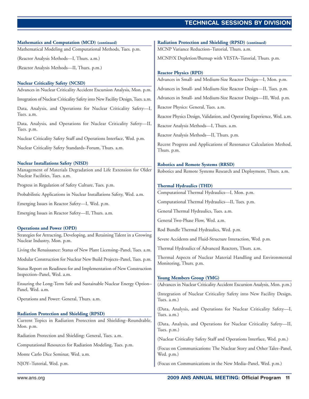### **TECHNICAL SESSIONS TECHNICAL SESSIONS BY DIVISION**

| Mathematics and Computation (MCD) (continued)                                                                                                    | <b>Radiation Protection and Shielding (RPSD) (continued)</b>                                                  |
|--------------------------------------------------------------------------------------------------------------------------------------------------|---------------------------------------------------------------------------------------------------------------|
| Mathematical Modeling and Computational Methods, Tues. p.m.                                                                                      | MCNP Variance Reduction-Tutorial, Thurs. a.m.                                                                 |
| (Reactor Analysis Methods-I, Thurs. a.m.)                                                                                                        | MCNP/X Depletion/Burnup with VESTA-Tutorial, Thurs. p.m.                                                      |
| (Reactor Analysis Methods-II, Thurs. p.m.)                                                                                                       | <b>Reactor Physics (RPD)</b>                                                                                  |
| <b>Nuclear Criticality Safety (NCSD)</b>                                                                                                         | Advances in Small- and Medium-Size Reactor Design-I, Mon. p.m.                                                |
| Advances in Nuclear Criticality Accident Excursion Analysis, Mon. p.m.                                                                           | Advances in Small- and Medium-Size Reactor Design-II, Tues. p.m.                                              |
| Integration of Nuclear Criticality Safety into New Facility Design, Tues. a.m.                                                                   | Advances in Small- and Medium-Size Reactor Design-III, Wed. p.m.                                              |
| Data, Analysis, and Operations for Nuclear Criticality Safety-I,                                                                                 | Reactor Physics: General, Tues. a.m.                                                                          |
| Tues. a.m.                                                                                                                                       | Reactor Physics Design, Validation, and Operating Experience, Wed. a.m.                                       |
| Data, Analysis, and Operations for Nuclear Criticality Safety-II,<br>Tues. p.m.                                                                  | Reactor Analysis Methods-I, Thurs. a.m.                                                                       |
| Nuclear Criticality Safety Staff and Operations Interface, Wed. p.m.                                                                             | Reactor Analysis Methods-II, Thurs. p.m.                                                                      |
| Nuclear Criticality Safety Standards-Forum, Thurs. a.m.                                                                                          | Recent Progress and Applications of Resonance Calculation Method,<br>Thurs. p.m.                              |
| <b>Nuclear Installations Safety (NISD)</b><br>Management of Materials Degradation and Life Extension for Older<br>Nuclear Facilities, Tues. a.m. | <b>Robotics and Remote Systems (RRSD)</b><br>Robotics and Remote Systems Research and Deployment, Thurs. a.m. |
| Progress in Regulation of Safety Culture, Tues. p.m.                                                                                             | <b>Thermal Hydraulics (THD)</b>                                                                               |
| Probabilistic Applications in Nuclear Installations Safety, Wed. a.m.                                                                            | Computational Thermal Hydraulics-I, Mon. p.m.                                                                 |
| Emerging Issues in Reactor Safety-I, Wed. p.m.                                                                                                   | Computational Thermal Hydraulics-II, Tues. p.m.                                                               |
| Emerging Issues in Reactor Safety-II, Thurs. a.m.                                                                                                | General Thermal Hydraulics, Tues. a.m.                                                                        |
|                                                                                                                                                  | General Two-Phase Flow, Wed. a.m.                                                                             |
| <b>Operations and Power (OPD)</b><br>Strategies for Attracting, Developing, and Retaining Talent in a Growing                                    | Rod Bundle Thermal Hydraulics, Wed. p.m.                                                                      |
| Nuclear Industry, Mon. p.m.                                                                                                                      | Severe Accidents and Fluid-Structure Interaction, Wed. p.m.                                                   |
| Living the Renaissance: Status of New Plant Licensing-Panel, Tues. a.m.                                                                          | Thermal Hydraulics of Advanced Reactors, Thurs. a.m.                                                          |
| Modular Construction for Nuclear New Build Projects-Panel, Tues. p.m.                                                                            | Thermal Aspects of Nuclear Material Handling and Environmental<br>Monitoring, Thurs. p.m.                     |
| Status Report on Readiness for and Implementation of New Construction<br>Inspection-Panel, Wed. a.m.                                             |                                                                                                               |
| Ensuring the Long-Term Safe and Sustainable Nuclear Energy Option-                                                                               | <b>Young Members Group (YMG)</b><br>(Advances in Nuclear Criticality Accident Excursion Analysis, Mon. p.m.)  |
| Panel, Wed. a.m.                                                                                                                                 | (Integration of Nuclear Criticality Safety into New Facility Design,                                          |
| Operations and Power: General, Thurs. a.m.                                                                                                       | Tues. a.m.)                                                                                                   |
| <b>Radiation Protection and Shielding (RPSD)</b>                                                                                                 | (Data, Analysis, and Operations for Nuclear Criticality Safety-I,<br>Tues. a.m.)                              |
| Current Topics in Radiation Protection and Shielding-Roundtable,<br>Mon. p.m.                                                                    | (Data, Analysis, and Operations for Nuclear Criticality Safety-II,<br>Tues. p.m.)                             |
| Radiation Protection and Shielding: General, Tues. a.m.                                                                                          | (Nuclear Criticality Safety Staff and Operations Interface, Wed. p.m.)                                        |
| Computational Resources for Radiation Modeling, Tues. p.m.                                                                                       | (Focus on Communications: The Nuclear Story and Other Tales-Panel,                                            |
| Monte Carlo Dice Seminar, Wed. a.m.                                                                                                              | Wed. p.m.)                                                                                                    |
| NJOY-Tutorial, Wed. p.m.                                                                                                                         | (Focus on Communications in the New Media-Panel, Wed. p.m.)                                                   |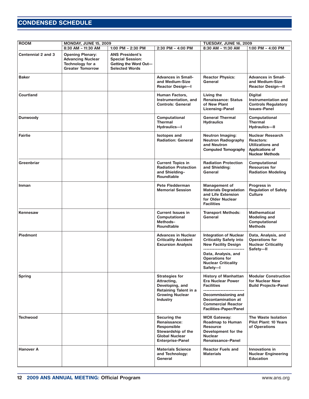### <span id="page-11-0"></span>**TECHNICAL SESSIONS CONDENSED SCHEDULE**

| <b>ROOM</b><br><b>MONDAY, JUNE 15, 2009</b><br>TUESDAY, JUNE 16, 2009 |                                                                                                    |                                                                                                     |                                                                                                                       |                                                                                                                                        |                                                                                                                            |
|-----------------------------------------------------------------------|----------------------------------------------------------------------------------------------------|-----------------------------------------------------------------------------------------------------|-----------------------------------------------------------------------------------------------------------------------|----------------------------------------------------------------------------------------------------------------------------------------|----------------------------------------------------------------------------------------------------------------------------|
|                                                                       | 8:30 AM - 11:30 AM                                                                                 | 1:00 PM - 2:30 PM                                                                                   | 2:30 PM - 4:00 PM                                                                                                     | 8:30 AM - 11:30 AM                                                                                                                     | 1:00 PM $-$ 4:00 PM                                                                                                        |
| Centennial 2 and 3                                                    | <b>Opening Plenary:</b><br><b>Advancing Nuclear</b><br>Technology for a<br><b>Greater Tomorrow</b> | <b>ANS President's</b><br><b>Special Session:</b><br>Getting the Word Out-<br><b>Selected Words</b> |                                                                                                                       |                                                                                                                                        |                                                                                                                            |
| <b>Baker</b>                                                          |                                                                                                    |                                                                                                     | <b>Advances in Small-</b><br>and Medium-Size<br><b>Reactor Design-I</b>                                               | <b>Reactor Physics:</b><br>General                                                                                                     | <b>Advances in Small-</b><br>and Medium-Size<br><b>Reactor Design-II</b>                                                   |
| Courtland                                                             |                                                                                                    |                                                                                                     | <b>Human Factors,</b><br>Instrumentation, and<br><b>Controls: General</b>                                             | Living the<br><b>Renaissance: Status</b><br>of New Plant<br><b>Licensing-Panel</b>                                                     | <b>Digital</b><br>Instrumentation and<br><b>Controls Regulatory</b><br><b>Issues-Panel</b>                                 |
| <b>Dunwoody</b>                                                       |                                                                                                    |                                                                                                     | Computational<br><b>Thermal</b><br>Hydraulics-I                                                                       | <b>General Thermal</b><br><b>Hydraulics</b>                                                                                            | Computational<br><b>Thermal</b><br><b>Hydraulics-II</b>                                                                    |
| <b>Fairlie</b>                                                        |                                                                                                    |                                                                                                     | <b>Isotopes and</b><br><b>Radiation: General</b>                                                                      | <b>Neutron Imaging:</b><br><b>Neutron Radiography</b><br>and Neutron<br><b>Computed Tomography</b>                                     | <b>Nuclear Research</b><br><b>Reactors:</b><br><b>Utilizations and</b><br><b>Applications of</b><br><b>Nuclear Methods</b> |
| Greenbriar                                                            |                                                                                                    |                                                                                                     | <b>Current Topics in</b><br><b>Radiation Protection</b><br>and Shielding-<br>Roundtable                               | <b>Radiation Protection</b><br>and Shielding:<br>General                                                                               | Computational<br><b>Resources for</b><br><b>Radiation Modeling</b>                                                         |
| Inman                                                                 |                                                                                                    |                                                                                                     | Pete Fledderman<br><b>Memorial Session</b>                                                                            | <b>Management of</b><br><b>Materials Degradation</b><br>and Life Extension<br>for Older Nuclear<br><b>Facilities</b>                   | Progress in<br><b>Regulation of Safety</b><br><b>Culture</b>                                                               |
| <b>Kennesaw</b>                                                       |                                                                                                    |                                                                                                     | <b>Current Issues in</b><br><b>Computational</b><br>Methods-<br>Roundtable                                            | <b>Transport Methods:</b><br>General                                                                                                   | <b>Mathematical</b><br>Modeling and<br><b>Computational</b><br><b>Methods</b>                                              |
| <b>Piedmont</b>                                                       |                                                                                                    |                                                                                                     | <b>Advances in Nuclear</b><br><b>Criticality Accident</b><br><b>Excursion Analysis</b>                                | <b>Integration of Nuclear</b><br><b>Criticality Safety into</b><br><b>New Facility Design</b>                                          | Data, Analysis, and<br><b>Operations for</b><br><b>Nuclear Criticality</b><br>Safety-II                                    |
|                                                                       |                                                                                                    |                                                                                                     |                                                                                                                       | Data, Analysis, and<br><b>Operations for</b><br><b>Nuclear Criticality</b><br>Safety-I                                                 |                                                                                                                            |
| <b>Spring</b>                                                         |                                                                                                    |                                                                                                     | <b>Strategies for</b><br>Attracting,<br>Developing, and<br><b>Retaining Talent in a</b>                               | <b>History of Manhattan</b><br><b>Era Nuclear Power</b><br><b>Facilities</b><br>--------------------------                             | <b>Modular Construction</b><br>for Nuclear New<br><b>Build Projects-Panel</b>                                              |
|                                                                       |                                                                                                    |                                                                                                     | <b>Growing Nuclear</b><br><b>Industry</b>                                                                             | Decommissioning and<br><b>Decontamination at</b><br><b>Commercial Reactor</b><br><b>Facilities-Paper/Panel</b>                         |                                                                                                                            |
| <b>Techwood</b>                                                       |                                                                                                    |                                                                                                     | Securing the<br>Renaissance:<br>Responsible<br>Stewardship of the<br><b>Global Nuclear</b><br><b>Enterprise-Panel</b> | <b>MOX Gateway:</b><br><b>Roadmap to Human</b><br><b>Resource</b><br>Development for the<br><b>Nuclear</b><br><b>Renaissance-Panel</b> | The Waste Isolation<br><b>Pilot Plant: 10 Years</b><br>of Operations                                                       |
| <b>Hanover A</b>                                                      |                                                                                                    |                                                                                                     | <b>Materials Science</b><br>and Technology:<br>General                                                                | <b>Reactor Fuels and</b><br><b>Materials</b>                                                                                           | Innovations in<br><b>Nuclear Engineering</b><br><b>Education</b>                                                           |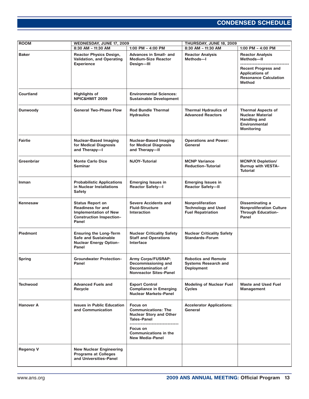### **TECHNICAL SESSIONS CONDENSED SCHEDULE**

| <b>ROOM</b><br>WEDNESDAY, JUNE 17, 2009 |                                                                                                                                 | THURSDAY, JUNE 18, 2009                                                                                                                                              |                                                                                |                                                                                                                                                |
|-----------------------------------------|---------------------------------------------------------------------------------------------------------------------------------|----------------------------------------------------------------------------------------------------------------------------------------------------------------------|--------------------------------------------------------------------------------|------------------------------------------------------------------------------------------------------------------------------------------------|
|                                         | 8:30 AM - 11:30 AM                                                                                                              | 1:00 PM $-$ 4:00 PM                                                                                                                                                  | 8:30 AM - 11:30 AM                                                             | 1:00 PM - 4:00 PM                                                                                                                              |
| <b>Baker</b>                            | <b>Reactor Physics Design,</b><br><b>Validation, and Operating</b><br><b>Experience</b>                                         | <b>Advances in Small- and</b><br><b>Medium-Size Reactor</b><br>Design-III                                                                                            | <b>Reactor Analysis</b><br>Methods-I                                           | <b>Reactor Analysis</b><br>Methods-II<br><b>Recent Progress and</b><br><b>Applications of</b><br><b>Resonance Calculation</b><br><b>Method</b> |
| Courtland                               | <b>Highlights of</b><br>NPIC&HMIT 2009                                                                                          | <b>Environmental Sciences:</b><br><b>Sustainable Development</b>                                                                                                     |                                                                                |                                                                                                                                                |
| <b>Dunwoody</b>                         | <b>General Two-Phase Flow</b>                                                                                                   | <b>Rod Bundle Thermal</b><br><b>Hydraulics</b>                                                                                                                       | <b>Thermal Hydraulics of</b><br><b>Advanced Reactors</b>                       | <b>Thermal Aspects of</b><br><b>Nuclear Material</b><br><b>Handling and</b><br><b>Environmental</b><br><b>Monitoring</b>                       |
| <b>Fairlie</b>                          | <b>Nuclear-Based Imaging</b><br>for Medical Diagnosis<br>and Therapy-I                                                          | <b>Nuclear-Based Imaging</b><br>for Medical Diagnosis<br>and Therapy-II                                                                                              | <b>Operations and Power:</b><br>General                                        |                                                                                                                                                |
| Greenbriar                              | <b>Monte Carlo Dice</b><br><b>Seminar</b>                                                                                       | <b>NJOY-Tutorial</b>                                                                                                                                                 | <b>MCNP Variance</b><br><b>Reduction-Tutorial</b>                              | <b>MCNP/X Depletion/</b><br><b>Burnup with VESTA-</b><br><b>Tutorial</b>                                                                       |
| Inman                                   | <b>Probabilistic Applications</b><br>in Nuclear Installations<br><b>Safety</b>                                                  | <b>Emerging Issues in</b><br><b>Reactor Safety-I</b>                                                                                                                 | <b>Emerging Issues in</b><br><b>Reactor Safety-II</b>                          |                                                                                                                                                |
| <b>Kennesaw</b>                         | <b>Status Report on</b><br><b>Readiness for and</b><br><b>Implementation of New</b><br><b>Construction Inspection-</b><br>Panel | <b>Severe Accidents and</b><br><b>Fluid-Structure</b><br><b>Interaction</b>                                                                                          | Nonproliferation<br><b>Technology and Used</b><br><b>Fuel Repatriation</b>     | <b>Disseminating a</b><br><b>Nonproliferation Culture</b><br><b>Through Education-</b><br>Panel                                                |
| <b>Piedmont</b>                         | <b>Ensuring the Long-Term</b><br><b>Safe and Sustainable</b><br><b>Nuclear Energy Option-</b><br>Panel                          | <b>Nuclear Criticality Safety</b><br><b>Staff and Operations</b><br>Interface                                                                                        | <b>Nuclear Criticality Safety</b><br><b>Standards-Forum</b>                    |                                                                                                                                                |
| <b>Spring</b>                           | <b>Groundwater Protection-</b><br>Panel                                                                                         | Army Corps/FUSRAP:<br>Decommissioning and<br><b>Decontamination of</b><br><b>Nonreactor Sites-Panel</b>                                                              | <b>Robotics and Remote</b><br><b>Systems Research and</b><br><b>Deployment</b> |                                                                                                                                                |
| <b>Techwood</b>                         | <b>Advanced Fuels and</b><br>Recycle                                                                                            | <b>Export Control</b><br><b>Compliance in Emerging</b><br><b>Nuclear Markets-Panel</b>                                                                               | <b>Modeling of Nuclear Fuel</b><br><b>Cycles</b>                               | <b>Waste and Used Fuel</b><br><b>Management</b>                                                                                                |
| <b>Hanover A</b>                        | <b>Issues in Public Education</b><br>and Communication                                                                          | Focus on<br><b>Communications: The</b><br><b>Nuclear Story and Other</b><br><b>Tales-Panel</b><br>Focus on<br><b>Communications in the</b><br><b>New Media-Panel</b> | <b>Accelerator Applications:</b><br>General                                    |                                                                                                                                                |
| <b>Regency V</b>                        | <b>New Nuclear Engineering</b><br><b>Programs at Colleges</b><br>and Universities-Panel                                         |                                                                                                                                                                      |                                                                                |                                                                                                                                                |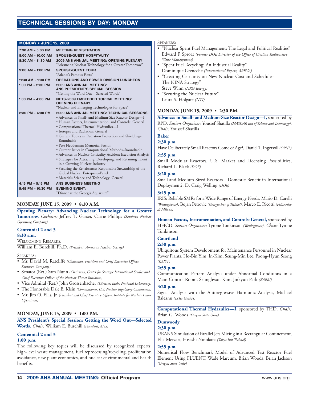#### <span id="page-13-0"></span>**MONDAY • JUNE 15, 2009**

| $7:30$ AM $-5:00$ PM   | <b>MEETING REGISTRATION</b>                                                                                   |
|------------------------|---------------------------------------------------------------------------------------------------------------|
| $8:00$ AM $-$ 10:00 AM | <b>SPOUSE/GUEST HOSPITALITY</b>                                                                               |
|                        |                                                                                                               |
| 8:30 AM - 11:30 AM     | 2009 ANS ANNUAL MEETING: OPENING PLENARY                                                                      |
|                        | "Advancing Nuclear Technology for a Greater Tomorrow"                                                         |
| $9:00$ AM $-$ 1:00 PM  | <b>SPOUSE/GUEST TOUR</b><br>"Atlanta's Famous Firsts"                                                         |
| 11:30 AM - 1:00 PM     | <b>OPERATIONS AND POWER DIVISION LUNCHEON</b>                                                                 |
| 1:00 PM $- 2:30$ PM    | <b>2009 ANS ANNUAL MEETING:</b><br>ANS PRESIDENT'S SPECIAL SESSION<br>"Getting the Word Out - Selected Words" |
| 1:00 PM $-$ 4:00 PM    | <b>NETS-2009 EMBEDDED TOPICAL MEETING:</b>                                                                    |
|                        | <b>OPENING PLENARY</b>                                                                                        |
|                        | "Nuclear and Emerging Technologies for Space"                                                                 |
| $2:30$ PM $-$ 4:00 PM  | 2009 ANS ANNUAL MEETING: TECHNICAL SESSIONS                                                                   |
|                        | • Advances in Small- and Medium-Size Reactor Design-I                                                         |
|                        | • Human Factors, Instrumentation, and Controls: General                                                       |
|                        |                                                                                                               |
|                        | • Computational Thermal Hydraulics-I<br>· Isotopes and Radiation: General                                     |
|                        | • Current Topics in Radiation Protection and Shielding-<br>Roundtable                                         |
|                        | • Pete Fledderman Memorial Session                                                                            |
|                        | • Current Issues in Computational Methods-Roundtable                                                          |
|                        | • Advances in Nuclear Criticality Accident Excursion Analysis                                                 |
|                        | • Strategies for Attracting, Developing, and Retaining Talent                                                 |
|                        | in a Growing Nuclear Industry                                                                                 |
|                        | • Securing the Renaissance: Responsible Stewardship of the                                                    |
|                        | Global Nuclear Enterprise-Panel                                                                               |
|                        | · Materials Science and Technology: General                                                                   |
| 4:15 PM - 5:15 PM      | ANS BUSINESS MEETING                                                                                          |
| 5:45 PM - 10:30 PM     | <b>EVENING EVENT:</b>                                                                                         |
|                        | "Dinner at the Georgia Aquarium"                                                                              |

#### **MONDAY, JUNE 15, 2009 • 8:30 A.M.**

**Opening Plenary: Advancing Nuclear Technology for a Greater Tomorrow.** *Cochairs:* Jeffrey T. Gasser, Carrie Phillips *(Southern Nuclear Operating Company)*

#### **Centennial 2 and 3**

#### **8:30 a.m.**

WELCOMING REMARKS:

William E. Burchill, Ph.D. *(President, American Nuclear Society)*

#### SPEAKERS:

- Mr. David M. Ratcliffe *(Chairman, President and Chief Executive Officer, Southern Company)*
- Senator (Ret.) Sam Nunn *(Chairman, Center for Strategic International Studies and Chief Executive Officer of the Nuclear Threat Initiative)*
- Vice Admiral (Ret.) John Grossenbacher *(Director, Idaho National Laboratory)*
- The Honorable Dale E. Klein *(Commissioner, U.S. Nuclear Regulatory Commission)*
- Mr. Jim O. Ellis, Jr. *(President and Chief Executive Officer, Institute for Nuclear Power Operations)*

#### **MONDAY, JUNE 15, 2009 • 1:00 P.M.**

#### **ANS President's Special Session: Getting the Word Out—Selected Words.** *Chair:* William E. Burchill *(President, ANS)*

#### **Centennial 2 and 3**

#### **1:00 p.m.**

The following key topics will be discussed by recognized experts: high-level waste management, fuel reprocessing/recycling, proliferation avoidance, new plant economics, and nuclear environmental and health benefits.

#### SPEAKERS:

- "Nuclear Spent Fuel Management: The Legal and Political Realities" Edward F. Sproat *(Former DOE Director of the Office of Civilian Radioactive Waste Management)*
- "Spent Fuel Recycling: An Industrial Reality" Dominique Greneche *(International Expert, AREVA)*
- "Creating Certainty on New Nuclear Cost and Schedule– The NINA Strategy" Steve Winn *(NRG Energy)*
- "Securing the Nuclear Future" Laura S. Holgate *(NTI)*

#### **MONDAY, JUNE 15, 2009 • 2:30 P.M.**

**Advances in Small- and Medium-Size Reactor Design—I,** sponsored by RPD. *Session Organizer:* Youssef Shatilla *(MASDAR Inst of Science and Technology)*. *Chair:* Youssef Shatilla

#### **Baker**

#### **2:30 p.m.**

Have Deliberately Small Reactors Come of Age?, Daniel T. Ingersoll *(ORNL)*

#### **2:55 p.m.**

Small Modular Reactors, U.S. Market and Licensing Possibilities, Richard L. Black *(DOE)*

#### **3:20 p.m.**

Small and Medium Sized Reactors—Domestic Benefit in International Deployment?, D. Craig Welling *(DOE)*

#### **3:45 p.m.**

IRIS: Reliable SMRs for a Wide Range of Energy Needs, Mario D. Carelli *(Westinghouse)*, Bojan Petrovic *(Georgia Inst of Technol)*, Marco E. Ricotti *(Politecnico di Milano)*

**Human Factors, Instrumentation, and Controls: General,** sponsored by HFICD. *Session Organizer:* Tyrone Tonkinson *(Westinghouse)*. *Chair:* Tyrone Tonkinson

### **Courtland**

#### **2:30 p.m.**

Ubiquitous System Development for Maintenance Personnel in Nuclear Power Plants, Ho-Bin Yim, In-Kim, Seung-Min Lee, Poong-Hyun Seong *(KAIST)*

#### **2:55 p.m.**

Communication Pattern Analysis under Abnormal Conditions in a Main Control Room, Seunghwan Kim, Jinkyun Park *(KAERI)*

#### **3:20 p.m.**

Signal Analysis with the Autoregressive Harmonic Analysis, Michael Baleanu *(ISTec GmbH)*

**Computational Thermal Hydraulics—I,** sponsored by THD. *Chair:* Brian G. Woods *(Oregon State Univ)*

#### **Dunwoody**

#### **2:30 p.m.**

URANS Simulation of Parallel Jets Mixing in a Rectangular Confinement, Elia Merzari, Hisashi Ninokata *(Tokyo Inst Technol)*

#### **2:55 p.m.**

Numerical Flow Benchmark Model of Advanced Test Reactor Fuel Element Using FLUENT, Wade Marcum, Brian Woods, Brian Jackson *(Oregon State Univ)*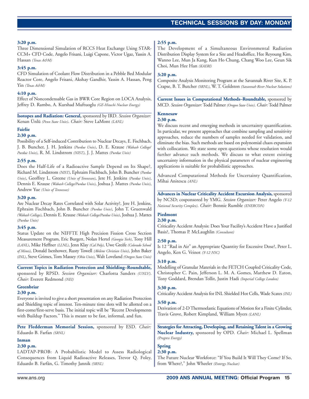#### **3:20 p.m.**

Three Dimensional Simulation of RCCS Heat Exchange Using STAR-CCM+ CFD Code, Angelo Frisani, Luigi Capone, Victor Ugaz, Yassin A. Hassan *(Texas A&M)*

#### **3:45 p.m.**

CFD Simulation of Coolant Flow Distribution in a Pebble Bed Modular Reactor Core, Angelo Frisani, Akshay Gandhir, Yassin A. Hassan, Peng Yin *(Texas A&M)*

#### **4:10 p.m.**

Effect of Noncondensable Gas in BWR Core Region on LOCA Analysis, Jeffrey D. Rambo, A. Kurshad Muftuoglu *(GE-Hitachi Nuclear Energy)*

**Isotopes and Radiation: General,** sponsored by IRD. *Session Organizer:* Kenan Ünlü *(Penn State Univ)*. *Chair:* Steve LaMont *(LANL)*

#### **Fairlie**

#### **2:30 p.m.**

Possibility of a Self-induced Contribution to Nuclear Decays, E. Fischbach, J. B. Buncher, J. H. Jenkins *(Purdue Univ)*, D. E. Krause *(Wabash College/ Purdue Univ)*, R. M. Lindstrom *(NIST)*, J. J. Mattes *(Purdue Univ)*

#### **2:55 p.m.**

Does the Half-Life of a Radioactive Sample Depend on Its Shape?, Richard M. Lindstrom *(NIST)*, Ephraim Fischbach, John B. Buncher *(Purdue Univ)*, Geoffrey L. Greene *(Univ of Tennessee)*, Jere H. Jenkins *(Purdue Univ)*, Dennis E. Krause *(Wabash College/Purdue Univ)*, Joshua J. Mattes *(Purdue Univ)*, Andrew Yue *(Univ of Tennessee)*

#### **3:20 p.m.**

Are Nuclear Decay Rates Correlated with Solar Activity?, Jere H. Jenkins, Ephraim Fischbach, John B. Buncher *(Purdue Univ)*, John T. Gruenwald *(Wabash College)*, Dennis E. Krause *(Wabash College/Purdue Univ)*, Joshua J. Mattes *(Purdue Univ)*

#### **3:45 p.m.**

Status Update on the NIFFTE High Precision Fission Cross Section Measurement Program, Eric Burgett, Nolan Hertel *(Georgia Tech)*, Tony Hill *(LANL)*, Mike Heffner *(LLNL)*, Jenn Klay *(Cal Poly)*, Uwe Greife *(Colorado School of Mines)*, Donald Isenhower, Rusty Towell *(Abilene Christian Univ)*, John Baker *(INL)*, Steve Grimes, Tom Massey *(Ohio Univ)*, Walt Loveland *(Oregon State Univ)*

#### **Current Topics in Radiation Protection and Shielding–Roundtable,**

sponsored by RPSD. *Session Organizer:* Charlotta Sanders *(UNLV)*. *Chair:* Everett Redmond *(NEI)*

### **Greenbriar**

### **2:30 p.m.**

Everyone is invited to give a short presentation on any Radiation Protection and Shielding topic of interest. Ten-minute time slots will be allotted on a first-come/first-serve basis. The initial topic will be "Recent Developments with Buildup Factors." This is meant to be fast, informal, and fun.

**Pete Fledderman Memorial Session,** sponsored by ESD. *Chair:* Eduardo B. Farfan *(SRNL)*

#### **Inman**

### **2:30 p.m.**

LADTAP-PROB: A Probabilistic Model to Assess Radiological Consequences from Liquid Radioactive Releases, Trevor Q. Foley, Eduardo B. Farfán, G. Timothy Jannik *(SRNL)*

#### **2:55 p.m.**

The Development of a Simultaneous Environmental Radiation Distribution Display System for a Site and Headoffice, Hee Reyoung Kim, Wanno Lee, Mun Ja Kang, Kun Ho Chung, Chang Woo Lee, Geun Sik Choi, Mun Hee Han *(KAERI)*

#### **3:20 p.m.**

Composite Analysis Monitoring Program at the Savannah River Site, K. P. Crapse, B. T. Butcher *(SRNL)*, W. T. Goldston *(Savannah River Nuclear Solutions)*

**Current Issues in Computational Methods–Roundtable,** sponsored by MCD. *Session Organizer:*Todd Palmer *(Oregon State Univ)*. *Chair:*Todd Palmer

#### **Kennesaw**

#### **2:30 p.m.**

We discuss recent and emerging methods in uncertainty quantification. In particular, we present approaches that combine sampling and sensitivity approaches, reduce the numbers of samples needed for validation, and eliminate the bias. Such methods are based on polynomial chaos expansion with collocation. We state some open questions whose resolution would further advance such methods. We discuss to what extent existing uncertainty information in the physical parameters of nuclear engineering applications is suitable for probabilistic approaches.

Advanced Computational Methods for Uncertainty Quantification, Mihai Anitescu *(ANL)*

**Advances in Nuclear Criticality Accident Excursion Analysis,** sponsored by NCSD; cosponsored by YMG. *Session Organizer:* Peter Angelo *(Y-12 National Security Complex)*. *Chair:* Bonnie Rumble *(ENERCON)*

### **Piedmont**

#### **2:30 p.m.**

Criticality Accident Analysis: Does Your Facility's Accident Have a Justified Basis?, Thomas P. McLaughlin *(Consultant)*

#### **2:50 p.m.**

Is 12 "Rad in Air" an Appropriate Quantity for Excessive Dose?, Peter L. Angelo, Ken G. Veinot *(Y-12 NSC)*

#### **3:10 p.m.**

Modelling of Granular Materials in the FETCH Coupled Criticality Code, Christopher C. Pain, Jefferson L. M. A. Gomes, Matthew D. Eaton, Tony Goddard, Brendan Tollit, Justin Hadi *(Imperial College London)*

#### **3:30 p.m.**

Criticality Accident Analysis for INL Shielded Hot Cells, Wade Scates *(INL)*

#### **3:50 p.m.**

Derivation of 2-D Thermoelastic Equations of Motion for a Finite Cylinder, Travis Grove, Robert Kimpland, William Myers *(LANL)*

**Strategies for Attracting, Developing, and Retaining Talent in a Growing Nuclear Industry,** sponsored by OPD. *Chair:* Michael L. Spellman *(Progress Energy)*

### **Spring**

#### **2:30 p.m.**

The Future Nuclear Workforce: "If You Build It Will They Come? If So, from Where?," John Wheeler *(Entergy Nuclear)*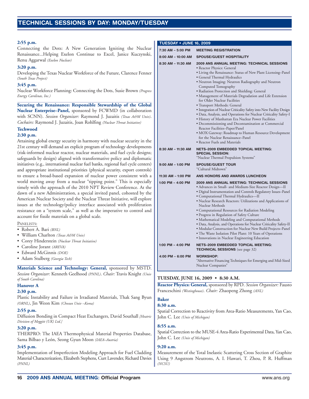#### **2:55 p.m.**

Connecting the Dots: A New Generation Igniting the Nuclear Renaissance...Helping Exelon Continue to Excel, Janice Kuczynski, Renu Aggarwal *(Exelon Nuclear)*

#### **3:20 p.m.**

Developing the Texas Nuclear Workforce of the Future, Clarence Fenner *(South Texas Project)*

#### **3:45 p.m.**

Nuclear Workforce Planning: Connecting the Dots, Susie Brown *(Progress Energy Carolinas, Inc.)*

**Securing the Renaissance: Responsible Stewardship of the Global Nuclear Enterprise–Panel,** sponsored by FCWMD (in collaboration with SCNN). *Session Organizer:* Raymond J. Juzaitis *(Texas A&M Univ)*. *Cochairs:* Raymond J. Juzaitis, Joan Rohlfing *(Nuclear Threat Initiative)*

#### **Techwood**

#### **2:30 p.m.**

Attaining global energy security in harmony with nuclear security in the 21st century will demand an explicit program of technology developments (risk-informed nuclear reactor, nuclear materials, and fuel cycle designs; safeguards by design) aligned with transformative policy and diplomatic initiatives (e.g., international nuclear fuel banks, regional fuel cycle centers) and appropriate institutional priorities (physical security, export controls) to ensure a broad-based expansion of nuclear power consistent with a world moving away from a nuclear "tipping point." This is especially timely with the approach of the 2010 NPT Review Conference. At the dawn of a new Administration, a special invited panel, cohosted by the American Nuclear Society and the Nuclear Threat Initiative, will explore issues at the technology/policy interface associated with proliferation resistance on a "system scale," as well as the imperative to control and account for fissile materials on a global scale.

#### PANELISTS:

- Robert A. Bari *(BNL)*
- William Charlton *(Texas A&M Univ)*
- Corey Hinderstein *(Nuclear Threat Initiative)*
- Caroline Jorant *(AREVA)*
- Edward McGinnis *(DOE)*
- Adam Stulberg *(Georgia Tech)*

**Materials Science and Technology: General,** sponsored by MSTD. *Session Organizer:* Kenneth Geelhood *(PNNL)*. *Chair:* Travis Knight *(Univ of South Carolina)*

#### **Hanover A**

#### **2:30 p.m.**

Plastic Instability and Failure in Irradiated Materials, Thak Sang Byun *(ORNL)*, Jin Weon Kim *(Chosun Univ –Korea)*

#### **2:55 p.m.**

Diffusion Bonding in Compact Heat Exchangers, David Southall *[Heatric Division of Meggitt (UK) Ltd.]*

#### **3:20 p.m.**

THERPRO: The IAEA Thermophysical Material Properties Database, Sama Bilbao y León, Seong Gyun Moon *(IAEA–Austria)*

#### **3:45 p.m.**

Implementation of Imperfection Modeling Approach for Fuel Cladding Material Characterization, Elizabeth Stephens, Curt Lavender, Richard Davies *(PNNL)*

#### **TUESDAY • JUNE 16, 2009**

| 7:30 AM - 5:00 PM     | MEETING REGISTRATION                                                                                                                                                                                                                                                                                                                                                                                                                                                                                                                                                                                                                                                                                                                                                                                                                                            |  |
|-----------------------|-----------------------------------------------------------------------------------------------------------------------------------------------------------------------------------------------------------------------------------------------------------------------------------------------------------------------------------------------------------------------------------------------------------------------------------------------------------------------------------------------------------------------------------------------------------------------------------------------------------------------------------------------------------------------------------------------------------------------------------------------------------------------------------------------------------------------------------------------------------------|--|
| 8:00 AM - 10:00 AM    | <b>SPOUSE/GUEST HOSPITALITY</b>                                                                                                                                                                                                                                                                                                                                                                                                                                                                                                                                                                                                                                                                                                                                                                                                                                 |  |
| 8:30 AM - 11:30 AM    | 2009 ANS ANNUAL MEETING: TECHNICAL SESSIONS<br>• Reactor Physics: General<br>· Living the Renaissance: Status of New Plant Licensing-Panel<br>• General Thermal Hydraulics<br>· Neutron Imaging: Neutron Radiography and Neutron<br>Computed Tomography<br>· Radiation Protection and Shielding: General<br>· Management of Materials Degradation and Life Extension<br>for Older Nuclear Facilities<br>· Transport Methods: General<br>• Integration of Nuclear Criticality Safety into New Facility Design<br>· Data, Analysis, and Operations for Nuclear Criticality Safety-I<br>· History of Manhattan Era Nuclear Power Facilities<br>• Decommissioning and Decontamination at Commercial<br>Reactor Facilities-Paper/Panel<br>• MOX Gateway: Roadmap to Human Resource Development<br>for the Nuclear Renaissance–Panel<br>• Reactor Fuels and Materials |  |
| 8:30 AM - 11:30 AM    | <b>NETS-2009 EMBEDDED TOPICAL MEETING:</b><br><b>SPECIAL SESSION:</b><br>"Nuclear Thermal Propulsion Systems"                                                                                                                                                                                                                                                                                                                                                                                                                                                                                                                                                                                                                                                                                                                                                   |  |
| $9:00$ AM $-$ 1:00 PM | <b>SPOUSE/GUEST TOUR</b><br>"Cultural Midtown"                                                                                                                                                                                                                                                                                                                                                                                                                                                                                                                                                                                                                                                                                                                                                                                                                  |  |
| 11:30 AM - 1:00 PM    | ANS HONORS AND AWARDS LUNCHEON                                                                                                                                                                                                                                                                                                                                                                                                                                                                                                                                                                                                                                                                                                                                                                                                                                  |  |
| 1:00 PM - 4:00 PM     | <b>2009 ANS ANNUAL MEETING: TECHNICAL SESSIONS</b><br>• Advances in Small- and Medium-Size Reactor Design-II<br>· Digital Instrumentation and Controls Regulatory Issues-Panel<br>· Computational Thermal Hydraulics-II<br>· Nuclear Research Reactors: Utilizations and Applications of<br>Nuclear Methods<br>• Computational Resources for Radiation Modeling<br>· Progress in Regulation of Safety Culture<br>· Mathematical Modeling and Computational Methods<br>· Data, Analysis, and Operations for Nuclear Criticality Safety-II<br>· Modular Construction for Nuclear New Build Projects-Panel<br>• The Waste Isolation Pilot Plant: 10 Years of Operations<br>• Innovations in Nuclear Engineering Education                                                                                                                                          |  |
| 1:00 PM - 4:00 PM     | <b>NETS-2009 EMBEDDED TOPICAL MEETING:</b><br><b>TECHNICAL SESSIONS</b> (see page 32)                                                                                                                                                                                                                                                                                                                                                                                                                                                                                                                                                                                                                                                                                                                                                                           |  |
| 4:00 PM - 6:00 PM     | <b>WORKSHOP:</b><br>"Alternative Financing Techniques for Emerging and Mid-Sized<br>Nuclear Companies"                                                                                                                                                                                                                                                                                                                                                                                                                                                                                                                                                                                                                                                                                                                                                          |  |

#### **TUESDAY, JUNE 16, 2009 • 8:30 A.M.**

**Reactor Physics: General,** sponsored by RPD. *Session Organizer:* Fausto Franceschini *(Westinghouse)*. *Chair:* Zhaopeng Zhong *(ANL)*

#### **Baker 8:30 a.m.**

Spatial Correction to Reactivity from Area-Ratio Measurements, Yan Cao, John C. Lee *(Univ of Michigan)*

#### **8:55 a.m.**

Spatial Correction to the MUSE-4 Area-Ratio Experimental Data, Yan Cao, John C. Lee *(Univ of Michigan)*

#### **9:20 a.m.**

Measurement of the Total Inelastic Scattering Cross Section of Graphite Using 9 Angstrom Neutrons, A. I. Hawari, T. Zhou, P. R. Huffman *(NCSU)*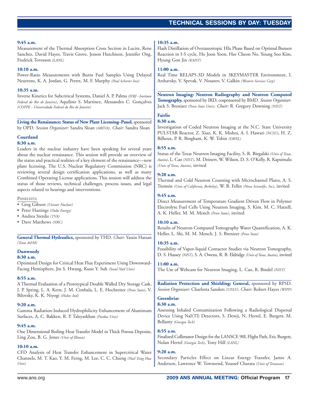#### **9:45 a.m.**

Measurement of the Thermal Absorption Cross Section in Lucite, Rene Sanchez, David Hayes, Travis Grove, Jesson Hutchison, Jennifer Ong, Fredrick Tovesson *(LANL)*

#### **10:10 a.m.**

Power-Ratio Measurements with Burnt Fuel Samples Using Delayed Neutrons, K. A. Jordan, G. Perret, M. F. Murphy *(Paul Scherrer Inst)*

#### **10:35 a.m.**

Inverse Kinetics for Subcritical Systems, Daniel A. P. Palma *(IFRJ - Instituto Federal do Rio de Janeiro)*, Aquilino S. Martinez, Alessandro C. Gonçalves *(COPPE - Universidade Federal do Rio de Janeiro)*

**Living the Renaissance: Status of New Plant Licensing–Panel,** sponsored by OPD. *Session Organizer:* Sandra Sloan *(AREVA)*. *Chair:* Sandra Sloan

#### **Courtland**

#### **8:30 a.m.**

Leaders in the nuclear industry have been speaking for several years about the nuclear renaissance. This session will provide an overview of the status and practical realities of a key element of the renaissance—new plant licensing. The U.S. Nuclear Regulatory Commission (NRC) is reviewing several design certification applications, as well as many Combined Operating License applications. This session will address the status of those reviews, technical challenges, process issues, and legal aspects related to hearings and interventions.

#### PANELISTS:

- Greg Gibson *(Unistar Nuclear)*
- Peter Hastings *(Duke Energy)*
- Andrea Sterdis *(TVA)*
- Dave Matthews *(NRC)*

**General Thermal Hydraulics,** sponsored by THD. *Chair:* Yassin Hassan *(Texas A&M)*

#### **Dunwoody**

#### **8:30 a.m.**

Optimized Design for Critical Heat Flux Experiment Using Downward-Facing Hemisphere, Jin S. Hwang, Kune Y. Suh *(Seoul Natl Univ)*

#### **8:55 a.m.**

A Thermal Evaluation of a Prototypical Double Walled Dry Storage Cask, J. P. Spring, L. A. Kern, J. M. Cimbala, L. E. Hochreiter *(Penn State)*, V. Bilovsky, K. K. Niyogi *(Holtec Intl)*

#### **9:20 a.m.**

Gamma Radiation-Induced Hydrophilicity Enhancement of Aluminum Surfaces, A. C. Bakken, R. P. Taleyarkhan *(Purdue Univ)*

#### **9:45 a.m.**

One Dimensional Boiling Heat Transfer Model in Thick Porous Deposits, Ling Zou, B. G. Jones *(Univ of Illinois)*

#### **10:10 a.m.**

CFD Analysis of Heat Transfer Enhancement in Supercritical Water Channels, M. T. Kao, Y. M. Ferng, M. Lee, C. C. Chieng *(Natl Tsing Hua Univ)*

#### **10:35 a.m.**

Flash Distillation of Overazeotropic HIx Phase Based on Optimal Bunsen Reaction in I-S cycle, Ho Joon Yoon, Hee Cheon No, Young Soo Kim, Hyung Gon Jin *(KAIST)*

#### **11:00 a.m.**

Real Time RELAP5-3D Models in 3KEYMASTER Environment, I. Arshavsky, V. Spevak, V. Nosatov, V. Galkin *(Western Services Corp)*

**Neutron Imaging: Neutron Radiography and Neutron Computed Tomography,** sponsored by IRD; cosponsored by BMD. *Session Organizer:* Jack S. Brenizer *(Penn State Univ)*. *Chair:* R. Gregory Downing *(NIST)*

#### **Fairlie**

#### **8:30 a.m.**

Investigation of Coded Neutron Imaging at the N.C. State University PULSTAR Reactor, Z. Xiao, K. K. Mishra, A. I. Hawari *(NCSU)*, H. Z. Bilheux, P. R. Bingham, K. W. Tobin *(ORNL)*

#### **8:55 a.m.**

Status of the Texas Neutron Imaging Facility, S. R. Biegalski *(Univ of Texas, Austin)*, L. Cao *(NIST)*, M. Deinert, W. Wilson, D. S. O'Kelly, R. Kapsimalis *(Univ of Texas, Austin)*, invited

### **9:20 a.m.**

Thermal and Cold Neutron Counting with Microchannel Plates, A. S. Tremsin *(Univ of California, Berkeley)*, W. B. Feller *(Nova Scientific, Inc)*, invited

#### **9:45 a.m.**

Direct Measurement of Temperature Gradient Driven Flow in Polymer Electrolyte Fuel Cells Using Neutron Imaging, S. Kim, M. C. Hatzell, A. K. Heller, M. M. Mench *(Penn State)*, invited

#### **10:10 a.m.**

Results of Neutron Computed Tomography Water Quantification, A. K. Heller, L. Shi, M. M. Mench, J. S. Brenizer *(Penn State)*

#### **10:35 a.m.**

Feasibility of Vapor-liquid Contactor Studies via Neutron Tomography, D. S. Hussey *(NIST)*, S. A. Owens, R. B. Eldridge *(Univ of Texas, Austin)*, invited

#### **11:00 a.m.**

The Use of Webcam for Neutron Imaging, L. Cao, R. Bindel *(NIST)*

**Radiation Protection and Shielding: General,** sponsored by RPSD. *Session Organizer:* Charlotta Sanders *(UNLV)*. *Chair:* Robert Hayes *(WIPP)*

### **Greenbriar**

#### **8:30 a.m.**

Assessing Inhaled Contamination Following a Radiological Dispersal Device Using NaI(Tl) Detectors, S. Dewji, N. Hertel, E. Burgett, M. Bellamy *(Georgia Tech)*

#### **8:55 a.m.**

Finalized Collimator Design for the LANSCE 90L Flight Path, Eric Burgett, Nolan Hertel *(Georgia Tech)*, Tony Hill *(LANL)*

### **9:20 a.m.**

Secondary Particles Effect on Linear Energy Transfer, Jamie A. Anderson, Lawrence W. Townsend, Youssef Charara *(Univ of Tennessee)*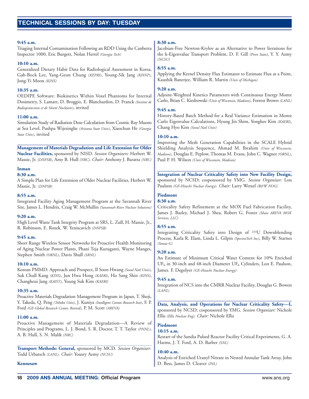#### **9:45 a.m.**

Triaging Internal Contamination Following an RDD Using the Canberra Inspector 1000, Eric Burgett, Nolan Hertel *(Georgia Tech)*

#### **10:10 a.m.**

Generalized Dietary Habit Data for Radiological Assessment in Korea, Gab-Bock Lee, Yang-Geun Chung *(KEPRI)*, Young-Sik Jang *(KHNP)*, Jong-Yi Moon *(KINS)*

#### **10:35 a.m.**

OEDIPE Software: Biokinetics Within Voxel Phantoms for Internal Dosimetry, S. Lamart, D. Broggio, E. Blanchardon, D. Franck *(Institut de Radioprotection et de Sûreté Nucléaire)*, invited

#### **11:00 a.m.**

Simulation Study of Radiation Dose Calculation from Cosmic Ray Muons at Sea Level, Pushpa Wijesinghe *(Arizona State Univ)*, Xiaochun He *(Georgia State Univ)*, invited

**Management of Materials Degradation and Life Extension for Older Nuclear Facilities,** sponsored by NISD. *Session Organizers:* Herbert W. Massie, Jr. *(DNFSB)*, Amy B. Hull *(NRC)*. *Chair:* Anthony J. Baratta *(NRC)*

#### **Inman**

#### **8:30 a.m.**

A Simple Plan for Life Extension of Older Nuclear Facilities, Herbert W. Massie, Jr. *(DNFSB)*

#### **8:55 a.m.**

Integrated Facility Aging Management Program at the Savannah River Site, James L. Hendrix, Craig W. McMullin *(Savannah River Nuclear Solutions)*

#### **9:20 a.m.**

High Level Waste Tank Integrity Program at SRS, L. Zull, H. Massie, Jr., R. Robinson, E. Rozek, W. Yeniscavich *(DNFSB)*

#### **9:45 a.m.**

Short Range Wireless Sensor Networks for Proactive Health Monitoring of Aging Nuclear Power Plants, Phani Teja Kuruganti, Wayne Manges, Stephen Smith *(ORNL)*, Davis Shull *(SRNL)*

#### **10:10 a.m.**

Korean PMMD: Approach and Prospect, Il Soon Hwang *(Seoul Natl Univ)*, Suk Chull Kang *(KINS)*, Jun Hwa Hong *(KAERI)*, Ho Sang Shin *(KINS)*, Changheui Jang *(KAIST)*, Young Suk Kim *(KAERI)*

#### **10:35 a.m.**

Proactive Materials Degradation Management Program in Japan, T. Shoji, Y. Takeda, Q. Peng *(Tohoku Univ)*, J. Kuniya *(Intelligent Cosmos Research Inst)*, F. P. Ford *(GE-Global Research Center, Retired)*, P. M. Scott *(AREVA)*

#### **11:00 a.m.**

Proactive Management of Materials Degradation—A Review of Principles and Programs, L. J. Bond, S. R. Doctor, T. T. Taylor *(PNNL)*, A. B. Hull, S. N. Malik *(NRC)*

**Transport Methods: General,** sponsored by MCD. *Session Organizer:* Todd Urbatsch *(LANL)*. *Chair:* Yousry Azmy *(NCSU)*

#### **Kennesaw**

### **8:30 a.m.**

Jacobian-Free Newton-Krylov as an Alternative to Power Iterations for the k-Eigenvalue Transport Problem, D. F. Gill *(Penn State)*, Y. Y. Azmy *(NCSU)*

#### **8:55 a.m.**

Applying the Kernel Density Flux Estimator to Estimate Flux at a Point, Kaushik Banerjee, William R. Martin *(Univ of Michigan)*

### **9:20 a.m.**

Adjoint-Weighted Kinetics Parameters with Continuous Energy Monte Carlo, Brian C. Kiedrowski *(Univ of Wisconsin, Madison)*, Forrest Brown *(LANL)*

#### **9:45 a.m.**

History-Based Batch Method for a Real Variance Estimation in Monte Carlo Eigenvalue Calculations, Hyung Jin Shim, Yonghee Kim *(KAERI)*, Chang Hyo Kim *(Seoul Natl Univ)*

#### **10:10 a.m.**

Improving the Mesh Generation Capabilities in the SCALE Hybrid Shielding Analysis Sequence, Ahmad M. Ibrahim *(Univ of Wisconsin, Madison)*, Douglas E. Peplow, Thomas M. Evans, John C. Wagner *(ORNL)*, Paul P. H. Wilson *(Univ of Wisconsin, Madison)*

**Integration of Nuclear Criticality Safety into New Facility Design,** sponsored by NCSD; cosponsored by YMG. *Session Organizer:* Lon Paulson *(GE-Hitachi Nuclear Energy)*. *Chair:* Larry Wetzel *(B&W NOG)*

#### **Piedmont**

#### **8:30 a.m.**

Criticality Safety Refinement at the MOX Fuel Fabrication Facility, James J. Bazley, Michael J. Shea, Robert G. Foster *(Shaw AREVA MOX Services, LLC)*

#### **8:55 a.m.**

Integrating Criticality Safety into Design of 233U Downblending Process, Karla R. Elam, Linda L. Gilpin *(SpectraTech Inc)*, Billy W. Starnes *(Strata-G)*

#### **9:20 a.m.**

An Estimate of Minimum Critical Water Content for 10% Enriched  $UF<sub>6</sub>$  in 30-inch and 48-inch Diameter UF<sub>6</sub> Cylinders, Lon E. Paulson, James. F. Degolyer *(GE-Hitachi Nuclear Energy)*

#### **9:45 a.m.**

Integration of NCS into the CMRR Nuclear Facility, Douglas G. Bowen *(LANL)*

**Data, Analysis, and Operations for Nuclear Criticality Safety—I,** sponsored by NCSD; cosponsored by YMG. *Session Organizer:* Nichole Ellis *(Ellis Nuclear Eng)*. *Chair:* Nichole Ellis

#### **Piedmont 10:15 a.m.**

### Restart of the Sandia Pulsed Reactor Facility Critical Experiments, G. A. Harms, J. T. Ford, A. D. Barber *(SNL)*

#### **10:40 a.m.**

Analysis of Enriched Uranyl Nitrate in Nested Annular Tank Array, John D. Bess, James D. Cleaver *(INL)*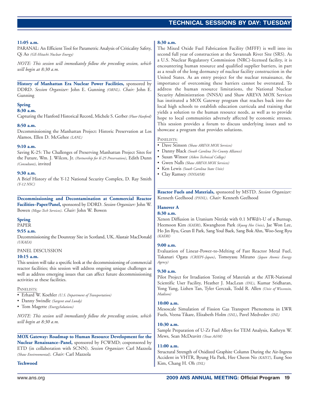### **TECHNICAL SESSIONS TECHNICAL SESSIONS BY DAY: TUESDAY**

#### **11:05 a.m.**

PARANAL: An Efficient Tool for Parametric Analysis of Criticality Safety, Qi Ao *(GE-Hitachi Nuclear Energy)*

*NOTE: This session will immediately follow the preceding session, which will begin at 8:30 a.m.*

**History of Manhattan Era Nuclear Power Facilities,** sponsored by DDRD. *Session Organizer:* John E. Gunning *(ORNL)*. *Chair:* John E. Gunning

#### **Spring**

#### **8:30 a.m.**

Capturing the Hanford Historical Record, Michele S. Gerber *(Fluor Hanford)*

#### **8:50 a.m.**

Decommissioning the Manhattan Project: Historic Preservation at Los Alamos, Ellen D. McGehee *(LANL)*

#### **9:10 a.m.**

Saving K-25: The Challenges of Preserving Manhattan Project Sites for the Future, Wm. J. Wilcox, Jr. *(Partnership for K-25 Preservation)*, Edith Dunn *(Consultant)*, invited

#### **9:30 a.m.**

A Brief History of the Y-12 National Security Complex, D. Ray Smith *(Y-12 NSC)*

**Decommissioning and Decontamination at Commercial Reactor Facilities–Paper/Panel,** sponsored by DDRD. *Session Organizer:* John W. Bowen *(Mega-Tech Services)*. *Chair:* John W. Bowen

#### **Spring**

PAPER

#### **9:55 a.m.**

Decommissioning the Dounreay Site in Scotland, UK, Alastair MacDonald *(UKAEA)*

#### PANEL DISCUSSION

#### **10:15 a.m.**

This session will take a specific look at the decommissioning of commercial reactor facilities; this session will address ongoing unique challenges as well as address emerging issues that can affect future decommissioning activities at these facilities.

#### PANELISTS:

- Erhard W. Koehler *(U.S. Department of Transportation)*
- Danny Swindle *(Sargent and Lundy)*
- Tom Magette *(EnergySolutions)*

*NOTE: This session will immediately follow the preceding session, which will begin at 8:30 a.m.*

**MOX Gateway: Roadmap to Human Resource Development for the Nuclear Renaissance–Panel,** sponsored by FCWMD; cosponsored by ETD (in collaboration with SCNN). *Session Organizer:* Carl Mazzola *(Shaw Environmental)*. *Chair:* Carl Mazzola

**Techwood**

#### **8:30 a.m.**

The Mixed Oxide Fuel Fabrication Facility (MFFF) is well into its second full year of construction at the Savannah River Site (SRS). As a U.S. Nuclear Regulatory Commission (NRC)-licensed facility, it is encountering human resource and qualified supplier barriers, in part as a result of the long dormancy of nuclear facility construction in the United States. As an entry project for the nuclear renaissance, the importance of overcoming these barriers cannot be overstated. To address the human resource limitations, the National Nuclear Security Administration (NNSA) and Shaw AREVA MOX Services has instituted a MOX Gateway program that reaches back into the local high schools to establish education curricula and training that yields a solution to the human resource needs, as well as to provide hope to local communities adversely affected by economic stresses. This session provides a forum to discuss underlying issues and to showcase a program that provides solutions.

#### PANELISTS:

- Dave Stinson *(Shaw AREVA MOX Services)*
- Danny Black *(South Carolina Tri-County Alliance)*
- Susan Winsor *(Aiken Technical College)*
- Gwen Nalls *(Shaw AREVA MOX Services)*
- Ken Lewis *(South Carolina State Univ)*
- Clay Ramsey *(NNSA/SR)*

**Reactor Fuels and Materials,** sponsored by MSTD. *Session Organizer:* Kenneth Geelhood *(PNNL)*. *Chair:* Kenneth Geelhood

### **Hanover A**

### **8:30 a.m.**

Xenon Diffusion in Uranium Nitride with 0.1 MWd/t-U of a Burnup, Heemoon Kim *(KAERI)*, Kwangheon Park *(Kyung Hee Univ)*, Jae Won Lee, Ho Jin Ryu, Geun Il Park, Sang Youl Baek, Sang Bok Ahn, Woo-Seog Ryu *(KAERI)*

#### **9:00 a.m.**

Evaluation of Linear-Power-to-Melting of Fast Reactor Metal Fuel, Takanari Ogata *(CRIEPI–Japan)*, Tomoyasu Mizuno *(Japan Atomic Energy Agency)*

#### **9:30 a.m.**

Pilot Project for Irradiation Testing of Materials at the ATR-National Scientific User Facility, Heather J. MacLean *(INL)*, Kumar Sridharan, Yong Yang, Lizhen Tan, Tyler Gerczak, Todd R. Allen *(Univ of Wisconsin, Madison)*

#### **10:00 a.m.**

Mesoscale Simulation of Fission Gas Transport Phenomena in LWR Fuels, Veena Tikare, Elizabeth Holm *(SNL)*, Pavel Medvedev *(INL)*

#### **10:30 a.m.**

Sample Preparation of U-Zr Fuel Alloys for TEM Analysis, Kathryn W. Mews, Sean McDeavitt *(Texas A&M)*

#### **11:00 a.m.**

Structural Strength of Oxidized Graphite Column During the Air-Ingress Accident in VHTR, Byung Ha Park, Hee Cheon No *(KAIST)*, Eung Soo Kim, Chang H. Oh *(INL)*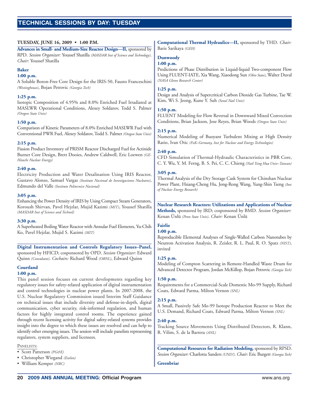### **TECHNICAL SESSIONS SESSIONS BY DAY: TUESDAY**

#### **TUESDAY, JUNE 16, 2009 • 1:00 P.M.**

**Advances in Small- and Medium-Size Reactor Design—II,** sponsored by RPD. *Session Organizer:* Youssef Shatilla *(MASDAR Inst of Science and Technology)*. *Chair:* Youssef Shatilla

#### **Baker**

#### **1:00 p.m.**

A Soluble Boron-Free Core Design for the IRIS-50, Fausto Franceschini *(Westinghouse)*, Bojan Petrovic *(Georgia Tech)*

#### **1:25 p.m.**

Isotopic Composition of 4.95% and 8.0% Enriched Fuel Irradiated at MASLWR Operational Conditions, Alexey Soldatov, Todd S. Palmer *(Oregon State Univ)*

#### **1:50 p.m.**

Comparison of Kinetic Parameters of 8.0% Enriched MASLWR Fuel with Conventional PWR Fuel, Alexey Soldatov, Todd S. Palmer *(Oregon State Univ)*

#### **2:15 p.m.**

Fission Product Inventory of PRISM Reactor Discharged Fuel for Actinide Burner Core Design, Brett Dooies, Andrew Caldwell, Eric Loewen *(GE-Hitachi Nuclear Energy)*

#### **2:40 p.m.**

Electricity Production and Water Desalination Using IRIS Reactor, Gustavo Alonso, Samuel Vargas *(Instituto Nacional de Investigaciones Nucleares)*, Edmundo del Valle *(Instituto Politecnico Nacional)*

#### **3:05 p.m.**

Enhancing the Power Density of IRIS by Using Compact Steam Generators, Koroush Shirvan, Pavel Hejzlar, Mujid Kazimi *(MIT)*, Youssef Shatilla *(MASDAR Inst of Science and Technol)*

#### **3:30 p.m.**

A Superheated Boiling Water Reactor with Annular Fuel Elements, Yu-Chih Ko, Pavel Hejzlar, Mujid S. Kazimi *(MIT)*

**Digital Instrumentation and Controls Regulatory Issues–Panel,** sponsored by HFICD; cosponsored by OPD. *Session Organizer:* Edward Quinn *(Consultant)*. *Cochairs:* Richard Wood *(ORNL)*, Edward Quinn

#### **Courtland**

#### **1:00 p.m.**

This panel session focuses on current developments regarding key regulatory issues for safety-related application of digital instrumentation and control technologies in nuclear power plants. In 2007-2008, the U.S. Nuclear Regulatory Commission issued Interim Staff Guidance on technical issues that include diversity and defense-in-depth, digital communication, cyber security, risk-informed regulation, and human factors for highly integrated control rooms. The experience gained through recent licensing activity for digital safety-related systems provides insight into the degree to which these issues are resolved and can help to identify other emerging issues. The session will include panelists representing regulators, system suppliers, and licensees.

#### PANELISTS:

- Scott Patterson *(PG&E)*
- Christopher Wiegand *(Exelon)*
- William Kemper *(NRC)*

**Computational Thermal Hydraulics—II,** sponsored by THD. *Chair:* Baris Sarikaya *(GEH)*

### **Dunwoody**

#### **1:00 p.m.**

Predictions of Phase Distribution in Liquid-liquid Two-component Flow Using FLUENT-IATE, Xia Wang, Xiaodong Sun *(Ohio State)*, Walter Duval *(NASA Glenn Research Center)*

#### **1:25 p.m.**

Design and Analysis of Supercritical Carbon Dioxide Gas Turbine, Tae W. Kim, Wi S. Jeong, Kune Y. Suh *(Seoul Natl Univ)*

#### **1:50 p.m.**

FLUENT Modeling for Flow Reversal in Downward Mixed Convection Conditions, Brian Jackson, Jose Reyes, Brian Woods *(Oregon State Univ)*

#### **2:15 p.m.**

Numerical Modeling of Buoyant Turbulent Mixing at High Density Ratio, Ivan Otic *(FzK–Germany, Inst for Nuclear and Energy Technologies)*

#### **2:40 p.m.**

CFD Simulation of Thermal-Hydraulic Characteristics in PBR Core, C. Y. Wu, Y. M. Ferng, B. S. Pei, C. C. Chieng *(Natl Tsing Hua Univ–Taiwan)*

#### **3:05 p.m.**

Thermal Analysis of the Dry Storage Cask System for Chinshan Nuclear Power Plant, Hsiang-Cheng Hu, Jong-Rong Wang, Yung-Shin Tseng *(Inst of Nuclear Energy Research)*

**Nuclear Research Reactors: Utilizations and Applications of Nuclear Methods,** sponsored by IRD; cosponsored by BMD. *Session Organizer:* Kenan Ünlü *(Penn State Univ)*. *Chair:* Kenan Ünlü

### **Fairlie**

#### **1:00 p.m.**

Reproducible Elemental Analyses of Single-Walled Carbon Nanotubes by Neutron Activation Analysis, R. Zeisler, R. L. Paul, R. O. Spatz *(NIST)*, invited

#### **1:25 p.m.**

Modeling of Compton Scattering in Remote-Handled Waste Drum for Advanced Detector Program, Jordan McKillop, Bojan Petrovic *(Georgia Tech)*

#### **1:50 p.m.**

Requirements for a Commercial-Scale Domestic Mo-99 Supply, Richard Coats, Edward Parma, Milton Vernon *(SNL)*

#### **2:15 p.m.**

A Small, Passively Safe Mo-99 Isotope Production Reactor to Meet the U.S. Demand, Richard Coats, Edward Parma, Milton Vernon *(SNL)*

#### **2:40 p.m.**

Tracking Source Movements Using Distributed Detectors, R. Klann, R. Vilim, S. de la Barrera *(ANL)*

**Computational Resources for Radiation Modeling,** sponsored by RPSD. *Session Organizer:* Charlotta Sanders *(UNLV)*. *Chair:* Eric Burgett *(Georgia Tech)*

**Greenbriar**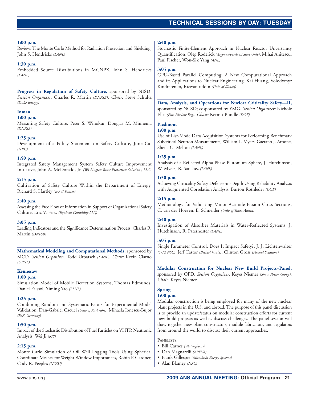### **TECHNICAL SESSIONS TECHNICAL SESSIONS BY DAY: TUESDAY**

#### **1:00 p.m.**

Review: The Monte Carlo Method for Radiation Protection and Shielding, John S. Hendricks *(LANL)*

#### **1:30 p.m.**

Embedded Source Distributions in MCNPX, John S. Hendricks *(LANL)*

**Progress in Regulation of Safety Culture,** sponsored by NISD. *Session Organizer:* Charles R. Martin *(DNFSB)*. *Chair:* Steve Schultz *(Duke Energy)*

#### **Inman**

#### **1:00 p.m.**

Measuring Safety Culture, Peter S. Winokur, Douglas M. Minnema *(DNFSB)*

#### **1:25 p.m.**

Development of a Policy Statement on Safety Culture, June Cai *(NRC)*

#### **1:50 p.m.**

Integrated Safety Management System Safety Culture Improvement Initiative, John A. McDonald, Jr. *(Washington River Protection Solutions, LLC)*

#### **2:15 p.m.**

Cultivation of Safety Culture Within the Department of Energy, Richard S. Hartley *(B&W Pantex)*

#### **2:40 p.m.**

Assessing the Free Flow of Information in Support of Organizational Safety Culture, Eric V. Fries *(Equinox Consulting LLC)*

#### **3:05 p.m.**

Leading Indicators and the Significance Determination Process, Charles R. Martin *(DNFSB)*

**Mathematical Modeling and Computational Methods,** sponsored by MCD. *Session Organizer:* Todd Urbatsch *(LANL)*. *Chair:* Kevin Clarno *(ORNL)*

### **Kennesaw**

#### **1:00 p.m.**

Simulation Model of Mobile Detection Systems, Thomas Edmunds, Daniel Faissol, Yiming Yao *(LLNL)*

#### **1:25 p.m.**

Combining Random and Systematic Errors for Experimental Model Validation, Dan-Gabriel Cacuci *(Univ of Karlsruhe)*, Mihaela Ionescu-Bujor *(FzK–Germany)*

#### **1:50 p.m.**

Impact of the Stochastic Distribution of Fuel Particles on VHTR Neutronic Analysis, Wei Ji *(RPI)*

#### **2:15 p.m.**

Monte Carlo Simulation of Oil Well Logging Tools Using Spherical Coordinate Meshes for Weight Window Importances, Robin P. Gardner, Cody R. Peeples *(NCSU)*

#### **2:40 p.m.**

Stochastic Finite-Element Approach in Nuclear Reactor Uncertainty Quantification, Oleg Roderick *(Argonne/Portland State Univ)*, Mihai Anitescu, Paul Fischer, Won-Sik Yang *(ANL)*

#### **3:05 p.m.**

GPU-Based Parallel Computing: A New Computational Approach and its Applications to Nuclear Engineering, Kai Huang, Volodymyr Kindratenko, Rizwan-uddin *(Univ of Illinois)*

**Data, Analysis, and Operations for Nuclear Criticality Safety—II,** sponsored by NCSD; cosponsored by YMG. *Session Organizer:* Nichole Ellis *(Ellis Nuclear Eng)*. *Chair:* Kermit Bundle *(DOE)*

### **Piedmont**

#### **1:00 p.m.**

Use of List-Mode Data Acquisition Systems for Performing Benchmark Subcritical Neutron Measurements, William L. Myers, Gaetano J. Arnone, Sheila G. Melton *(LANL)*

#### **1:25 p.m.**

Analysis of a Reflected Alpha-Phase Plutonium Sphere, J. Hutchinson, W. Myers, R. Sanchez *(LANL)*

#### **1:50 p.m.**

Achieving Criticality Safety Defense-in-Depth Using Reliability Analysis with Augmented Correlation Analysis, Burton Rothleder *(DOE)*

#### **2:15 p.m.**

Methodology for Validating Minor Actinide Fission Cross Sections, C. van der Hoeven, E. Schneider *(Univ of Texas, Austin)*

#### **2:40 p.m.**

Investigation of Absorber Materials in Water-Reflected Systems, J. Hutchinson, R. Paternoster *(LANL)*

#### **3:05 p.m.**

Single Parameter Control: Does It Impact Safety?, J. J. Lichtenwalter *(Y-12 NSC)*, Jeff Castor *(Bechtel Jacobs)*, Clinton Gross *(Paschal Solutions)*

#### **Modular Construction for Nuclear New Build Projects–Panel,**

sponsored by OPD. *Session Organizer:* Keyes Niemer *(Shaw Power Group)*. *Chair:* Keyes Niemer

### **Spring**

### **1:00 p.m.**

Modular construction is being employed for many of the new nuclear plant projects in the U.S. and abroad. The purpose of this panel discussion is to provide an update/status on modular construction efforts for current new build projects as well as discuss challenges. The panel session will draw together new plant constructors, module fabricators, and regulators from around the world to discuss their current approaches.

#### PANELISTS:

- Bill Carnes *(Westinghouse)*
- Dan Magnarelli *(AREVA)*
- Frank Gillespie *(Mitsubishi Energy Systems)*
- Alan Blamey *(NRC)*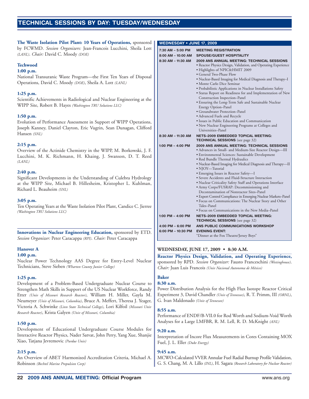### **TECHNICAL SESSIONS SESSIONS BY DAY: TUESDAY/WEDNESDAY**

**The Waste Isolation Pilot Plant: 10 Years of Operations,** sponsored by FCWMD. *Session Organizers:* Jean-Francois Lucchini, Sheila Lott *(LANL)*. *Chair:* David C. Moody *(DOE)*

#### **Techwood**

#### **1:00 p.m.**

National Transuranic Waste Program—the First Ten Years of Disposal Operations, David C. Moody *(DOE)*, Sheila A. Lott *(LANL)*

#### **1:25 p.m.**

Scientific Achievements in Radiological and Nuclear Engineering at the WIPP Site, Robert B. Hayes *(Washington TRU Solutions LLC)*

#### **1:50 p.m.**

Evolution of Performance Assessment in Support of WIPP Operations, Joseph Kanney, Daniel Clayton, Eric Vugrin, Sean Dunagan, Clifford Hansen *(SNL)*

#### **2:15 p.m.**

Overview of the Actinide Chemistry in the WIPP, M. Borkowski, J. F. Lucchini, M. K. Richmann, H. Khaing, J. Swanson, D. T. Reed *(LANL)*

#### **2:40 p.m.**

Significant Developments in the Understanding of Culebra Hydrology at the WIPP Site, Michael B. Hillesheim, Kristopher L. Kuhlman, Richard L. Beauheim *(SNL)*

#### **3:05 p.m.**

Ten Operating Years at the Waste Isolation Pilot Plant, Candice C. Jierree *(Washington TRU Solutions LLC)*

**Innovations in Nuclear Engineering Education,** sponsored by ETD. *Session Organizer:* Peter Caracappa *(RPI)*. *Chair:* Peter Caracappa

#### **Hanover A**

#### **1:00 p.m.**

Nuclear Power Technology AAS Degree for Entry-Level Nuclear Technicians, Steve Sieben *(Wharton County Junior College)*

#### **1:25 p.m.**

Development of a Problem-Based Undergraduate Nuclear Course to Strengthen Math Skills in Support of the US Nuclear Workforce, Randy Etter *(Univ of Missouri Research Reactor)*, William H. Miller, Gayla M. Neumeyer *(Univ of Missouri, Columbia)*, Bruce A. Meffert, Theresa J. Yeager, Victoria A. Schwinke *(Linn State Technical College)*, Lori Kilfoil *(Missouri Univ Research Reactor)*, Krista Galyen *(Univ of Missouri, Columbia)*

#### **1:50 p.m.**

Development of Educational Undergraduate Course Modules for Interactive Reactor Physics, Nader Satvat, John Perry, Yang Xue, Shanjie Xiao, Tatjana Jevremovic *(Purdue Univ)*

#### **2:15 p.m.**

An Overview of ABET Harmonized Accreditation Criteria, Michael A. Robinson *(Bechtel Marine Propulsion Corp)*

#### **WEDNESDAY • JUNE 17, 2009**

| 7:30 AM - 5:00 PM                       | <b>MEETING REGISTRATION</b>                                                                                                                                                        |  |  |
|-----------------------------------------|------------------------------------------------------------------------------------------------------------------------------------------------------------------------------------|--|--|
| 8:00 AM - 10:00 AM                      | <b>SPOUSE/GUEST HOSPITALITY</b>                                                                                                                                                    |  |  |
| 8:30 AM - 11:30 AM                      | <b>2009 ANS ANNUAL MEETING: TECHNICAL SESSIONS</b><br>· Reactor Physics Design, Validation, and Operating Experience<br>• Highlights of NPIC&HMIT 2009<br>• General Two-Phase Flow |  |  |
|                                         | • Nuclear-Based Imaging for Medical Diagnosis and Therapy-I<br>• Monte Carlo Dice Seminar                                                                                          |  |  |
|                                         | • Probabilistic Applications in Nuclear Installations Safety<br>• Status Report on Readiness for and Implementation of New<br>Construction Inspection-Panel                        |  |  |
|                                         | • Ensuring the Long-Term Safe and Sustainable Nuclear<br>Energy Option-Panel                                                                                                       |  |  |
|                                         | • Groundwater Protection–Panel<br>• Advanced Fuels and Recycle                                                                                                                     |  |  |
|                                         | · Issues in Public Education and Communication                                                                                                                                     |  |  |
|                                         | • New Nuclear Engineering Programs at Colleges and<br>Universities-Panel                                                                                                           |  |  |
| 8:30 AM - 11:30 AM                      | <b>NETS-2009 EMBEDDED TOPICAL MEETING:</b><br><b>TECHNICAL SESSIONS</b> (see page 32)                                                                                              |  |  |
|                                         |                                                                                                                                                                                    |  |  |
| 1:00 PM $-$ 4:00 PM                     | 2009 ANS ANNUAL MEETING: TECHNICAL SESSIONS                                                                                                                                        |  |  |
|                                         | • Advances in Small- and Medium-Size Reactor Design-III                                                                                                                            |  |  |
|                                         | • Environmental Sciences: Sustainable Development                                                                                                                                  |  |  |
|                                         | • Rod Bundle Thermal Hydraulics<br>· Nuclear-Based Imaging for Medical Diagnosis and Therapy-II<br>· NJOY-Tutorial                                                                 |  |  |
|                                         | • Emerging Issues in Reactor Safety-I                                                                                                                                              |  |  |
|                                         | • Severe Accidents and Fluid-Structure Interaction                                                                                                                                 |  |  |
|                                         | · Nuclear Criticality Safety Staff and Operations Interface                                                                                                                        |  |  |
|                                         | • Army Corps/FUSRAP: Decommissioning and                                                                                                                                           |  |  |
|                                         | Decontamination of Nonreactor Sites-Panel<br>• Export Control Compliance in Emerging Nuclear Markets-Panel                                                                         |  |  |
|                                         | • Focus on Communications: The Nuclear Story and Other                                                                                                                             |  |  |
|                                         | Tales–Panel                                                                                                                                                                        |  |  |
|                                         | • Focus on Communications in the New Media–Panel                                                                                                                                   |  |  |
| 1:00 PM $-$ 4:00 PM                     | <b>NETS-2009 EMBEDDED TOPICAL MEETING:</b>                                                                                                                                         |  |  |
|                                         | <b>TECHNICAL SESSIONS</b> (see page 32)                                                                                                                                            |  |  |
| 4:00 PM - 6:00 PM<br>6:00 PM - 10:30 PM | ANS PUBLIC COMMUNICATIONS WORKSHOP<br><b>EVENING EVENT:</b>                                                                                                                        |  |  |

#### **WEDNESDAY, JUNE 17, 2009 • 8:30 A.M.**

**Reactor Physics Design, Validation, and Operating Experience,** sponsored by RPD. *Session Organizer:* Fausto Franceschini *(Westinghouse)*. *Chair:* Juan Luis Francois *(Univ Nacional Autonoma de México)*

### **Baker**

#### **8:30 a.m.**

Power Distribution Analysis for the High Flux Isotope Reactor Critical Experiment 3, David Chandler *(Univ of Tennessee)*, R. T. Primm, III *(ORNL)*, G. Ivan Maldonado *(Univ of Tennessee)*

#### **8:55 a.m.**

Performance of ENDF/B-VII.0 for Rod Worth and Sodium-Void Worth Analyses for a Large LMFBR, R. M. Lell, R. D. McKnight *(ANL)*

#### **9:20 a.m.**

Interpretation of Incore Flux Measurements in Cores Containing MOX Fuel, J. L. Eller *(Duke Energy)*

#### **9:45 a.m.**

MCWO-Calculated VVER Annular Fuel Radial Burnup Profile Validation, G. S. Chang, M. A. Lillo *(INL)*, H. Sagara *(Research Laboratory for Nuclear Reactor)*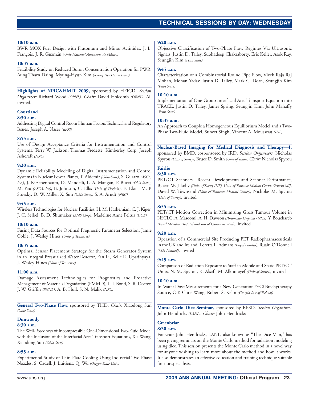#### **10:10 a.m.**

BWR MOX Fuel Design with Plutonium and Minor Actinides, J. L. François, J. R. Guzmán *(Univ Nacional Autonoma de México)*

#### **10:35 a.m.**

Feasibility Study on Reduced Boron Concentration Operation for PWR, Aung Tharn Daing, Myung-Hyun Kim *(Kyung Hee Univ–Korea)*

**Highlights of NPIC&HMIT 2009,** sponsored by HFICD. *Session Organizer:* Richard Wood *(ORNL)*. *Chair:* David Holcomb *(ORNL)*. All invited.

#### **Courtland**

#### **8:30 a.m.**

Addressing Digital Control Room Human Factors Technical and Regulatory Issues, Joseph A. Naser *(EPRI)*

#### **8:55 a.m.**

Use of Design Acceptance Criteria for Instrumentation and Control Systems, Terry W. Jackson, Thomas Fredette, Kimberley Corp, Joseph Ashcraft *(NRC)*

#### **9:20 a.m.**

Dynamic Reliability Modeling of Digital Instrumentation and Control Systems in Nuclear Power Plants, T. Aldemir *(Ohio State)*, S. Guarro *(ASCA, Inc.)*, J. Kirschenbaum, D. Mandelli, L. A. Mangan, P. Bucci *(Ohio State)*, M. Yau *(ASCA, Inc)*, B. Johnson, C. Elks *(Univ of Virginia)*, E. Ekici, M. P. Stovsky, D. W. Miller, X. Sun *(Ohio State)*, S. A. Arndt *(NRC)*

#### **9:45 a.m.**

Wireless Technologies for Nuclear Facilities, H. M. Hashemian, C. J. Kiger, J. C. Seibel, B. D. Shumaker *(AMS Corp)*, Madeline Anne Feltus *(DOE)*

#### **10:10 a.m.**

Fusing Data Sources for Optimal Prognostic Parameter Selection, Jamie Coble, J. Wesley Hines *(Univ of Tennessee)*

#### **10:35 a.m.**

Optimal Sensor Placement Strategy for the Steam Generator System in an Integral Pressurized Water Reactor, Fan Li, Belle R. Upadhyaya, J. Wesley Hines *(Univ of Tennessee)*

#### **11:00 a.m.**

Damage Assessment Technologies for Prognostics and Proactive Management of Materials Degradation (PMMD), L. J. Bond, S. R. Doctor, J. W. Griffin *(PNNL)*, A. B. Hull, S. N. Malik *(NRC)*

**General Two-Phase Flow,** sponsored by THD. *Chair:* Xiaodong Sun *(Ohio State)*

#### **Dunwoody**

#### **8:30 a.m.**

The Well-Posedness of Incompressible One-Dimensional Two-Fluid Model with the Inclusion of the Interfacial Area Transport Equations, Xia Wang, Xiaodong Sun *(Ohio State)*

#### **8:55 a.m.**

Experimental Study of Thin Plate Cooling Using Industrial Two-Phase Nozzles, S. Cadell, J. Luitjens, Q. Wu *(Oregon State Univ)*

#### **9:20 a.m.**

Objective Classification of Two-Phase Flow Regimes Via Ultrasonic Signals, Justin D. Talley, Subhadeep Chakraborty, Eric Keller, Asok Ray, Seungjin Kim *(Penn State)*

#### **9:45 a.m.**

Characterization of a Combinatorial Round Pipe Flow, Vivek Raja Raj Mohan, Mohan Yadav, Justin D. Talley, Mark G. Dorn, Seungjin Kim *(Penn State)*

#### **10:10 a.m.**

Implementation of One-Group Interfacial Area Transport Equation into TRACE, Justin D. Talley, James Spring, Seungjin Kim, John Mahaffy *(Penn State)*

#### **10:35 a.m.**

An Approach to Couple a Homogeneous Equilibrium Model and a Two-Phase Two-Fluid Model, Suneet Singh, Vincent A. Mousseau *(INL)*

**Nuclear-Based Imaging for Medical Diagnosis and Therapy—I,** sponsored by BMD; cosponsored by IRD. *Session Organizers:* Nicholas Spyrou *(Univ of Surrey)*, Bruce D. Smith *(Univ of Texas)*. *Chair:* Nicholas Spyrou

#### **Fairlie 8:30 a.m.**

PET/CT Scanners—Recent Developments and Scanner Performance, Bjoern W. Jakoby *[Univ. of Surrey (UK), Univ. of Tennessee Medical Center, Siemens MI]*, David W. Townsend *(Univ of Tennessee Medical Center)*, Nicholas M. Spyrou *(Univ of Surrey)*, invited

### **8:55 a.m.**

PET/CT Motion Correction in Minimising Gross Tumour Volume in NSCLC, A. Masoomi, A. H. Dawson *(Portsmouth Hospitals - NHS)*, Y. Bouchareb *(Royal Marsden Hospital and Inst of Cancer Research)*, invited

#### **9:20 a.m.**

Operation of a Commercial Site Producing PET Radiopharmaceuticals in the UK and Ireland, Loretta L. Admans *(Erigal Limited)*, Ruairi O'Donnell *(M2i Limited)*, invited

#### **9:45 a.m.**

Comparison of Radiation Exposure to Staff in Mobile and Static PET/CT Units, N. M. Spyrou, K. Alsafi, M. Alkhorayef *(Univ of Surrey)*, invited

#### **10:10 a.m.**

In-Water Dose Measurements for a New-Generation 252Cf Brachytherapy Source, C-K Chris Wang, Robert S. Kelm *(Georgia Inst of Technol)*

**Monte Carlo Dice Seminar,** sponsored by RPSD. *Session Organizer:* John Hendricks *(LANL)*. *Chair:* John Hendricks

### **Greenbriar**

#### **8:30 a.m.**

For years John Hendricks, LANL, also known as "The Dice Man," has been giving seminars on the Monte Carlo method for radiation modeling using dice. This session presents the Monte Carlo method in a novel way for anyone wishing to learn more about the method and how it works. It also demonstrates an effective education and training technique suitable for nonspecialists.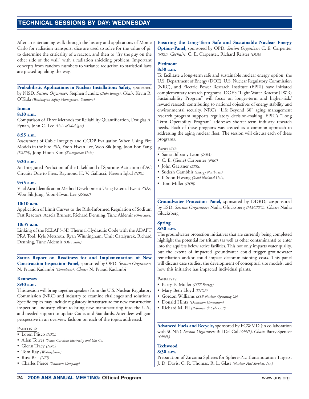### **TECHNICAL SESSIONS SESSIONS BY DAY: WEDNESDAY**

After an entertaining walk through the history and applications of Monte Carlo for radiation transport, dice are used to solve for the value of pi, to determine the criticality of a reactor, and then to "fry the guy on the other side of the wall" with a radiation shielding problem. Important concepts from random numbers to variance reduction to statistical laws are picked up along the way.

**Probabilistic Applications in Nuclear Installations Safety,** sponsored by NISD. *Session Organizer:* Stephen Schultz *(Duke Energy)*. *Chair:* Kevin R. O'Kula *(Washington Safety Management Solutions)*

#### **Inman**

#### **8:30 a.m.**

Comparison of Three Methods for Reliability Quantification, Douglas A. Fynan, John C. Lee *(Univ of Michigan)*

#### **8:55 a.m.**

Assessment of Cable Integrity and CCDP Evaluation When Using Fire Models in the Fire PSA, Yoon-Hwan Lee, Woo-Sik Jung, Joon-Eon Yang *(KAERI)*, Jong-Hoon Kim *(Kwangwoon Univ)*

#### **9:20 a.m.**

An Integrated Prediction of the Likelihood of Spurious Actuation of AC Circuits Due to Fires, Raymond H. V. Gallucci, Naeem Iqbal *(NRC)*

#### **9:45 a.m.**

Vital Area Identification Method Development Using External Event PSAs, Woo Sik Jung, Yoon-Hwan Lee *(KAERI)*

#### **10:10 a.m.**

Application of Limit Curves to the Risk-Informed Regulation of Sodium Fast Reactors, Acacia Brunett, Richard Denning, Tunc Aldemir *(Ohio State)*

#### **10:35 a.m.**

Linking of the RELAP5-3D Thermal-Hydraulic Code with the ADAPT PRA Tool, Kyle Metzroth, Ryan Winningham, Umit Catalyurek, Richard Denning, Tunc Aldemir *(Ohio State)*

**Status Report on Readiness for and Implementation of New Construction Inspection–Panel,** sponsored by OPD. *Session Organizer:* N. Prasad Kadambi *(Consultant)*. *Chair:* N. Prasad Kadambi

#### **Kennesaw**

#### **8:30 a.m.**

This session will bring together speakers from the U.S. Nuclear Regulatory Commission (NRC) and industry to examine challenges and solutions. Specific topics may include regulatory infrastructure for new construction inspection, industry effort to bring new manufacturing into the U.S., and needed support to update Codes and Standards. Attendees will gain perspective in an overview fashion on each of the topics addressed.

#### PANELISTS:

- Loren Plisco *(NRC)*
- Allen Torres *(South Carolina Electricity and Gas Co)*
- Glenn Tracy *(NRC)*
- Tom Ray *(Westinghouse)*
- Russ Bell *(NEI)*
- Charles Pierce *(Southern Company)*

**Ensuring the Long-Term Safe and Sustainable Nuclear Energy Option–Panel,** sponsored by OPD. *Session Organizer:* C. E. Carpenter *(NRC)*. *Cochairs:* C. E. Carpenter, Richard Reister *(DOE)*

#### **Piedmont**

#### **8:30 a.m.**

To facilitate a long-term safe and sustainable nuclear energy option, the U.S. Department of Energy (DOE), U.S. Nuclear Regulatory Commission (NRC), and Electric Power Research Institute (EPRI) have initiated complementary research programs. DOE's "Light Water Reactor (LWR) Sustainability Program" will focus on longer-term and higher-risk/ reward research contributing to national objectives of energy stability and environmental security. NRC's "Life Beyond 60" aging management research program supports regulatory decision-making. EPRI's "Long Term Operability Program" addresses shorter-term industry research needs. Each of these programs was created as a common approach to addressing the aging nuclear fleet. The session will discuss each of these programs.

#### PANELISTS:

- Sama Bilbao y Leon *(IAEA)*
- C. E. (Gene) Carpenter *(NRC)*
- John Gaertner *(EPRI)*
- Sudesh Gambhir *(Energy Northwest)*
- Il Soon Hwang *(Seoul National Univ)*
- Tom Miller *(DOE)*

**Groundwater Protection–Panel,** sponsored by DDRD; cosponsored by ESD. *Session Organizer:* Nadia Glucksberg *(MACTEC)*. *Chair:* Nadia Glucksberg

### **Spring**

### **8:30 a.m.**

The groundwater protection initiatives that are currently being completed highlight the potential for tritium (as well as other contaminants) to enter into the aquifers below active facilities. This not only impacts water quality, but the extent of impacted groundwater could trigger groundwater remediation and/or could impact decommissioning costs. This panel will discuss case studies, the development of conceptual site models, and how this initiative has impacted individual plants.

#### PANELISTS:

- Barry E. Muller *(DTE Energy)*
- Mary Beth Lloyd *(SNOP)*
- Gordon Williams *(STP Nuclear Operating Co)*
- Donald Hintz *(Dominion Generation)*
- Richard M. Fil *(Robinson & Cole LLP)*

**Advanced Fuels and Recycle,** sponsored by FCWMD (in collaboration with SCNN). *Session Organizer:* Bill Del Cul *(ORNL)*. *Chair:* Barry Spencer *(ORNL)*

#### **Techwood**

#### **8:30 a.m.**

Preparation of Zirconia Spheres for Sphere-Pac Transmutation Targets, J. D. Davis, C. R. Thomas, R. L. Glass *(Nuclear Fuel Services, Inc.)*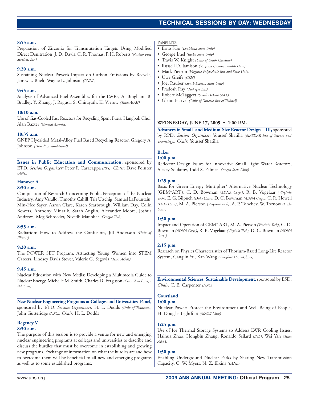### **TECHNICAL SESSIONS TECHNICAL SESSIONS BY DAY: WEDNESDAY**

#### **8:55 a.m.**

#### Preparation of Zirconia for Transmutation Targets Using Modified Direct Denitration, J. D. Davis, C. R. Thomas, P. H. Roberts *(Nuclear Fuel Services, Inc.)*

#### **9:20 a.m.**

Sustaining Nuclear Power's Impact on Carbon Emissions by Recycle, James L. Buelt, Wayne L. Johnson *(PNNL)*

#### **9:45 a.m.**

Analysis of Advanced Fuel Assemblies for the LWRs, A. Bingham, B. Bradley, Y. Zhang, J. Ragusa, S. Chirayath, K. Vierow *(Texas A&M)*

#### **10:10 a.m.**

Use of Gas-Cooled Fast Reactors for Recycling Spent Fuels, Hangbok Choi, Alan Baxter *(General Atomics)*

#### **10:35 a.m.**

GNEP Hydrided Metal-Alloy Fuel Based Recycling Reactor, Gregory A. Johnson *(Hamilton Sundstrand)*

**Issues in Public Education and Communication,** sponsored by ETD. *Session Organizer:* Peter F. Caracappa *(RPI)*. *Chair:* Dave Pointer *(ANL)*

#### **Hanover A**

#### **8:30 a.m.**

Compilation of Research Concerning Public Perception of the Nuclear Industry, Amy Varallo, Timothy Cahill, Tris Utschig, Samuel LaFountain, Min-Hee Sayer, Aaron Clare, Karen Scarbrough, William Day, Colin Bowers, Anthony Minarik, Sarah Anglin, Alexander Moore, Joshua Andrews, Meg Schroeder, Nivedh Manohar *(Georgia Tech)*

#### **8:55 a.m.**

Radiation: How to Address the Confusion, Jill Anderson *(Univ of Illinois)*

#### **9:20 a.m.**

The POWER SET Program: Attracting Young Women into STEM Careers, Lindsey Davis Stover, Valerie G. Segovia *(Texas A&M)*

### **9:45 a.m.**

Nuclear Education with New Media: Developing a Multimedia Guide to Nuclear Energy, Michelle M. Smith, Charles D. Ferguson *(Council on Foreign Relations)*

**New Nuclear Engineering Programs at Colleges and Universities–Panel,** sponsored by ETD. *Session Organizers:* H. L. Dodds *(Univ of Tennessee)*, John Gutteridge *(NRC)*. *Chair:* H. L. Dodds

#### **Regency V 8:30 a.m.**

The purpose of this session is to provide a venue for new and emerging nuclear engineering programs at colleges and universities to describe and discuss the hurdles that must be overcome in establishing and growing new programs. Exchange of information on what the hurdles are and how to overcome them will be beneficial to all new and emerging programs as well as to some established programs.

#### PANELISTS:

- Erno Sajo *(Louisiana State Univ)*
- George Imel *(Idaho State Univ)*
- Travis W. Knight *(Univ of South Carolina)*
- Russell D. Jamison *(Virginia Commonwealth Univ)*
- Mark Pierson *(Virginia Polytechnic Inst and State Univ)*
- Uwe Greife *(CSM)*
- Joel Rauber *(South Dakota State Univ)*
- Pradosh Ray *(Tuskegee Inst)*
- Robert McTaggert *(South Dakota SMT)*
- Glenn Harvel *(Univ of Ontario Inst of Technol)*

#### **WEDNESDAY, JUNE 17, 2009 • 1:00 P.M.**

**Advances in Small- and Medium-Size Reactor Design—III,** sponsored by RPD. *Session Organizer:* Youssef Shatilla *(MASDAR Inst of Science and Technology)*. *Chair:* Youssef Shatilla

### **Baker**

### **1:00 p.m.**

Reflector Design Issues for Innovative Small Light Water Reactors, Alexey Soldatov, Todd S. Palmer *(Oregon State Univ)*

#### **1:25 p.m.**

Basis for Green Energy Multiplier\* Alternative Nuclear Technology (GEM\*ART), C. D. Bowman *(ADNA Corp.)*, R. B. Vogelaar *(Virginia Tech)*, E. G. Bilpuch *(Duke Univ)*, D. C. Bowman *(ADNA Corp.)*, C. R. Howell *(Duke Univ)*, M. A. Pierson *(Virginia Tech)*, A. P. Tonchev, W. Tornow *(Duke Univ)*

#### **1:50 p.m.**

Impact and Operation of GEM\* ART, M. A. Pierson *(Virginia Tech)*, C. D. Bowman *(ADNA Corp.)*, R. B. Vogelaar *(Virginia Tech)*, D. C. Bowman *(ADNA Corp.)*

#### **2:15 p.m.**

Research on Physics Characteristics of Thorium-Based Long-Life Reactor System, Ganglin Yu, Kan Wang *(Tsinghua Univ–China)*

**Environmental Sciences: Sustainable Development,** sponsored by ESD. *Chair:* C. E. Carpenter *(NRC)*

#### **Courtland**

**1:00 p.m.**

Nuclear Power: Protect the Environment and Well-Being of People, H. Douglas Lightfoot *(McGill Univ)*

### **1:25 p.m.**

Use of Ice Thermal Storage Systems to Address LWR Cooling Issues, Haihua Zhao, Hongbin Zhang, Ronaldo Szilard *(INL)*, Wei Yan *(Texas A&M)*

#### **1:50 p.m.**

Enabling Underground Nuclear Parks by Sharing New Transmission Capacity, C. W. Myers, N. Z. Elkins *(LANL)*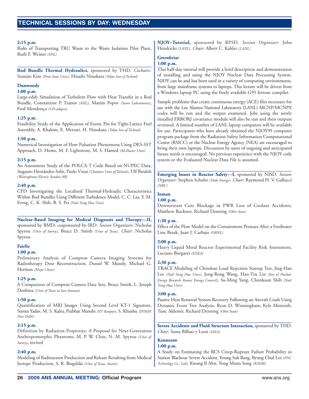#### **2:15 p.m.**

Risks of Transporting TRU Waste to the Waste Isolation Pilot Plant, Ruth F. Weiner *(SNL)*

**Rod Bundle Thermal Hydraulics,** sponsored by THD. *Cochairs:* Seunjin Kim *(Penn State Univ)*, Hisashi Ninokata *(Tokyo Inst of Technol)*

### **Dunwoody**

#### **1:00 p.m.**

Large-eddy Simulation of Turbulent Flow with Heat Transfer in a Rod Bundle, Constantine P. Tzanos *(ANL)*, Maxim Popov *(Sarov Laboratories)*, Fred Mendonça *(CD-adapco)*

#### **1:25 p.m.**

Feasibility Study of the Application of Exotic Pin for Tight-Lattice Fuel Assembly, A. Khakim, E. Merzari, H. Ninokata *(Tokyo Inst of Technol)*

#### **1:50 p.m.**

Numerical Investigation of Flow Pulsation Phenomena Using DES-SST Approach, D. Home, M. F. Lightstone, M. S. Hamed *(McMaster Univ)*

#### **2:15 p.m.**

An Assessment Study of the POLCA-T Code Based on NUPEC Data, Augusto Hernández-Solís, Paolo Vinai *(Chalmers Univ of Technol)*, Ulf Bredolt *(Westinghouse Electric Sweden AB)*

#### **2:40 p.m.**

CFD Investigating the Localized Thermal-Hydraulic Characteristics Within Rod Bundles Using Different Turbulence Model, C. C. Liu, Y. M. Ferng, C. K. Shih, B. S. Pei *(Natl Tsing Hua Univ)*

**Nuclear-Based Imaging for Medical Diagnosis and Therapy—II,** sponsored by BMD; cosponsored by IRD. *Session Organizers:* Nicholas Spyrou *(Univ of Surrey)*, Bruce D. Smith *(Univ of Texas)*. *Chair:* Nicholas Spyrou

#### **Fairlie**

#### **1:00 p.m.**

Preliminary Analysis of Compton Camera Imaging Systems for Radiotherapy Dose Reconstruction, Daniel W. Mundy, Michael G. Herman *(Mayo Clinic)*

#### **1:25 p.m.**

A Comparison of Compton Camera Data Sets, Bruce Smith, L. Joseph Denbina *(Univ of Texas at San Antonio)*

#### **1:50 p.m.**

Quantification of MRI Images Using Second Level KT-1 Signature, Sunita Yadav, M. S. Kalra, Prabhat Munshi *(IIT Kanpur)*, S. Khushu *(INMAS New Delhi)*

#### **2:15 p.m.**

Definition by Radiation Properties: A Proposal for Next-Generation Anthropomorphic Phantoms, M. P. W. Chin, N. M. Spyrou *(Univ of Surrey)*, invited

#### **2:40 p.m.**

Modeling of Radioxenon Production and Release Resulting from Medical Isotope Production, S. R. Biegalski *(Univ of Texas, Austin)*

**NJOY–Tutorial,** sponsored by RPSD. *Session Organizer:* John Hendricks *(LANL)*. *Chair:* Albert C. Kahler *(LANL)*

### **Greenbriar**

### **1:00 p.m.**

This half-day tutorial will provide a brief description and demonstration of installing and using the NJOY Nuclear Data Processing System. NJOY can be and has been used in a variety of computing environments, from large mainframe systems to laptops. This lecture will be driven from a Windows laptop PC using the freely available G95 fortran compiler.

Sample problems that create continuous energy (ACE) files necessary for use with the Los Alamos National Laboratory (LANL) MCNP/MCNPX codes will be run and the output examined. Jobs using the newly installed ERRORJ covariance module will also be run and their outputs reviewed. A limited number of LANL laptop computers will be available for use. Participants who have already obtained the NJOY99 computer program package from the Radiation Safety Information Computational Center (RSICC) or the Nuclear Energy Agency (NEA) are encouraged to bring their own laptops. Discussion by users of ongoing and anticipated future needs is encouraged. No previous experience with the NJOY code system or the Evaluated Nuclear Data File is assumed.

**Emerging Issues in Reactor Safety—I,** sponsored by NISD. *Session Organizer:* Stephen Schultz *(Duke Energy)*. *Chair:* Raymond H. V. Gallucci *(NRC)*

### **Inman**

**1:00 p.m.**

Downstream Core Blockage in PWR Loss of Coolant Accidents, Matthew Bucknor, Richard Denning *(Ohio State)*

#### **1:30 p.m.**

Effect of the Flow Model on the Containment Pressure After a Feedwater Line Break, Juan J. Carbajo *(ORNL)*

#### **2:00 p.m.**

Heavy Liquid Metal Reactor Experimental Facility Risk Assessment, Luciano Burgazzi *(ENEA)*

#### **2:30 p.m.**

TRACE Modeling of Chinshan Load Rejection Startup Test, Jing-Han Lee *(Natl Tsing Hua Univ)*, Jong-Rong Wang, Hao-Tzu Lin *(Inst of Nuclear Energy Research Atomic Energy Council)*, Su-Ming Yang, Chunkuan Shih *(Natl Tsing Hua Univ)*

#### **3:00 p.m.**

Passive Heat Removal System Recovery Following an Aircraft Crash Using Dynamic Event Tree Analysis, Ryan D. Winningham, Kyle Metzroth, Tunc Aldemir, Richard Denning *(Ohio State)*

**Severe Accidents and Fluid-Structure Interaction,** sponsored by THD. *Chair:* Sama Bilbao y Leon *(IAEA)*

### **Kennesaw**

### **1:00 p.m.**

A Study on Estimating the RCS Creep-Rupture Failure Probability in Station Blackout Severe Accident, Young Suk Bang, Byung Chul Lee *(FNC Technology Co., Ltd)*, Kwang Il Ahn, Yong Mann Song *(KAERI)*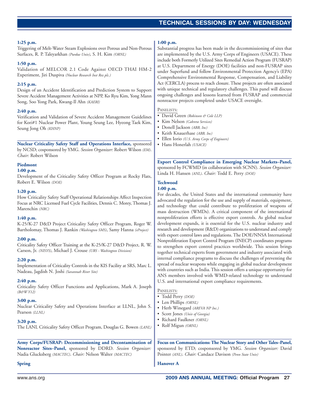#### **1:25 p.m.**

Triggering of Melt-Water Steam Explosions over Porous and Non-Porous Surfaces, R. P. Taleyarkhan *(Purdue Univ)*, S. H. Kim *(ORNL)*

#### **1:50 p.m.**

Validation of MELCOR 2.1 Code Against OECD THAI HM-2 Experiment, Jiri Duspiva *(Nuclear Research Inst Rez plc.)*

#### **2:15 p.m.**

Design of an Accident Identification and Prediction System to Support Severe Accident Management Activities at NPP, Ko Ryu Kim, Yong Mann Song, Soo Yong Park, Kwang-Il Ahn *(KAERI)*

#### **2:40 p.m.**

Verification and Validation of Severe Accident Management Guidelines for Kori#1 Nuclear Power Plant, Young Seung Lee, Hyeong Taek Kim, Seung Jong Oh *(KHNP)*

**Nuclear Criticality Safety Staff and Operations Interface,** sponsored by NCSD; cosponsored by YMG. *Session Organizer:* Robert Wilson *(EM)*. *Chair:* Robert Wilson

#### **Piedmont**

#### **1:00 p.m.**

Development of the Criticality Safety Officer Program at Rocky Flats, Robert E. Wilson *(DOE)*

#### **1:20 p.m.**

How Criticality Safety Staff Operational Relationships Affect Inspection Focus at NRC Licensed Fuel Cycle Facilities, Dennis C. Morey, Thomas J. Marenchin *(NRC)*

#### **1:40 p.m.**

K-25/K-27 D&D Project Criticality Safety Officer Program, Roger W. Bartholomay, Thomas J. Rankin *(Washington SMS)*, Samy Hanna *(eProject)*

#### **2:00 p.m.**

Criticality Safety Officer Training at the K-25/K-27 D&D Project, R. W. Carson, Jr. *(NISYS)*, Michael J. Crouse *(URS - Washington Division)*

#### **2:20 p.m.**

Implementation of Criticality Controls in the KIS Facility at SRS, Marc L. Nadeau, Jagdish N. Joshi *(Savannah River Site)*

#### **2:40 p.m.**

Criticality Safety Officer Functions and Applications, Mark A. Joseph *(B&W Y12)*

#### **3:00 p.m.**

Nuclear Criticality Safety and Operations Interface at LLNL, John S. Pearson *(LLNL)*

#### **3:20 p.m.**

The LANL Criticality Safety Officer Program, Douglas G. Bowen *(LANL)*

**Army Corps/FUSRAP: Decommissioning and Decontamination of Nonreactor Sites–Panel,** sponsored by DDRD. *Session Organizer:* Nadia Glucksberg *(MACTEC)*. *Chair:* Nelson Walter *(MACTEC)*

#### **1:00 p.m.**

Substantial progress has been made in the decommissioning of sites that are implemented by the U.S. Army Corps of Engineers (USACE). These include both Formerly Utilized Sites Remedial Action Program (FUSRAP) at U.S. Department of Energy (DOE) facilities and non-FUSRAP sites under Superfund and follow Environmental Protection Agency's (EPA) Comprehensive Environmental Response, Compensation, and Liability Act (CERCLA) process to reach closure. These projects are often associated with unique technical and regulatory challenges. This panel will discuss ongoing challenges and lessons learned from FUSRAP and commercial nonreactor projects completed under USACE oversight.

#### PANELISTS:

- David Green *(Robinson & Cole LLP)*
- Kim Nelson *(Cabrera Services)*
- Donell Jackson *(ABB, Inc)*
- Keith Knauerhase *(ABB, Inc)*
- Ellen Iorio *(U.S. Army Corps of Engineers)* • Hans Honerlah *(USACE)*

**Export Control Compliance in Emerging Nuclear Markets–Panel,** sponsored by FCWMD (in collaboration with SCNN). *Session Organizer:* Linda H. Hansen *(ANL)*. *Chair:* Todd E. Perry *(DOE)*

### **Techwood**

#### **1:00 p.m.**

For decades, the United States and the international community have advocated the regulation for the use and supply of materials, equipment, and technology that could contribute to proliferation of weapons of mass destruction (WMDs). A critical component of the international nonproliferation efforts is effective export controls. As global nuclear development expands, it is essential for the U.S. nuclear industry and research and development (R&D) organizations to understand and comply with export control laws and regulations. The DOE/NNSA International Nonproliferation Export Control Program (INECP) coordinates programs to strengthen export control practices worldwide. This session brings together technical experts from government and industry associated with internal compliance programs to discuss the challenges of preventing the spread of nuclear weapons while engaging in global nuclear development with countries such as India. This session offers a unique opportunity for ANS members involved with WMD-related technology to understand U.S. and international export compliance requirements.

### PANELISTS:

- Todd Perry *(DOE)*
- Len Phillips *(ORNL)*
- Herb Winegard *(AREVA NP Inc.)*
- Scott Jones *(Univ of Georgia)*
- Richard Faulkner *(ORNL)*
- Rolf Migun *(ORNL)*

**Focus on Communications: The Nuclear Story and Other Tales–Panel,** sponsored by ETD; cosponsored by YMG. *Session Organizer:* David Pointer *(ANL)*. *Chair:* Candace Davison *(Penn State Univ)*

#### **Hanover A**

**Spring**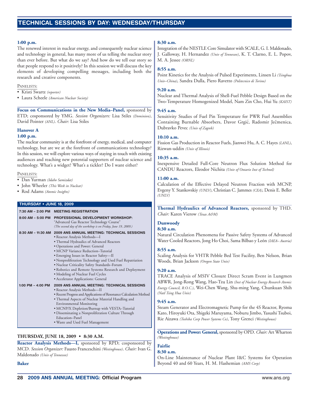#### **1:00 p.m.**

The renewed interest in nuclear energy, and consequently nuclear science and technology in general, has many more of us telling the nuclear story than ever before. But what do we say? And how do we tell our story so that people respond to it positively? In this session we will discuss the key elements of developing compelling messages, including both the research and creative components.

#### PANELISTS:

- Kristi Swartz *(reporter)*
- Laura Scheele *(American Nuclear Society)*

**Focus on Communications in the New Media–Panel,** sponsored by ETD; cosponsored by YMG. *Session Organizers:* Lisa Stiles *(Dominion)*, David Pointer *(ANL)*. *Chair:* Lisa Stiles

#### **Hanover A**

#### **1:00 p.m.**

The nuclear community is at the forefront of energy, medical, and computer technology, but are we at the forefront of communications technology? In this session, we will explore various ways of staying in touch with existing audiences and reaching new potential supporters of nuclear science and technology. What's a widget? What's a tickler? Do I want either?

#### PANELISTS:

- Dan Yurman *(Idaho Samizdat)*
- John Wheeler *(This Week in Nuclear)*
- Rod Adams *(Atomic Insights)*

#### **THURSDAY • JUNE 18, 2009**

#### **7:30 AM – 2:00 PM MEETING REGISTRATION 8:00 AM – 5:00 PM PROFESSIONAL DEVELOPMENT WORKSHOP:** "Advanced Gas Reactor Technology Course" *(The second day of the workshop is on Friday, June 19, 2009.)* **8:30 AM – 11:30 AM 2009 ANS ANNUAL MEETING: TECHNICAL SESSIONS** • Reactor Analysis Methods—I • Thermal Hydraulics of Advanced Reactors • Operations and Power: General • MCNP Variance Reduction–Tutorial • Emerging Issues in Reactor Safety—II • Nonproliferation Technology and Used Fuel Repatriation • Nuclear Criticality Safety Standards–Forum • Robotics and Remote Systems Research and Deployment • Modeling of Nuclear Fuel Cycles • Accelerator Applications: General **1:00 PM – 4:00 PM 2009 ANS ANNUAL MEETING: TECHNICAL SESSIONS** • Reactor Analysis Methods—II • Recent Progress and Applications of Resonance Calculation Method • Thermal Aspects of Nuclear Material Handling and Environmental Monitoring • MCNP/X Depletion/Burnup with VESTA–Tutorial • Disseminating a Nonproliferation Culture Through Education–Panel • Waste and Used Fuel Management

#### **THURSDAY, JUNE 18, 2009 • 8:30 A.M.**

**Reactor Analysis Methods—I,** sponsored by RPD; cosponsored by MCD. *Session Organizer:* Fausto Franceschini *(Westinghouse)*. *Chair:* Ivan G. Maldonado *(Univ of Tennessee)*

#### **Baker**

#### **8:30 a.m.**

Integration of the NESTLE Core Simulator with SCALE, G. I. Maldonado, J. Galloway, H. Hernandez *(Univ of Tennessee)*, K. T. Clarno, E. L. Popov, M. A. Jessee *(ORNL)*

#### **8:55 a.m.**

Point Kinetics for the Analysis of Pulsed Experiments, Linsen Li *(Tsinghua Univ–China)*, Sandra Dulla, Piero Ravetto *(Politecnico di Torino)*

#### **9:20 a.m.**

Nuclear and Thermal Analysis of Shell-Fuel Pebble Design Based on the Two-Temperature Homogenized Model, Nam Zin Cho, Hui Yu *(KAIST)*

#### **9:45 a.m.**

Sensitivity Studies of Fuel Pin Temperature for PWR Fuel Assemblies Containing Burnable Absorbers, Davor Grgić, Radomir Ječmenica, Dubravko Pevec *(Univ of Zagreb)*

#### **10:10 a.m.**

Fission Gas Production in Reactor Fuels, Jianwei Hu, A. C. Hayes *(LANL)*, Rizwan-uddin *(Univ of Illinois)*

#### **10:35 a.m.**

Inexpensive Detailed Full-Core Neutron Flux Solution Method for CANDU Reactors, Eleodor Nichita *(Univ of Ontario Inst of Technol)*

#### **11:00 a.m.**

Calculation of the Effective Delayed Neutron Fraction with MCNP, Evgeny Y. Stankovskiy *(UNLV)*, Christian C. Jammes *(CEA)*, Denis E. Beller *(UNLV)*

**Thermal Hydraulics of Advanced Reactors,** sponsored by THD. *Chair:* Karen Vierow *(Texas A&M)*

### **Dunwoody**

#### **8:30 a.m.**

Natural Circulation Phenomena for Passive Safety Systems of Advanced Water Cooled Reactors, Jong Ho Choi, Sama Bilbao y León *(IAEA– Austria)*

#### **8:55 a.m.**

Scaling Analysis for VHTR Pebble Bed Test Facility, Ben Nelson, Brian Woods, Brian Jackson *(Oregon State Univ)*

#### **9:20 a.m.**

TRACE Analysis of MSIV Closure Direct Scram Event in Lungmen ABWR, Jong-Rong Wang, Hao-Tzu Lin *(Inst of Nuclear Energy Research Atomic Energy Council, R.O.C.)*, Wei-Chen Wang, Shu-ming Yang, Chunkuan Shih *(Natl Tsing Hua Univ)*

#### **9:45 a.m.**

Steam Generator and Electromagnetic Pump for the 4S Reactor, Ryoma Kato, Hiroyuki Ota, Shigeki Maruyama, Noburu Jimbo, Yasushi Tsuboi, Rie Aizawa *(Toshiba Corp Power Systems Co)*, Tony Grenci *(Westinghouse)*

**Operations and Power: General,** sponsored by OPD. *Chair:* Art Wharton *(Westinghouse)*

#### **Fairlie**

#### **8:30 a.m.**

On-Line Maintenance of Nuclear Plant I&C Systems for Operation Beyond 40 and 60 Years, H. M. Hashemian *(AMS Corp)*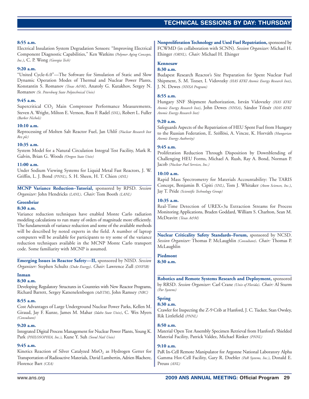### **TECHNICAL SESSIONS TECHNICAL SESSIONS BY DAY: THURSDAY**

#### **8:55 a.m.**

Electrical Insulation System Degradation Sensors: "Improving Electrical Component Diagnostic Capabilities," Ken Watkins *(Polymer Aging Concepts, Inc.)*, C. P. Wong *(Georgia Tech)*

#### **9:20 a.m.**

"United Cycle-6.0"—The Software for Simulation of Static and Slow Dynamic Operation Modes of Thermal and Nuclear Power Plants, Konstantin S. Romanov *(Texas A&M)*, Anatoly G. Kutakhov, Sergey N. Romanov *(St. Petersburg State Polytechnical Univ)*

#### **9:45 a.m.**

Supercritical CO<sub>2</sub> Main Compressor Performance Measurements, Steven A. Wright, Milton E. Vernon, Ross F. Radel *(SNL)*, Robert L. Fuller *(Barber Nichols)*

#### **10:10 a.m.**

Reprocessing of Molten Salt Reactor Fuel, Jan Uhlíř (Nuclear Research Inst *Rez plc)*

#### **10:35 a.m.**

System Model for a Natural Circulation Integral Test Facility, Mark R. Galvin, Brian G. Woods *(Oregon State Univ)*

#### **11:00 a.m.**

Under Sodium Viewing Systems for Liquid Metal Fast Reactors, J. W. Griffin, L. J. Bond *(PNNL)*, S. H. Sheen, H. T. Chien *(ANL)*

**MCNP Variance Reduction–Tutorial,** sponsored by RPSD. *Session Organizer:* John Hendricks *(LANL)*. *Chair:* Tom Booth *(LANL)*

#### **Greenbriar**

#### **8:30 a.m.**

Variance reduction techniques have enabled Monte Carlo radiation modeling calculations to run many of orders of magnitude more efficiently. The fundamentals of variance reduction and some of the available methods will be described by noted experts in the field. A number of laptop computers will be available for participants to try some of the variance reduction techniques available in the MCNP Monte Carlo transport code. Some familiarity with MCNP is assumed.

**Emerging Issues in Reactor Safety—II,** sponsored by NISD. *Session Organizer:* Stephen Schultz *(Duke Energy)*. *Chair:* Lawrence Zull *(DNFSB)*

#### **Inman**

**8:30 a.m.**

Developing Regulatory Structures in Countries with New Reactor Programs, Richard Barrett, Sergey Katsenelenbogen *(AdSTM)*, John Ramsey *(NRC)*

#### **8:55 a.m.**

Cost Advantages of Large Underground Nuclear Power Parks, Kellen M. Giraud, Jay F. Kunze, James M. Mahar *(Idaho State Univ)*, C. Wes Myers *(Consultant)*

#### **9:20 a.m.**

Integrated Digital Process Management for Nuclear Power Plants, Young K. Park *(PHILOSOPHIA, Inc.)*, Kune Y. Suh *(Seoul Natl Univ)*

#### **9:45 a.m.**

Kinetics Reaction of Silver Catalyzed  $MnO<sub>2</sub>$  as Hydrogen Getter for Transportation of Radioactive Materials, David Lambertin, Adrien Blachere, Florence Bart *(CEA)*

**Nonproliferation Technology and Used Fuel Repatriation,** sponsored by FCWMD (in collaboration with SCNN). *Session Organizer:* Michael H. Ehinger *(ORNL)*. *Chair:* Michael H. Ehinger

#### **Kennesaw**

#### **8:30 a.m.**

Budapest Research Reactor's Site Preparation for Spent Nuclear Fuel Shipment, S. M. Tozser, I. Vidovszky *(HAS KFKI Atomic Energy Research Inst)*, J. N. Dewes *(NNSA Program)*

#### **8:55 a.m.**

Hungary SNF Shipment Authorization, István Vidovszky *(HAS KFKI Atomic Energy Research Inst)*, John Dewes *(NNSA)*, Sándor Tózsér *(HAS KFKI* `*Atomic Energy Research Inst)*

#### **9:20 a.m.**

Safeguards Aspects of the Repatriation of HEU Spent Fuel from Hungary to the Russian Federation, E. Szöllösi, A. Vincze, K. Horváth *(Hungarian Atomic Energy Authority)*

#### **9:45 a.m.**

Proliferation Reduction Through Disposition by Downblending of Challenging HEU Forms, Michael A. Rush, Ray A. Bond, Norman P. Jacob *(Nuclear Fuel Services, Inc.)*

#### **10:10 a.m.**

Rapid Mass Spectrometry for Materials Accountability: The TARIS Concept, Benjamin B. Cipiti *(SNL)*, Tom J. Whitaker *(Atom Sciences, Inc.)*, Jay T. Pride *(Scientific Technology Group)*

#### **10:35 a.m.**

Real-Time Detection of UREX+3a Extraction Streams for Process Monitoring Applications, Braden Goddard, William S. Charlton, Sean M. McDeavitt *(Texas A&M)*

**Nuclear Criticality Safety Standards–Forum,** sponsored by NCSD. *Session Organizer:* Thomas P. McLaughlin *(Consultant)*. *Chair:* Thomas P. McLaughlin

#### **Piedmont**

**8:30 a.m.**

**Robotics and Remote Systems Research and Deployment,** sponsored by RRSD. *Session Organizer:* Carl Crane *(Univ of Florida)*. *Chair:* Al Sturm *(Par Systems)*

#### **Spring**

#### **8:30 a.m.**

Crawler for Inspecting the Z-9 Crib at Hanford, J. C. Tucker, Stan Owsley, Rik Littlefield *(PNNL)*

#### **8:50 a.m.**

Material Open Test Assembly Specimen Retrieval from Hanford's Shielded Material Facility, Patrick Valdez, Michael Rinker *(PNNL)*

#### **9:10 a.m.**

PaR In-Cell Remote Manipulator for Argonne National Laboratory Alpha Gamma Hot-Cell Facility, Gary R. Doebler *(PaR Systems, Inc.)*, Donald E. Preuss *(ANL)*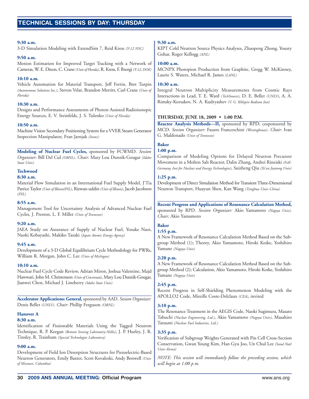#### **9:30 a.m.**

3-D Simulation Modeling with ExtendSim 7, Reid Kress *(Y-12 NSC)*

#### **9:50 a.m.**

Motion Estimation for Improved Target Tracking with a Network of Cameras, W. E. Dixon, C. Crane *(Univ of Florida)*, R. Kress, F. Bzorgi *(Y-12, DOE)*

#### **10:10 a.m.**

Vehicle Automation for Material Transport, Jeff Ferrin, Bret Turpin *(Autonomous Solutions Inc.)*, Steven Velat, Brandon Merritt, Carl Crane *(Univ of Florida)*

#### **10:30 a.m.**

Designs and Performance Assessments of Photon Assisted Radioisotopic Energy Sources, E. V. Steinfelds, J. S. Tulenko *(Univ of Florida)*

#### **10:50 a.m.**

Machine Vision Secondary Positioning System for a VVER Steam Generator Inspection Manipulator, Fran Jarnjak *(Inetec)*

**Modeling of Nuclear Fuel Cycles,** sponsored by FCWMD. *Session Organizer:* Bill Del Cul *(ORNL)*. *Chair:* Mary Lou Dunzik-Gougar *(Idaho State Univ)*

#### **Techwood**

#### **8:30 a.m.**

Material Flow Simulation in an International Fuel Supply Model, J'Tia Patrice Taylor *(Univ of Illinois/INL)*, Rizwan-uddin *(Univ of Illinois)*, Jacob Jacobson *(INL)*

#### **8:55 a.m.**

Management Tool for Uncertainty Analysis of Advanced Nuclear Fuel Cycles, J. Preston, L. F. Miller *(Univ of Tennessee)*

#### **9:20 a.m.**

JAEA Study on Assurance of Supply of Nuclear Fuel, Yosuke Naoi, Naoki Kobayashi, Makiko Tazaki *(Japan Atomic Energy Agency)*

#### **9:45 a.m.**

Development of a 3-D Global Equilibrium Cycle Methodology for PWRs, William R. Morgan, John C. Lee *(Univ of Michigan)*

#### **10:10 a.m.**

Nuclear Fuel Cycle Code Review, Adrian Miron, Joshua Valentine, Majd Hawwari, John M. Christenson *(Univ of Cincinnati)*, Mary Lou Dunzik-Gougar, Jianwei Chen, Michael J. Lineberry *(Idaho State Univ)*

**Accelerator Applications: General,** sponsored by AAD. *Session Organizer:* Denis Beller *(UNLV)*. *Chair:* Phillip Ferguson *(ORNL)*

#### **Hanover A**

#### **8:30 a.m.**

Identification of Fissionable Materials Using the Tagged Neutron Technique, R. P. Keegan *(Remote Sensing Laboratory-Nellis)*, J. P. Hurley, J. R. Tinsley, R. Trainham *(Special Technologies Laboratory)*

#### **9:00 a.m.**

Development of Field Ion Desorption Structures for Piezoelectric-Based Neutron Generators, Emily Baxter, Scott Kovaleski, Andy Benwell *(Univ of Missouri, Columbia)*

#### **9:30 a.m.**

KIPT Cold Neutron Source Physics Analyses, Zhaopeng Zhong, Yousry Gohar, Roger Kellogg *(ANL)*

#### **10:00 a.m.**

MCNPX Photopion Production from Graphite, Gregg W. McKinney, Laurie S. Waters, Michael R. James *(LANL)*

#### **10:30 a.m.**

Integral Neutron Multiplicity Measurements from Cosmic Rays Interactions in Lead, T. E. Ward *(TechSource)*, D. E. Beller *(UNLV)*, A. A. Rimsky-Korsakov, N. A. Kudryashev *(V. G. Khlopin Radium Inst)*

#### **THURSDAY, JUNE 18, 2009 • 1:00 P.M.**

**Reactor Analysis Methods—II,** sponsored by RPD; cosponsored by MCD. *Session Organizer:* Fausto Franceschini *(Westinghouse)*. *Chair:* Ivan G. Maldonado *(Univ of Tennessee)*

#### **Baker**

#### **1:00 p.m.**

Comparison of Modeling Options for Delayed Neutron Precursor Movement in a Molten Salt Reactor, Dalin Zhang, Andrei Rineiski *(FzK-Germany, Inst for Nuclear and Energy Technologies)*, Suizheng Qiu *(Xi'an Jiaotong Univ)*

#### **1:25 p.m.**

Development of Direct Simulation Method for Transient Three-Dimensional Neutron Transport, Huayun Shen, Kan Wang *(Tsinghua Univ–China)*

**Recent Progress and Applications of Resonance Calculation Method,** sponsored by RPD. *Session Organizer:* Akio Yamamoto *(Nagoya Univ)*. *Chair:* Akio Yamamoto

### **Baker**

#### **1:55 p.m.**

A New Framework of Resonance Calculation Method Based on the Subgroup Method (1); Theory, Akio Yamamoto, Hiroki Koike, Yoshihiro Yamane *(Nagoya Univ)*

### **2:20 p.m.**

A New Framework of Resonance Calculation Method Based on the Subgroup Method (2); Calculation, Akio Yamamoto, Hiroki Koike, Yoshihiro Yamane *(Nagoya Univ)*

#### **2:45 p.m.**

Recent Progress in Self-Shielding Phenomenon Modeling with the APOLLO2 Code, Mireille Coste-Delclaux *(CEA)*, invited

#### **3:10 p.m.**

The Resonance Treatment in the AEGIS Code, Naoki Sugimura, Masato Tabuchi *(Nuclear Engineering, Ltd.)*, Akio Yamamoto *(Nagoya Univ)*, Masahiro Tatsumi *(Nuclear Fuel Industries, Ltd.)*

#### **3:35 p.m.**

Verification of Subgroup Weights Generated with Pin Cell Cross-Section Conservation, Gwan Young Kim, Han Gyu Joo, Un Chul Lee *(Seoul Natl Univ–Korea)*

*NOTE: This session will immediately follow the preceding session, which will begin at 1:00 p.m.*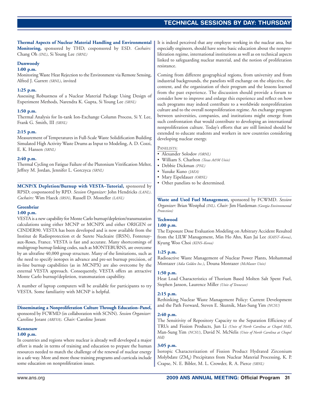#### **Thermal Aspects of Nuclear Material Handling and Environmental Monitoring,** sponsored by THD; cosponsored by ESD. *Cochairs:* Chang Oh *(INL)*, Si Young Lee *(SRNL)*

#### **Dunwoody**

#### **1:00 p.m.**

Monitoring Waste Heat Rejection to the Environment via Remote Sensing, Alfred J. Garrett *(SRNL)*, invited

#### **1:25 p.m.**

Assessing Robustness of a Nuclear Material Package Using Design of Experiment Methods, Narendra K. Gupta, Si Young Lee *(SRNL)*

#### **1:50 p.m.**

Thermal Analysis for In-tank Ion-Exchange Column Process, Si Y. Lee, Frank G. Smith, III *(SRNL)*

#### **2:15 p.m.**

Measurement of Temperatures in Full-Scale Waste Solidification Building Simulated High Activity Waste Drums as Input to Modeling, A. D. Cozzi, E. K. Hansen *(SRNL)*

#### **2:40 p.m.**

Thermal Cycling on Fatigue Failure of the Plutonium Vitrification Melter, Jeffrey M. Jordan, Jennifer L. Gorczyca *(SRNL)*

**MCNP/X Depletion/Burnup with VESTA–Tutorial,** sponsored by RPSD; cosponsored by RPD. *Session Organizer:* John Hendricks *(LANL)*. *Cochairs:* Wim Haeck *(IRSN)*, Russell D. Mosteller *(LANL)*

### **Greenbriar**

### **1:00 p.m.**

VESTA is a new capability for Monte Carlo burnup/depletion/transmutation calculations using either MCNP or MCNPX and either ORIGEN or CINDER90. VESTA has been developed and is now available from the Institut de Radioprotection et de Surete Nucleaire (IRSN), Fontenayaux-Roses, France. VESTA is fast and accurate. Many shortcomings of multigroup burnup linking codes, such as MONTEBURNS, are overcome by an ultrafine 40,000 group structure. Many of the limitations, such as the need to specify isotopes in advance and pre-set burnup precision, of in-line burnup capabilities (as in MCNPX) are also overcome by the external VESTA approach. Consequently, VESTA offers an attractive Monte Carlo burnup/depletion, transmutation capability.

A number of laptop computers will be available for participants to try VESTA. Some familiarity with MCNP is helpful.

#### **Disseminating a Nonproliferation Culture Through Education–Panel,** sponsored by FCWMD (in collaboration with SCNN). *Session Organizer:* Caroline Jorant *(AREVA)*. *Chair:* Caroline Jorant

#### **Kennesaw**

#### **1:00 p.m.**

In countries and regions where nuclear is already well developed a major effort is made in terms of training and education to prepare the human resources needed to match the challenge of the renewal of nuclear energy in a safe way. More and more those training programs and curricula include some education on nonproliferation issues.

It is indeed perceived that any employee working in the nuclear area, but especially engineers, should have some basic education about the nonproliferation regime, international institutions as well as on technical aspects linked to safeguarding nuclear material, and the notion of proliferation resistance.

Coming from different geographical regions, from university and from industrial backgrounds, the panelists will exchange on the objective, the content, and the organization of their program and the lessons learned from the past experience. The discussion should provide a forum to consider how to improve and enlarge this experience and reflect on how such programs may indeed contribute to a worldwide nonproliferation culture and to the overall nonproliferation regime. An exchange program between universities, companies, and institutions might emerge from such confrontation that would contribute to developing an international nonproliferation culture. Today's efforts that are still limited should be extended to educate students and workers in new countries considering developing nuclear energy.

#### PANELISTS:

- Alexander Solodov *(ORNL)*
- William S. Charlton *(Texas A&M Univ)*
- Debbie Dickman *(PNL)*
- Yusuke Kuno *(JAEA)*
- Mary Eipeldauer *(ORNL)*
- Other panelists to be determined.

**Waste and Used Fuel Management,** sponsored by FCWMD. *Session Organizer:* Brian Westphal *(INL)*. *Chair:* Jim Hardeman *(Georgia Environmental Protection)*

### **Techwood**

### **1:00 p.m.**

The Exposure Dose Evaluation Modeling on Arbitrary Accident Resulted from the LILW Management, Min Ho Ahn, Kun Jai Lee *(KAIST–Korea)*, Kyung Woo Choi *(KINS–Korea)*

#### **1:25 p.m.**

Radioactive Waste Management of Nuclear Power Plants, Mohammad Montazer *(Adia Golden Inc.)*, Douna Montazer *(McMaster Univ)*

#### **1:50 p.m.**

Heat Load Characteristics of Thorium Based Molten Salt Spent Fuel, Stephen Janson, Laurence Miller *(Univ of Tennessee)*

#### **2:15 p.m.**

Rethinking Nuclear Waste Management Policy: Current Development and the Path Forward, Steven E. Skutnik, Man-Sung Yim *(NCSU)*

#### **2:40 p.m.**

The Sensitivity of Repository Capacity to the Separation Efficiency of TRUs and Fission Products, Jun Li *(Univ of North Carolina at Chapel Hill)*, Man-Sung Yim *(NCSU)*, David N. McNelis *(Univ of North Carolina at Chapel Hill)*

#### **3:05 p.m.**

Isotopic Characterization of Fission Product Hydrated Zirconium Molybdate (ZM<sub>h</sub>) Precipitates from Nuclear Material Processing, K. P. Crapse, N. E. Bibler, M. L. Crowder, R. A. Pierce *(SRNL)*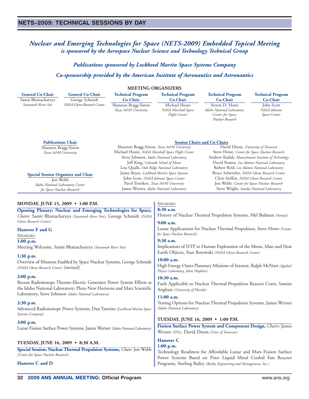### <span id="page-31-0"></span>*Nuclear and Emerging Technologies for Space (NETS-2009) Embedded Topical Meeting is sponsored by the Aerospace Nuclear Science and Technology Technical Group*

*Publications sponsored by Lockheed Martin Space Systems Company*

### *Co-sponsorship provided by the American Institute of Aeronautics and Astronautics*

| <b>MEETING ORGANIZERS</b>                                                                                                                                                                                                                                                                                                            |                                                                                                                                          |                                                                                                                                                                                                                                                            |                                                                              |                                                                                                                                                                                                                                                                                     |                                                                    |
|--------------------------------------------------------------------------------------------------------------------------------------------------------------------------------------------------------------------------------------------------------------------------------------------------------------------------------------|------------------------------------------------------------------------------------------------------------------------------------------|------------------------------------------------------------------------------------------------------------------------------------------------------------------------------------------------------------------------------------------------------------|------------------------------------------------------------------------------|-------------------------------------------------------------------------------------------------------------------------------------------------------------------------------------------------------------------------------------------------------------------------------------|--------------------------------------------------------------------|
| <b>General Co-Chair</b><br>Samit Bhattacharyya<br>Savannah River Site                                                                                                                                                                                                                                                                | <b>General Co-Chair</b><br>George Schmidt<br>NASA Glenn Research Center                                                                  | <b>Technical Program</b><br>Co-Chair<br>Shannon Bragg-Sitton<br>Texas A&M University                                                                                                                                                                       | <b>Technical Program</b><br>Co-Chair<br>Michael Houts<br>NASA Marshall Space | <b>Technical Program</b><br>Co-Chair<br>Steven D. Howe<br>Idaho National Laboratory                                                                                                                                                                                                 | <b>Technical Program</b><br>Co-Chair<br>John Scott<br>NASA Johnson |
|                                                                                                                                                                                                                                                                                                                                      | <b>Publications Chair</b><br>Shannon Bragg-Sitton<br>Texas A&M University                                                                | Shannon Bragg-Sitton, Texas A&M University<br>Michael Houts, NASA Marshall Space Flight Center<br>Steve Johnson, Idaho National Laboratory                                                                                                                 | Flight Center                                                                | Center for Space<br>Nuclear Research<br><b>Session Chairs and Co-Chairs</b><br>David Dixon, University of Tennessee<br>Steve Howe, Center for Space Nuclear Research<br>Andrew Kadak, Massachusetts Institute of Technology                                                         | Space Center                                                       |
| <b>Special Session Organizer and Chair</b><br>Jon Webb<br>Idaho National Laboratory Center<br>for Space Nuclear Research                                                                                                                                                                                                             |                                                                                                                                          | Jeff King, Colorado School of Mines<br>Lou Qualls, Oak Ridge National Laboratory<br>Jaime Reyes, Lockheed Martin Space Systems<br>John Scott, NASA Johnson Space Center<br>Pavel Tsvetkov, Texas A&M University<br>James Werner, Idaho National Laboratory |                                                                              | David Poston, Los Alamos National Laboratory<br>Robert Reid, Los Alamos National Laboratory<br>Bruce Schnitzler, NASA Glenn Research Center<br>Chris Steffen, NASA Glenn Research Center<br>Jon Webb, Center for Space Nuclear Research<br>Steve Wright, Sandia National Laboratory |                                                                    |
| MONDAY, JUNE 15, 2009 • 1:00 P.M.<br>Glenn Research Center)                                                                                                                                                                                                                                                                          | Opening Plenary: Nuclear and Emerging Technologies for Space,<br>Chairs: Samit Bhattacharyya (Savannah River Site), George Schmidt (NASA |                                                                                                                                                                                                                                                            | SPEAKERS:<br>8:30 a.m.<br>$9:00$ a.m.                                        | History of Nuclear Thermal Propulsion Systems, Mel Bulman (Aerojet)                                                                                                                                                                                                                 |                                                                    |
| Hanover F and G<br>SPEAKERS:<br>$1:00$ p.m.<br>Meeting Welcome, Samit Bhattacharyya (Savannah River Site)                                                                                                                                                                                                                            |                                                                                                                                          | Lunar Applications for Nuclear Thermal Propulsion, Steve Howe (Center<br>for Space Nuclear Research)<br>9:30 a.m.<br>Implications of NTP to Human Exploration of the Moon, Mars and Near<br>Earth Objects, Stan Borowski (NASA Glenn Research Center)      |                                                                              |                                                                                                                                                                                                                                                                                     |                                                                    |
| $1:30$ p.m.<br>Overview of Missions Enabled by Space Nuclear Systems, George Schmidt<br>(NASA Glenn Research Center) (invited)                                                                                                                                                                                                       |                                                                                                                                          | 10:00 a.m.<br>High Energy Outer Planetary Missions of Interest, Ralph McNutt (Applied<br>Physics Laboratory, Johns Hopkins)                                                                                                                                |                                                                              |                                                                                                                                                                                                                                                                                     |                                                                    |
| $2:00$ p.m.<br>Recent Radioisotope Thermo-Electric Generator Power System Efforts at<br>the Idaho National Laboratory: Pluto New Horizons and Mars Scientific<br>Laboratory, Steve Johnson (Idaho National Laboratory)<br>$2:30$ p.m.<br>Advanced Radioisotope Power Systems, Dan Tantino (Lockheed Martin Space<br>Systems Company) |                                                                                                                                          | $10:30$ a.m.<br>Fuels Applicable to Nuclear Thermal Propulsion Reactor Cores, Samim<br>Anghaie (University of Florida)<br>11:00 a.m.<br>Testing Options for Nuclear Thermal Propulsion Systems, James Werner<br>(Idaho National Laboratory)                |                                                                              |                                                                                                                                                                                                                                                                                     |                                                                    |
|                                                                                                                                                                                                                                                                                                                                      |                                                                                                                                          |                                                                                                                                                                                                                                                            |                                                                              | $3:00$ p.m.<br>Lunar Fission Surface Power Systems, James Werner (Idaho National Laboratory)                                                                                                                                                                                        |                                                                    |
| TUESDAY, JUNE 16, 2009 • 8:30 A.M.<br>(Center for Space Nuclear Research)                                                                                                                                                                                                                                                            | Special Session: Nuclear Thermal Propulsion Systems, Chair: Jon Webb                                                                     |                                                                                                                                                                                                                                                            | <b>Hanover C</b><br>$1:00$ p.m.                                              | Technology Readiness for Affordable Lunar and Mars Fission Surface                                                                                                                                                                                                                  |                                                                    |
| Hanover C and D                                                                                                                                                                                                                                                                                                                      |                                                                                                                                          | Power Systems Based on Prior Liquid Metal Cooled Fast Reactor<br>Programs, Sterling Bailey (Bailey Engineering and Management, Inc.)                                                                                                                       |                                                                              |                                                                                                                                                                                                                                                                                     |                                                                    |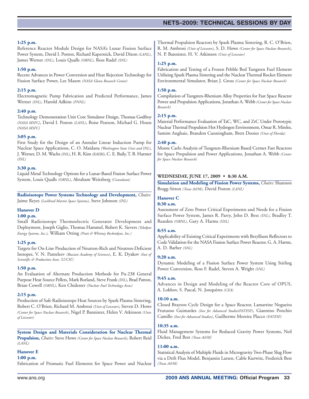### **TECHNICAL SESSIONS NETS–2009: TECHNICAL SESSIONS BY DAY**

#### **1:25 p.m.**

Reference Reactor Module Design for NASA's Lunar Fission Surface Power System, David I. Poston, Richard Kapernick, David Dixon *(LANL)*, James Werner *(INL)*, Louis Qualls *(ORNL)*, Ross Radel *(SNL)*

#### **1:50 p.m.**

Recent Advances in Power Conversion and Heat Rejection Technology for Fission Surface Power, Lee Mason *(NASA Glenn Research Center)*

#### **2:15 p.m.**

Electromagnetic Pump Fabrication and Predicted Performance, James Werner *(INL)*, Harold Adkins *(PNNL)*

#### **2:40 p.m.**

Technology Demonstration Unit Core Simulator Design, Thomas Godfroy *(NASA MSFC)*, David I. Poston *(LANL)*, Boise Pearson, Michael G. Houts *(NASA MSFC)*

#### **3:05 p.m.**

First Study for the Design of an Annular Linear Induction Pump for Nuclear Space Applications, C. O. Maidana *(Washington State Univ and INL)*, J. Werner, D. M. Wachs *(INL)*, H. R. Kim *(KAERI)*, C. E. Baily, T. B. Harmer *(INL)*

#### **3:30 p.m.**

Liquid Metal Technology Options for a Lunar-Based Fission Surface Power System, Louis Qualls *(ORNL)*, Abraham Weitzberg *(Consultant)*

**Radioisotope Power Systems Technology and Development,** *Chairs:* Jaime Reyes *(Lockheed Martin Space Systems)*, Steve Johnson *(INL)*

#### **Hanover D**

#### **1:00 p.m.**

Small Radioisotope Thermoelectric Generator Development and Deployment, Joseph Giglio, Thomas Hammel, Robert K. Sievers *(Teledyne Energy Systems, Inc.)*, William Otting *(Pratt & Whitney Rocketdyne, Inc.)*

#### **1:25 p.m.**

Targets for On-Line Production of Neutron-Rich and Neutron-Deficient Isotopes, V. N. Panteleev *(Russian Academy of Sciences)*, E. K. Dyakov *(Inst of Scientific & Production Assoc 'LUCH')*

#### **1:50 p.m.**

An Evaluation of Alternate Production Methods for Pu-238 General Purpose Heat Source Pellets, Mark Borland, Steve Frank *(INL)*, Brad Patton, Brian Cowell *(ORNL)*, Ken Chidester *(Nuclear Fuel Technology Assoc)*

#### **2:15 p.m.**

Production of Safe Radioisotope Heat Sources by Spark Plasma Sintering, Robert C. O'Brien, Richard M. Ambrosi *(Univ of Leicester)*, Steven D. Howe *(Center for Space Nuclear Research)*, Nigel P. Bannister, Helen V. Atkinson *(Univ of Leicester)*

**System Design and Materials Consideration for Nuclear Thermal Propulsion,** *Chairs:* Steve Howe *(Center for Space Nuclear Research)*, Robert Reid *(LANL)*

#### **Hanover E**

#### **1:00 p.m.**

Fabrication of Prismatic Fuel Elements for Space Power and Nuclear

Thermal Propulsion Reactors by Spark Plasma Sintering, R. C. O'Brien, R. M. Ambrosi *(Univ of Leicester)*, S. D. Howe *(Center for Space Nuclear Research)*, N. P. Bannister, H. V. Atkinson *(Univ of Leicester)*

#### **1:25 p.m.**

Fabrication and Testing of a Frozen Pebble Bed Tungsten Fuel Element Utilizing Spark Plasma Sintering and the Nuclear Thermal Rocket Element Environmental Simulator, Brian J. Gross *(Center for Space Nuclear Research)*

#### **1:50 p.m.**

Compilation of Tungsten-Rhenium Alloy Properties for Fast Space Reactor Power and Propulsion Applications, Jonathan A. Webb *(Center for Space Nuclear Research)*

### **2:15 p.m.**

Material Performance Evaluation of TaC, WC, and ZrC Under Prototypic Nuclear Thermal Propulsion Hot Hydrogen Environment, Omar R. Mireles, Samim Anghaie, Brandon Cunningham, Brett Dooies *(Univ of Florida)*

#### **2:40 p.m.**

Monte Carlo Analysis of Tungsten-Rhenium Based Cermet Fast Reactors for Space Propulsion and Power Applications, Jonathan A. Webb *(Center for Space Nuclear Research)*

#### **WEDNESDAY, JUNE 17, 2009 • 8:30 A.M.**

**Simulation and Modeling of Fission Power Systems,** *Chairs:* Shannon Bragg-Sitton *(Texas A&M)*, David Poston *(LANL)*

#### **Hanover C**

#### **8:30 a.m.**

Assessment of Zero Power Critical Experiments and Needs for a Fission Surface Power System, James R. Parry, John D. Bess *(INL)*, Bradley T. Rearden *(ORNL)*, Gary A. Harms *(SNL)*

#### **8:55 a.m.**

Applicability of Existing Critical Experiments with Beryllium Reflectors to Code Validation for the NASA Fission Surface Power Reactor, G. A. Harms, A. D. Barber *(SNL)*

#### **9:20 a.m.**

Dynamic Modeling of a Fission Surface Power System Using Stirling Power Conversion, Ross F. Radel, Steven A. Wright *(SNL)*

#### **9:45 a.m.**

Advances in Design and Modeling of the Reactor Core of OPUS, A. Lokhov, S. Pascal, N. Jonquères *(CEA)*

#### **10:10 a.m.**

Closed Brayton Cycle Design for a Space Reactor, Lamartine Nogueira Frutuoso Guimarães *(Inst for Advanced Studies/FATESF)*, Giannino Ponchio Camillo *(Inst for Advanced Studies)*, Guilherme Moreira Placco *(FATESF)*

#### **10:35 a.m.**

Fluid Management Systems for Reduced Gravity Power Systems, Neil Dickes, Fred Best *(Texas A&M)*

#### **11:00 a.m.**

Statistical Analysis of Multiple Fluids in Microgravity Two-Phase Slug Flow via a Drift Flux Model, Benjamin Larsen, Cable Kurwitz, Frederick Best *(Texas A&M)*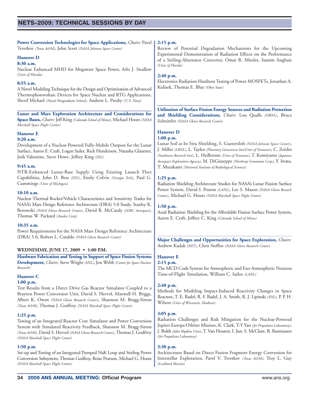**Power Conversion Technologies for Space Applications,** *Chairs:* Pavel Tsvetkov *(Texas A&M)*, John Scott *(NASA Johnson Space Center)*

### **Hanover D**

**8:30 a.m.**

Nuclear Enhanced MHD for Megawatt Space Power, Arlo J. Swallow *(Univ of Florida)*

#### **8:55 a.m.**

A Novel Modeling Technique for the Design and Optimization of Advanced Thermophotovoltaic Devices for Space Nuclear and RTG Applications, Sherif Michael *(Naval Postgraduate School)*, Andrew L. Presby *(U.S. Navy)*

**Lunar and Mars Exploration Architecture and Considerations for Space Bases,** *Chairs:* Jeff King *(Colorado School of Mines)*, Michael Houts *(NASA Marshall Space Flight Center)*

#### **Hanover E**

#### **9:20 a.m.**

Development of a Nuclear-Powered Fully-Mobile Outpost for the Lunar Surface, Aaron E. Craft, Logan Sailer, Rick Henderson, Natasha Glazener, Josh Valentine, Steve Howe, Jeffrey King *(INL)*

#### **9:45 a.m.**

NTR-Enhanced Lunar-Base Supply Using Existing Launch Fleet Capabilities, John D. Bess *(INL)*, Emily Colvin *(Georgia Tech)*, Paul G. Cummings *(Univ of Michigan)*

#### **10:10 a.m.**

Nuclear Thermal Rocket/Vehicle Characteristics and Sensitivity Trades for NASA's Mars Design Reference Architecture (DRA) 5.0 Study, Stanley K. Borowski *(NASA Glenn Research Center)*, David R. McCurdy *(ASRC Aerospace)*, Thomas W. Packard *(Analex Corp)*

#### **10:35 a.m.**

Power Requirements for the NASA Mars Design Reference Architecture (DRA) 5.0, Robert L. Cataldo *(NASA Glenn Research Center)*

#### **WEDNESDAY, JUNE 17, 2009 • 1:00 P.M.**

**Hardware Fabrication and Testing in Support of Space Fission Systems Development,** *Chairs:* Steve Wright *(SNL)*, Jon Webb *(Center for Space Nuclear Research)*

#### **Hanover C**

#### **1:00 p.m.**

Test Results from a Direct Drive Gas Reactor Simulator Coupled to a Brayton Power Conversion Unit, David S. Hervol, Maxwell H. Briggs, Albert K. Owen *(NASA Glenn Research Center)*, Shannon M. Bragg-Sitton *(Texas A&M)*, Thomas J. Godfroy *(NASA Marshall Space Flight Center)*

#### **1:25 p.m.**

Testing of an Integrated Reactor Core Simulator and Power Conversion System with Simulated Reactivity Feedback, Shannon M. Bragg-Sitton *(Texas A&M)*, David S. Hervol *(NASA Glenn Research Center)*, Thomas J. Godfroy *(NASA Marshall Space Flight Center)*

#### **1:50 p.m.**

Set-up and Testing of an Integrated Pumped NaK Loop and Stirling Power Conversion Subsystem, Thomas Godfroy, Boise Pearson, Michael G. Houts *(NASA Marshall Space Flight Center)*

#### **2:15 p.m.**

Review of Potential Degradation Mechanisms for the Upcoming Experimental Demonstration of Radiation Effects on the Performance of a Stirling-Alternator Converter, Omar R. Mireles, Samim Anghaie *(Univ of Florida)*

#### **2:40 p.m.**

Electronics Radiation Hardness Testing of Power MOSFETs, Jonathan A. Kulisek, Thomas E. Blue *(Ohio State)*

**Utilization of Surface Fission Energy Sources and Radiation Protection and Shielding Considerations,** *Chairs:* Lou Qualls *(ORNL)*, Bruce Schnitzler *(NASA Glenn Research Center)*

### **Hanover D**

#### **1:00 p.m.**

Lunar Soil as In-Situ Shielding, S. Guetersloh *(NASA Johnson Space Center)*, J. Miller *(LBNL)*, L. Taylor *(Planetary Geosciences Inst/Univ of Tennessee)*, C. Zeitlin *(Southwest Research Inst)*, L. Heilbronn *(Univ of Tennessee)*, T. Komiyama *(Japanese Aerospace Exploration Agency)*, M. DiGiuseppe *(Northrop Grumman Corp)*, Y. Iwata, T. Murakami *(National Institute of Radiological Sciences)*

#### **1:25 p.m.**

Radiation Shielding Architecture Studies for NASA's Lunar Fission Surface Power System, David I. Poston *(LANL)*, Lee S. Mason *(NASA Glenn Reseach Center)*, Michael G. Houts *(NASA Marshall Space Flight Center)*

#### **1:50 p.m.**

Axial Radiation Shielding for the Affordable Fission Surface Power System, Aaron E. Craft, Jeffrey C. King *(Colorado School of Mines)*

**Major Challenges and Opportunities for Space Exploration,** *Chairs:* Andrew Kadak *(MIT)*, Chris Steffen *(NASA Glenn Research Center)*

### **Hanover E**

**2:15 p.m.**

The MCD Code System for Atmospheric and Exo-Atmospheric Neutron Time-of-Flight Simulation, William C. Sailor *(LANL)*

#### **2:40 p.m.**

Methods for Modeling Impact-Induced Reactivity Changes in Space Reactors, T. E. Radel, R. F. Radel, J. A. Smith, R. J. Lipinski *(SNL)*, P. P. H. Wilson *(Univ of Wisconsin, Madison)*

#### **3:05 p.m.**

Radiation Challenges and Risk Mitigation for the Nuclear-Powered Jupiter Europa Orbiter Mission, K. Clark, T-Y Yan *(Jet Propulsion Laboratory)*, J. Boldt *(John Hopkins Univ)*, T. Van Houten, I. Jun, S. McClure, R. Rasmussen *(Jet Propulsion Laboratory)*

#### **3:30 p.m.**

Architectures Based on Direct Fission Fragment Energy Conversion for Interstellar Exploration, Pavel V. Tsvetkov *(Texas A&M)*, Troy L. Guy *(Lockheed Martin)*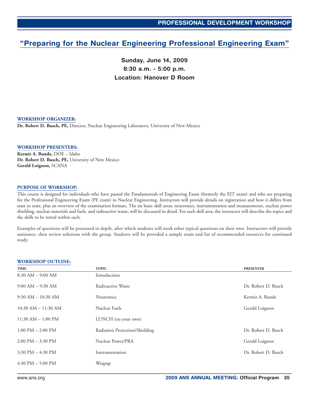### <span id="page-34-0"></span>**Preparing for the Nuclear Engineering Professional Engineering Exam"**

**Sunday, June 14, 2009 8:30 a.m. - 5:00 p.m. Location: Hanover D Room**

#### **WORKSHOP ORGANIZER:**

**Dr. Robert D. Busch, PE,** Director, Nuclear Engineering Laboratory, University of New Mexico

#### **WORKSHOP PRESENTERS:**

**Kermit A. Bunde,** DOE – Idaho **Dr. Robert D. Busch, PE,** University of New Mexico **Gerald Loignon,** SCANA

#### **PURPOSE OF WORKSHOP:**

This course is designed for individuals who have passed the Fundamentals of Engineering Exam (formerly the EIT exam) and who are preparing for the Professional Engineering Exam (PE exam) in Nuclear Engineering. Instructors will provide details on registration and how it differs from state to state, plus an overview of the examination formats. The six basic skill areas; neutronics, instrumentation and measurements, nuclear power shielding, nuclear materials and fuels, and radioactive waste, will be discussed in detail. For each skill area, the instructor will describe the topics and the skills to be tested within each.

Examples of questions will be presented in depth, after which students will work other typical questions on their own. Instructors will provide assistance, then review solutions with the group. Students will be provided a sample exam and list of recommended resources for continued study.

#### **WORKSHOP OUTLINE:**

| TIME                                | <b>TOPIC</b>                   | <b>PRESENTER</b>    |
|-------------------------------------|--------------------------------|---------------------|
| $8:30$ AM $-$ 9:00 AM               | Introduction                   |                     |
| $9:00$ AM $-$ 9:30 AM               | Radioactive Waste              | Dr. Robert D. Busch |
| $9:30$ AM $- 10:30$ AM              | <b>Neutronics</b>              | Kermit A. Bunde     |
| $10:30$ AM $- 11:30$ AM             | Nuclear Fuels                  | Gerald Loignon      |
| $11:30$ AM $- 1:00$ PM              | LUNCH (on your own)            |                     |
| $1:00$ PM $- 2:00$ PM               | Radiation Protection/Shielding | Dr. Robert D. Busch |
| $2:00 \text{ PM} - 3:30 \text{ PM}$ | Nuclear Power/PRA              | Gerald Loignon      |
| 3:30 PM $-$ 4:30 PM                 | Instrumentation                | Dr. Robert D. Busch |
| 4:30 PM $-$ 5:00 PM                 | Wrapup                         |                     |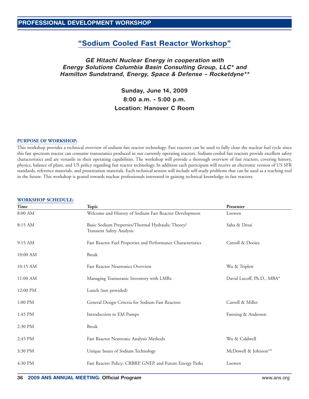### **"Sodium Cooled Fast Reactor Workshop"**

### <span id="page-35-0"></span>**GE Hitachi Nuclear Energy in cooperation with Energy Solutions Columbia Basin Consulting Group, LLC\* and Hamilton Sundstrand, Energy, Space & Defense – Rocketdyne\*\***

**Sunday, June 14, 2009 8:00 a.m. - 5:00 p.m. Location: Hanover C Room**

#### **PURPOSE OF WORKSHOP:**

This workshop provides a technical overview of sodium fast reactor technology. Fast reactors can be used to fully close the nuclear fuel cycle since this fast spectrum reactor can consume transuranics produced in our currently operating reactors. Sodium-cooled fast reactors provide excellent safety characteristics and are versatile in their operating capabilities. The workshop will provide a thorough overview of fast reactors, covering history, physics, balance of plant, and US policy regarding fast reactor technology. In addition each participant will receive an electronic version of US SFR standards, reference materials, and presentation materials. Each technical session will include self-study problems that can be used as a teaching tool in the future. This workshop is geared towards nuclear professionals interested in gaining technical knowledge in fast reactors.

| <b>WORKSHOP SCHEDULE:</b> |                                                                                |                           |
|---------------------------|--------------------------------------------------------------------------------|---------------------------|
| Time                      | Topic                                                                          | Presenter                 |
| 8:00 AM                   | Welcome and History of Sodium Fast Reactor Development                         | Loewen                    |
| 8:15 AM                   | Basic Sodium Properties/Thermal Hydraulic Theory/<br>Transient Safety Analysis | Saha & Desai              |
| $9:15$ AM                 | Fast Reactor Fuel Properties and Performance Characteristics                   | Carroll & Dooies          |
| 10:00 AM                  | <b>Break</b>                                                                   |                           |
| 10:15 AM                  | <b>Fast Reactor Neutronics Overview</b>                                        | Wu & Triplett             |
| 11:00 AM                  | Managing Transuranic Inventory with LMRs                                       | David Lucoff, Ph.D., MBA* |
| 12:00 PM                  | Lunch (not provided)                                                           |                           |
| $1:00$ PM                 | General Design Criteria for Sodium Fast Reactors                               | Carroll & Miller          |
| 1:45 PM                   | Introduction to EM Pumps                                                       | Fanning & Anderson        |
| 2:30 PM                   | <b>Break</b>                                                                   |                           |
| 2:45 PM                   | Fast Reactor Neutronic Analysis Methods                                        | Wu & Caldwell             |
| 3:30 PM                   | Unique Issues of Sodium Technology                                             | McDowell & Johnson**      |
| 4:30 PM                   | Fast Reactor Policy: CRBRP, GNEP, and Future Energy Parks                      | Loewen                    |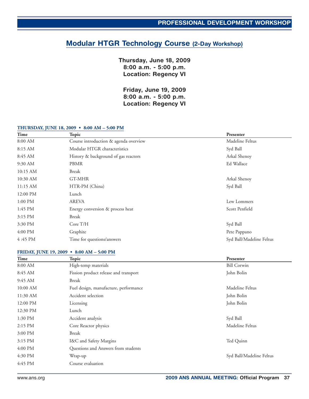### <span id="page-36-0"></span>**Modular HTGR Technology Course (2-Day Workshop)**

**Thursday, June 18, 2009 8:00 a.m. - 5:00 p.m. Location: Regency VI**

**Friday, June 19, 2009 8:00 a.m. - 5:00 p.m. Location: Regency VI**

#### **THURSDAY, JUNE 18, 2009 • 8:00 AM – 5:00 PM**

| Time       | Topic                                 | Presenter                |
|------------|---------------------------------------|--------------------------|
| 8:00 AM    | Course introduction & agenda overview | Madeline Feltus          |
| 8:15 AM    | Modular HTGR characteristics          | Syd Ball                 |
| 8:45 AM    | History & background of gas reactors  | Arkal Shenoy             |
| 9:30 AM    | <b>PBMR</b>                           | Ed Wallace               |
| 10:15 AM   | Break                                 |                          |
| 10:30 AM   | GT-MHR                                | Arkal Shenoy             |
| $11:15$ AM | HTR-PM (China)                        | Syd Ball                 |
| 12:00 PM   | Lunch                                 |                          |
| $1:00$ PM  | <b>AREVA</b>                          | Lew Lommers              |
| 1:45 PM    | Energy conversion & process heat      | Scott Penfield           |
| 3:15 PM    | Break                                 |                          |
| 3:30 PM    | Core T/H                              | Syd Ball                 |
| 4:00 PM    | Graphite                              | Pete Pappano             |
| 4:45 PM    | Time for questions/answers            | Syd Ball/Madeline Feltus |

#### **FRIDAY, JUNE 19, 2009 • 8:00 AM – 5:00 PM**

| Time       | <b>Topic</b>                          | Presenter                |
|------------|---------------------------------------|--------------------------|
| 8:00 AM    | High-temp materials                   | <b>Bill Corwin</b>       |
| 8:45 AM    | Fission product release and transport | John Bolin               |
| $9:45$ AM  | Break                                 |                          |
| $10:00$ AM | Fuel design, manufacture, performance | Madeline Feltus          |
| $11:30$ AM | Accident selection                    | John Bolin               |
| 12:00 PM   | Licensing                             | John Bolin               |
| 12:30 PM   | Lunch                                 |                          |
| 1:30 PM    | Accident analysis                     | Syd Ball                 |
| $2:15$ PM  | Core Reactor physics                  | Madeline Feltus          |
| 3:00 PM    | Break                                 |                          |
| 3:15 PM    | I&C and Safety Margins                | Ted Quinn                |
| $4:00$ PM  | Questions and Answers from students   |                          |
| 4:30 PM    | Wrap-up                               | Syd Ball/Madeline Feltus |
| 4:45 PM    | Course evaluation                     |                          |
|            |                                       |                          |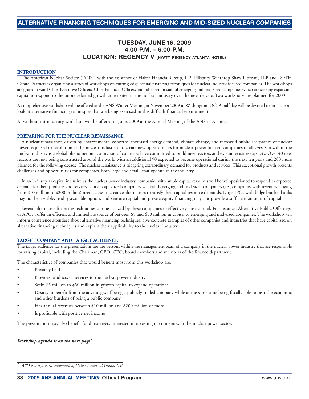### **TUESDAY, JUNE 16, 2009 4:00 P.M. – 6:00 P.M. LOCATION: REGENCY V (HYATT REGENCY ATLANTA HOTEL)**

#### <span id="page-37-0"></span>**INTRODUCTION**

The American Nuclear Society ("ANS") with the assistance of Halter Financial Group, L.P., Pillsbury Winthrop Shaw Pittman, LLP and ROTH Capital Partners is organizing a series of workshops on cutting-edge capital financing techniques for nuclear industry-focused companies. The workshops are geared toward Chief Executive Officers, Chief Financial Officers and other senior staff of emerging and mid-sized companies which are seeking expansion capital to respond to the unprecedented growth anticipated in the nuclear industry over the next decade. Two workshops are planned for 2009.

A comprehensive workshop will be offered at the ANS Winter Meeting in November 2009 in Washington, DC. A half day will be devoted to an in-depth look at alternative financing techniques that are being exercised in this difficult financial environment.

A two hour introductory workshop will be offered in June, 2009 at the Annual Meeting of the ANS in Atlanta.

#### **PREPARING FOR THE NUCLEAR RENAISSANCE**

A nuclear renaissance, driven by environmental concerns, increased energy demand, climate change, and increased public acceptance of nuclear power, is poised to revolutionize the nuclear industry and create new opportunities for nuclear-power focused companies of all sizes. Growth in the nuclear industry is a global phenomenon as a myriad of countries have committed to build new reactors and expand existing capacity. Over 40 new reactors are now being constructed around the world with an additional 90 expected to become operational during the next ten years and 200 more planned for the following decade. The nuclear renaissance is triggering extraordinary demand for products and services. This exceptional growth presents challenges and opportunities for companies, both large and small, that operate in the industry.

In an industry as capital intensive as the nuclear power industry, companies with ample capital resources will be well-positioned to respond to expected demand for their products and services. Under-capitalized companies will fail. Emerging and mid-sized companies (i.e., companies with revenues ranging from \$10 million to \$200 million) need access to creative alternatives to satisfy their capital resource demands. Large IPOs with bulge bracket banks may not be a viable, readily available option, and venture capital and private equity financing may not provide a sufficient amount of capital.

Several alternative financing techniques can be utilized by these companies to effectively raise capital. For instance, Alternative Public Offerings, or APOs1, offer an efficient and immediate source of between \$5 and \$50 million in capital to emerging and mid-sized companies. The workshop will inform conference attendees about alternative financing techniques, give concrete examples of other companies and industries that have capitalized on alternative financing techniques and explain their applicability to the nuclear industry.

#### **TARGET COMPANY AND TARGET AUDIENCE**

The target audience for the presentations are the persons within the management team of a company in the nuclear power industry that are responsible for raising capital, including the Chairman, CEO, CFO, board members and members of the finance department.

The characteristics of companies that would benefit most from this workshop are:

- Privately held
- Provides products or services to the nuclear power industry
- Seeks \$5 million to \$50 million in growth capital to expand operations
- Desires to benefit from the advantages of being a publicly-traded company while at the same time being fiscally able to bear the economic and other burdens of being a public company
- Has annual revenues between \$10 million and \$200 million or more
- Is profitable with positive net income

The presentation may also benefit fund managers interested in investing in companies in the nuclear power sector.

#### *Workshop agenda is on the next page!*

*<sup>1</sup> APO is a registered trademark of Halter Financial Group, L.P.*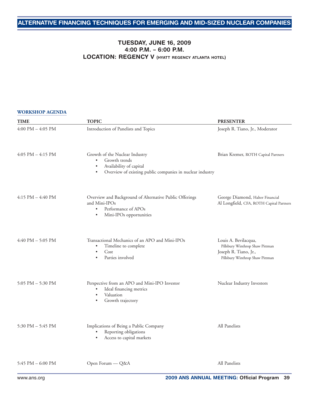### **TUESDAY, JUNE 16, 2009 4:00 P.M. – 6:00 P.M. LOCATION: REGENCY V (HYATT REGENCY ATLANTA HOTEL)**

#### **WORKSHOP AGENDA**

| <b>TIME</b>           | <b>TOPIC</b>                                                                                                                                                                   | <b>PRESENTER</b>                                                                                                    |
|-----------------------|--------------------------------------------------------------------------------------------------------------------------------------------------------------------------------|---------------------------------------------------------------------------------------------------------------------|
| $4:00$ PM $- 4:05$ PM | Introduction of Panelists and Topics                                                                                                                                           | Joseph R. Tiano, Jr., Moderator                                                                                     |
| $4:05$ PM $-4:15$ PM  | Growth of the Nuclear Industry<br>Growth trends<br>$\bullet$<br>Availability of capital<br>$\bullet$<br>Overview of existing public companies in nuclear industry<br>$\bullet$ | Brian Kremer, ROTH Capital Partners                                                                                 |
| $4:15$ PM $-4:40$ PM  | Overview and Background of Alternative Public Offerings<br>and Mini-IPOs<br>Performance of APOs<br>$\bullet$<br>Mini-IPOs opportunities<br>$\bullet$                           | George Diamond, Halter Financial<br>Al Longfield, CFA, ROTH Capital Partners                                        |
| 4:40 PM $-$ 5:05 PM   | Transactional Mechanics of an APO and Mini-IPOs<br>Timeline to complete<br>$\bullet$<br>Cost<br>$\bullet$<br>Parties involved<br>$\bullet$                                     | Louis A. Bevilacqua,<br>Pillsbury Winthrop Shaw Pittman<br>Joseph R. Tiano, Jr.,<br>Pillsbury Winthrop Shaw Pittman |
| 5:05 PM - 5:30 PM     | Perspective from an APO and Mini-IPO Investor<br>Ideal financing metrics<br>Valuation<br>Growth trajectory                                                                     | Nuclear Industry Investors                                                                                          |
| 5:30 PM – 5:45 PM     | Implications of Being a Public Company<br>Reporting obligations<br>Access to capital markets                                                                                   | All Panelists                                                                                                       |
| 5:45 PM $-$ 6:00 PM   | Open Forum — Q&A                                                                                                                                                               | All Panelists                                                                                                       |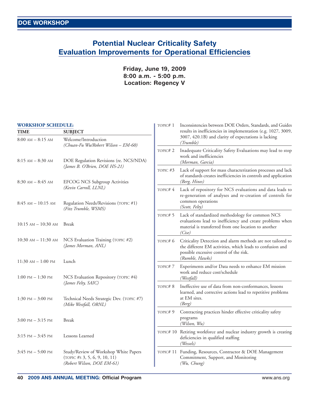### <span id="page-39-0"></span>**Potential Nuclear Criticality Safety Evaluation Improvements for Operational Efficiencies**

### **Friday, June 19, 2009 8:00 a.m. - 5:00 p.m. Location: Regency V**

#### **WORKSHOP SCHEDULE:**

| TIME                                | <b>SUBJECT</b>                                                                                          |
|-------------------------------------|---------------------------------------------------------------------------------------------------------|
| $8:00$ AM $- 8:15$ AM               | Welcome/Introduction<br>(Chuan-Fu Wu/Robert Wilson - EM-60)                                             |
| $8:15 AM - 8:30 AM$                 | DOE Regulation Revisions (re. NCS/NDA)<br>(James B. O'Brien, DOE HS-21)                                 |
| $8:30$ AM $- 8:45$ AM               | <b>EFCOG NCS Subgroup Activities</b><br>(Kevin Carroll, LLNL)                                           |
| $8:45$ AM $- 10:15$ AM              | Regulation Needs/Revisions (TOPIC #1)<br>(Fitz Trumble, WSMS)                                           |
| $10:15$ AM $- 10:30$ AM             | <b>Break</b>                                                                                            |
| 10:30 am – 11:30 am                 | NCS Evaluation Training (TOPIC #2)<br>(James Morman, ANL)                                               |
| 11:30 am – 1:00 pm                  | Lunch                                                                                                   |
| $1:00 \text{ PM} - 1:30 \text{ PM}$ | NCS Evaluation Repository (TOPIC #4)<br>(James Felty, SAIC)                                             |
| $1:30$ PM $- 3:00$ PM               | Technical Needs Strategic Dev. (TOPIC #7)<br>(Mike Westfall, ORNL)                                      |
| $3:00 \text{ PM} - 3:15 \text{ PM}$ | <b>Break</b>                                                                                            |
| $3:15$ PM $-3:45$ PM                | Lessons Learned                                                                                         |
| $3:45$ PM $- 5:00$ PM               | Study/Review of Workshop White Papers<br>$(TOPIC \#S 3, 5, 6, 9, 10, 11)$<br>(Robert Wilson, DOE EM-61) |

| TOPIC#1  | Inconsistencies between DOE Orders, Standards, and Guides<br>results in inefficiencies in implementation (e.g. 1027, 3009,<br>3007, 420.1B) and clarity of expectations is lacking<br>(Trumble) |
|----------|-------------------------------------------------------------------------------------------------------------------------------------------------------------------------------------------------|
| TOPIC#2  | Inadequate Criticality Safety Evaluations may lead to stop<br>work and inefficiencies<br>(Morman, Garcia)                                                                                       |
| TOPIC #3 | Lack of support for mass characterization processes and lack<br>of standards creates inefficiencies in controls and application<br>(Berg, Hines)                                                |
| TOPIC#4  | Lack of repository for NCS evaluations and data leads to<br>re-generation of analyses and re-creation of controls for<br>common operations<br>(Scott, Felty)                                    |
| TOPIC# 5 | Lack of standardized methodology for common NCS<br>evaluations lead to inefficiency and create problems when<br>material is transferred from one location to another<br>(Cise)                  |
| TOPIC# 6 | Criticality Detection and alarm methods are not tailored to<br>the different EM activities, which leads to confusion and<br>possible excessive control of the risk.<br>(Rumble, Hawks)          |
| TOPIC#7  | Experiments and/or Data needs to enhance EM mission<br>work and reduce cost/schedule<br>(Westfall)                                                                                              |
| TOPIC#8  | Ineffective use of data from non-conformances, lessons<br>learned, and corrective actions lead to repetitive problems<br>at EM sites.<br>(Berg)                                                 |
| TOPIC# 9 | Contracting practices hinder effective criticality safety<br>programs<br>(Wilson, Wu)                                                                                                           |
| TOPIC#10 | Retiring workforce and nuclear industry growth is creating<br>deficiencies in qualified staffing<br>(Wessels)                                                                                   |
| TOPIC#11 | Funding, Resources, Contractor & DOE Management<br>Commitment, Support, and Monitoring<br>(Wu, Chung)                                                                                           |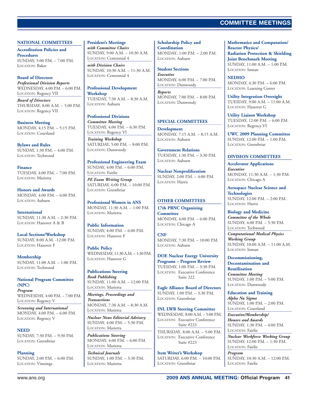### **TECHNICAL SESSIONS COMMITTEE MEETINGS**

#### <span id="page-40-0"></span>**NATIONAL COMMITTEES**

**Accreditation Policies and Procedures** SUNDAY, 5:00 P.M. – 7:00 P.M. LOCATION: Baker

**Board of Directors** *Professional Division Reports* WEDNESDAY, 4:00 P.M. – 6:00 P.M. LOCATION: Regency VII

*Board of Directors* THURSDAY, 8:00 A.M. – 5:00 P.M. LOCATION: Regency VII

**Business Meeting** MONDAY, 4:15 P.M. – 5:15 P.M. LOCATION: Courtland

**Bylaws and Rules** SUNDAY, 1:30 P.M. – 4:00 P.M. LOCATION: Techwood

**Finance** TUESDAY, 4:00 P.M. – 7:00 P.M. LOCATION: Marietta

**Honors and Awards** MONDAY, 4:00 P.M. – 6:00 P.M. LOCATION: Auburn

**International** SUNDAY, 11:30 A.M. – 2:30 P.M. LOCATION: Hanover A & B

**Local Sections/Workshop** SUNDAY, 8:00 A.M. -12:00 P.M. LOCATION: Hanover F

**Membership**  $SUNDAY, 11:00 A.M. = 1:00 PM.$ LOCATION: Techwood

**National Program Committee (NPC)** *Program* WEDNESDAY, 4:00 P.M. – 7:00 P.M. LOCATION: Regency V

*Screening and International* MONDAY, 4:00 P.M. – 6:00 P.M. LOCATION: Regency V

**NEED** SUNDAY, 7:30 P.M. – 9:30 P.M. LOCATION: Greenbriar

**Planning** SUNDAY, 2:00 P.M. – 6:00 P.M. LOCATION: Vinnings

**President's Meetings** *with Committee Chairs* SUNDAY, 9:00 A.M. – 10:30 A.M. LOCATION: Centennial 4

*with Division Chairs* SUNDAY, 10:30 A.M. – 11:30 A.M. LOCATION: Centennial 4

**Professional Development Workshop** TUESDAY, 7:30 A.M. – 8:30 A.M. LOCATION: Auburn

**Professional Divisions** *Committee Meeting* TUESDAY, 4:00 P.M. – 6:30 P.M. LOCATION: Regency VI

*Training Workshop* SATURDAY, 5:00 P.M. – 8:00 P.M. LOCATION: Dunwoody

**Professional Engineering Exam** SUNDAY, 4:00 P.M. – 6:00 P.M. LOCATION: Fairlie

*PE Exam Writing Group* SATURDAY, 6:00 P.M. – 10:00 P.M. LOCATION: Greenbriar

**Professional Women in ANS** MONDAY, 11:30 A.M. – 1:00 P.M. LOCATION: Marietta

**Public Information** SUNDAY, 4:00 P.M. – 6:00 P.M. LOCATION: Hanover F

**Public Policy** WEDNESDAY, 11:30 A.M. – 1:30 P.M. LOCATION: Hanover G

#### **Publications Steering**

*Book Publishing* SUNDAY, 11:00 A.M. – 12:00 P.M. LOCATION: Marietta

*Meetings, Proceedings and Transactions* MONDAY, 7:30 A.M. – 8:30 A.M. LOCATION: Marietta

*Nuclear News Editorial Advisory* SUNDAY, 4:00 P.M. – 5:30 P.M. LOCATION: Marietta

*Publications Steering* MONDAY, 4:00 P.M. – 6:00 P.M. LOCATION: Marietta

*Technical Journals* SUNDAY, 1:00 P.M. – 3:30 P.M. LOCATION: Marietta

**Scholarship Policy and Coordination** MONDAY, 1:00 P.M. – 2:00 P.M. LOCATION: Auburn

**Student Sections**

*Executive* MONDAY, 6:00 P.M. – 7:00 P.M. LOCATION: Dunwoody

*Reports* MONDAY, 7:00 P.M. – 8:00 P.M. LOCATION: Dunwoody

#### **SPECIAL COMMITTEES**

**Development** MONDAY, 7:15 A.M. – 8:15 A.M. LOCATION: Auburn

**Government Relations** TUESDAY, 1:30 P.M. – 3:30 P.M. LOCATION: Auburn

**Nuclear Nonproliferation** SUNDAY, 2:00 P.M. – 4:00 P.M. LOCATION: Harris

#### **OTHER COMMITTEES**

**17th PBNC Organizing Committee** MONDAY, 4:00 P.M. – 6:00 P.M. LOCATION: Chicago A

**CNF** MONDAY, 7:30 P.M. – 10:00 P.M. LOCATION: Auburn

**DOE Nuclear Energy University Programs – Progress Review** TUESDAY, 1:00 P.M. – 3:30 P.M. LOCATION: Executive Conference Suite 222

**Eagle Alliance Board of Directors** SUNDAY, 1:00 P.M. – 3:30 P.M. LOCATION: Greenbriar

**INL LWR Steering Committee** WEDNESDAY, 8:00 A.M. – 5:00 P.M. LOCATION: Executive Conference Suite #223 THURSDAY, 8:00 A.M. – 5:00 P.M.

LOCATION: Executive Conference Suite #223

**Item Writer's Workshop** SATURDAY, 6:00 P.M. – 10:00 P.M. LOCATION: Greenbriar

**Mathematics and Computation/ Reactor Physics/ Radiation Protection & Shielding Joint Benchmark Meeting** SUNDAY, 11:00 A.M. – 1:00 P.M. LOCATION: Inman

**NEDHO** MONDAY, 4:30 P.M. – 6:00 P.M. LOCATION: Learning Center

**Utility Integration Oversight** TUESDAY, 9:00 A.M. – 11:00 A.M. LOCATION: Hanover G

**Utility Liaison Workshop** TUESDAY, 12:00 P.M. – 6:00 P.M. LOCATION: Regency VI

**UWC 2009 Planning Committee** SUNDAY, 12:00 P.M. – 1:00 P.M. LOCATION: Greenbriar

#### **DIVISION COMMITTEES**

**Accelerator Applications** *Executive* MONDAY, 11:30 A.M. – 1:30 P.M. LOCATION: Chicago A

**Aerospace Nuclear Science and Technologies** SUNDAY, 12:00 P.M. – 2:00 P.M. LOCATION: Harris

**Biology and Medicine** *Committee of the Whole* SUNDAY, 4:00 P.M. – 5:30 P.M. LOCATION: Techwood

*Computational Medical Physics Working Group* SUNDAY, 10:00 A.M. – 11:00 A.M. LOCATION: Inman

**Decommissioning, Decontamination and Reutilization** *Committee Meeting* SUNDAY, 1:00 P.M. – 5:00 P.M. LOCATION: Dunwoody

**Education and Training** *Alpha Nu Sigma* SUNDAY, 1:00 P.M. – 2:00 P.M. LOCATION: Courtland

*Executive/Membership/ Honors and Awards* SUNDAY, 1:30 P.M. – 4:00 P.M. LOCATION: Fairlie

*Nuclear Workforce Working Group* SUNDAY, 12:00 P.M. – 1:30 P.M. LOCATION: Fairlie

*Program* SUNDAY, 10:30 A.M. – 12:00 P.M. LOCATION: Fairlie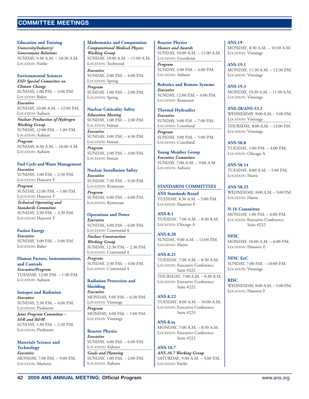### **TECHNICAL SESSIONS COMMITTEE MEETINGS**

**Education and Training** *University/Industry/ Government Relations* SUNDAY, 9:30 A.M. – 10:30 A.M. LOCATION: Fairlie

#### **Environmental Sciences**

*ESD Special Committee on Climate Change* SUNDAY, 1:00 P.M. – 3:00 P.M. LOCATION: Baker

*Executive* SUNDAY, 10:00 A.M. – 12:00 P.M. LOCATION: Auburn

*Nuclear Production of Hydrogen Working Group* SUNDAY, 12:00 P.M. – 1:00 P.M. LOCATION: Auburn

*Program* SUNDAY, 8:30 A.M. – 10:00 A.M. LOCATION: Auburn

### **Fuel Cycle and Waste Management**

*Executive* SUNDAY, 1:00 P.M. – 2:30 P.M. LOCATION: Hanover F

*Program* SUNDAY, 12:00 P.M. – 1:00 P.M. LOCATION: Hanover F

*Technical Operating and Standards Committee* SUNDAY, 2:30 P.M. – 3:30 P.M. LOCATION: Hanover F

#### **Fusion Energy**

*Executive* SUNDAY, 3:00 P.M. – 5:00 P.M. LOCATION: Baker

**Human Factors, Instrumentation, and Controls** *Executive/Program* TUESDAY, 12:00 P.M. – 1:30 P.M. LOCATION: Auburn

**Isotopes and Radiation** *Executive* SUNDAY, 2:30 P.M. – 4:00 P.M. LOCATION: Piedmont

*Joint Program Committee – I&R and B&M* SUNDAY, 1:30 P.M. – 2:30 P.M. LOCATION: Piedmont

**Materials Science and Technology** *Executive* MONDAY, 7:00 P.M. – 9:00 P.M. LOCATION: Marietta

**Mathematics and Computation** *Computational Medical Physics Working Group* SUNDAY, 10:00 A.M. – 11:00 A.M. LOCATION: Techwood *Executive* SUNDAY, 2:00 P.M. – 4:00 P.M. LOCATION: Spring

*Program* SUNDAY, 1:00 P.M. – 2:00 P.M. LOCATION: Spring

#### **Nuclear Criticality Safety**

*Education Meeting* SUNDAY, 1:00 P.M. – 2:00 P.M. LOCATION: Inman *Executive* SUNDAY, 3:00 P.M. – 4:30 P.M. LOCATION: Inman *Program*

SUNDAY, 2:00 P.M. – 3:00 P.M. LOCATION: Inman

#### **Nuclear Installation Safety**

*Executive* SUNDAY, 7:30 P.M. – 9:30 P.M. LOCATION: Kennesaw *Program* SUNDAY, 4:00 P.M. – 6:00 P.M. LOCATION: Kennesaw

#### **Operations and Power**

*Executive* SUNDAY, 4:00 P.M. – 6:00 P.M. LOCATION: Centennial 4

*Nuclear Construction Working Group* SUNDAY, 12:30 P.M. – 2:30 P.M. LOCATION: Centennial 4

*Program* SUNDAY, 2:30 P.M. – 4:00 P.M. LOCATION: Centennial 4

#### **Radiation Protection and**

**Shielding** *Executive* MONDAY, 5:00 P.M. – 6:30 P.M. LOCATION: Vinnings *Program* MONDAY, 4:00 P.M. – 5:00 P.M. LOCATION: Vinnings

**Reactor Physics** *Executive* SUNDAY, 4:00 P.M. – 6:00 P.M. LOCATION: Auburn *Goals and Planning* SUNDAY, 1:00 P.M. – 2:00 P.M. LOCATION: Auburn

**Reactor Physics** *Honors and Awards* SUNDAY, 10:00 A.M. – 11:00 A.M. LOCATION: Greenbriar

*Program* SUNDAY, 2:00 P.M. – 4:00 P.M. LOCATION: Auburn

**Robotics and Remote Systems** *Executive*

SUNDAY, 12:00 P.M. – 4:00 P.M. LOCATION: Kennesaw

**Thermal Hydraulics** *Executive* SUNDAY, 5:00 P.M. – 7:00 P.M. LOCATION: Courtland

*Program* SUNDAY, 3:00 P.M. – 5:00 P.M. LOCATION: Courtland

**Young Member Group** *Executive Committee* SUNDAY, 7:00 A.M. – 9:00 A.M. LOCATION: Auburn

#### **STANDARDS COMMITTEES**

**ANS Standards Board** TUESDAY, 8:30 A.M. – 5:00 P.M. LOCATION: Hanover F

**ANS-8.1** TUESDAY, 7:00 A.M. – 8:30 A.M. LOCATION: Chicago A

**ANS-8.20** SUNDAY, 9:00 A.M. – 12:00 P.M. LOCATION: Harris

**ANS-8.21** TUESDAY, 7:00 A.M. – 8:30 A.M. LOCATION: Executive Conference Suite #222

THURSDAY, 7:00 A.M. – 8:30 A.M. LOCATION: Executive Conference Suite #222

**ANS-8.22** TUESDAY, 8:00 A.M. – 10:00 A.M. LOCATION: Executive Conference Suite #223

**ANS-8.xx** MONDAY, 7:00 A.M. – 8:30 A.M. LOCATION: Executive Conference Suite #222

**ANS-10.7** *ANS-10.7 Working Group* SATURDAY, 9:00 A.M. – 5:00 P.M. LOCATION: Fairlie

**ANS-19** MONDAY, 8:30 A.M. – 10:30 A.M. LOCATION: Vinnings

**ANS-19.1** MONDAY, 11:30 A.M. – 12:30 P.M. LOCATION: Vinnings

**ANS-19.3** MONDAY, 10:30 A.M. – 11:30 A.M. LOCATION: Vinnings

#### **ANS-28/ANS-53.1**

WEDNESDAY, 8:00 A.M. – 5:00 P.M. LOCATION: Vinnings

THURSDAY, 8:00 A.M. – 12:00 P.M. LOCATION: Vinnings

**ANS-58.8** TUESDAY, 1:00 P.M. – 4:00 P.M. LOCATION: Chicago A

**ANS-58.14** TUESDAY, 8:00 A.M. – 5:00 P.M. LOCATION: Harris

**ANS-58.25** WEDNESDAY, 8:00 A.M. – 5:00 P.M. LOCATION: Harris

**N-16 Committee** MONDAY, 1:00 P.M. – 6:00 P.M. LOCATION: Executive Conference Suite #222

**NFSC** MONDAY, 10:00 A.M. – 6:00 P.M. LOCATION: Hanover E

**NFSC ExC** SUNDAY, 7:00 P.M. – 10:00 P.M. LOCATION: Vinnings

**RISC** WEDNESDAY, 8:00 A.M. – 5:00 P.M. LOCATION: Hanover F